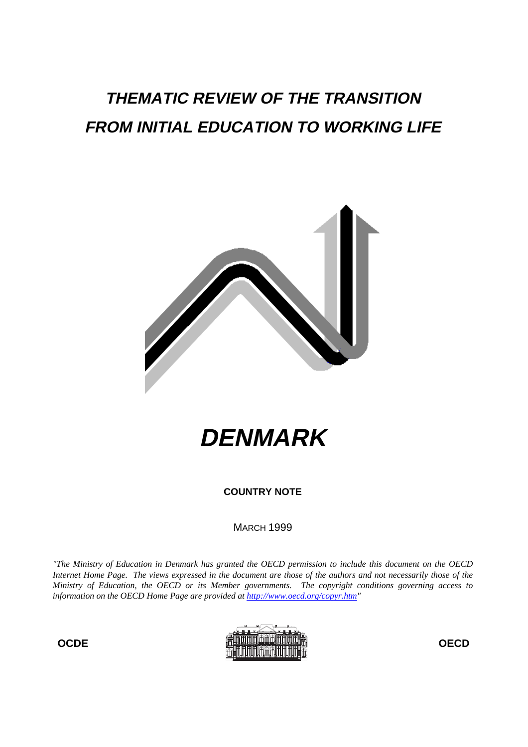# **THEMATIC REVIEW OF THE TRANSITION FROM INITIAL EDUCATION TO WORKING LIFE**



**DENMARK**

**COUNTRY NOTE**

**MARCH 1999** 

*"The Ministry of Education in Denmark has granted the OECD permission to include this document on the OECD Internet Home Page. The views expressed in the document are those of the authors and not necessarily those of the Ministry of Education, the OECD or its Member governments. The copyright conditions governing access to information on the OECD Home Page are provided at http://www.oecd.org/copyr.htm"*

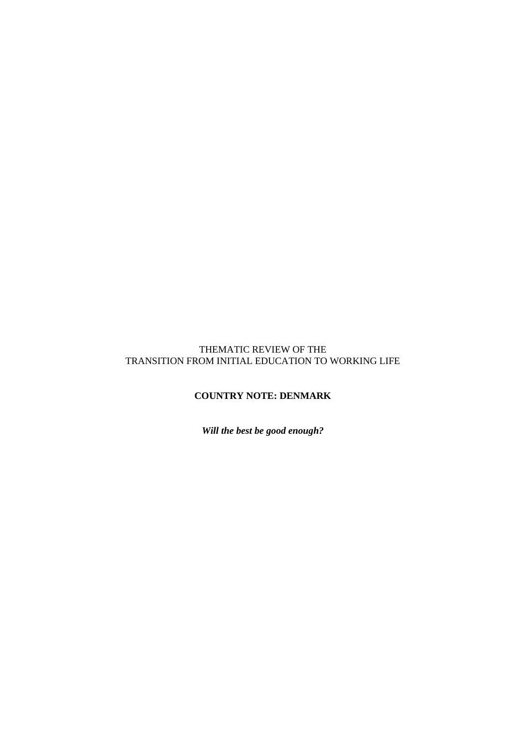## THEMATIC REVIEW OF THE TRANSITION FROM INITIAL EDUCATION TO WORKING LIFE

# **COUNTRY NOTE: DENMARK**

*Will the best be good enough?*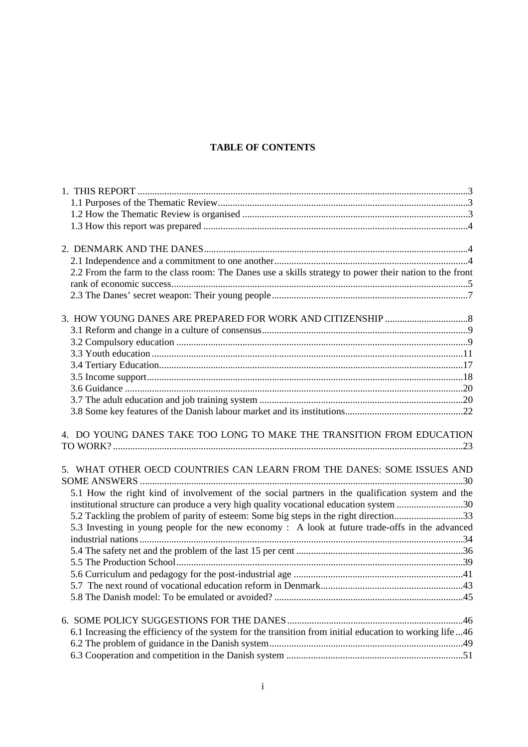## **TABLE OF CONTENTS**

| 2.2 From the farm to the class room: The Danes use a skills strategy to power their nation to the front |  |
|---------------------------------------------------------------------------------------------------------|--|
|                                                                                                         |  |
|                                                                                                         |  |
|                                                                                                         |  |
|                                                                                                         |  |
|                                                                                                         |  |
|                                                                                                         |  |
|                                                                                                         |  |
|                                                                                                         |  |
|                                                                                                         |  |
|                                                                                                         |  |
|                                                                                                         |  |
| 4. DO YOUNG DANES TAKE TOO LONG TO MAKE THE TRANSITION FROM EDUCATION                                   |  |
| 5. WHAT OTHER OECD COUNTRIES CAN LEARN FROM THE DANES: SOME ISSUES AND                                  |  |
| 5.1 How the right kind of involvement of the social partners in the qualification system and the        |  |
| institutional structure can produce a very high quality vocational education system 30                  |  |
| 5.2 Tackling the problem of parity of esteem: Some big steps in the right direction33                   |  |
| 5.3 Investing in young people for the new economy : A look at future trade-offs in the advanced         |  |
|                                                                                                         |  |
|                                                                                                         |  |
|                                                                                                         |  |
|                                                                                                         |  |
|                                                                                                         |  |
|                                                                                                         |  |
|                                                                                                         |  |
|                                                                                                         |  |
| 6.1 Increasing the efficiency of the system for the transition from initial education to working life46 |  |
|                                                                                                         |  |
|                                                                                                         |  |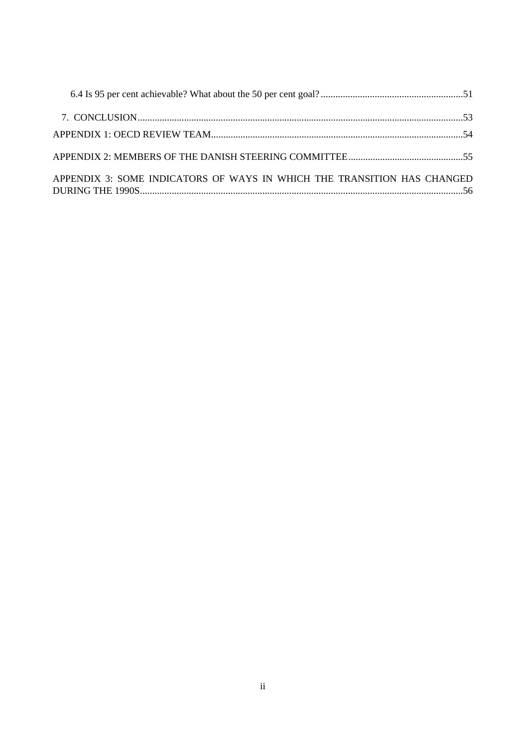| APPENDIX 3: SOME INDICATORS OF WAYS IN WHICH THE TRANSITION HAS CHANGED |  |
|-------------------------------------------------------------------------|--|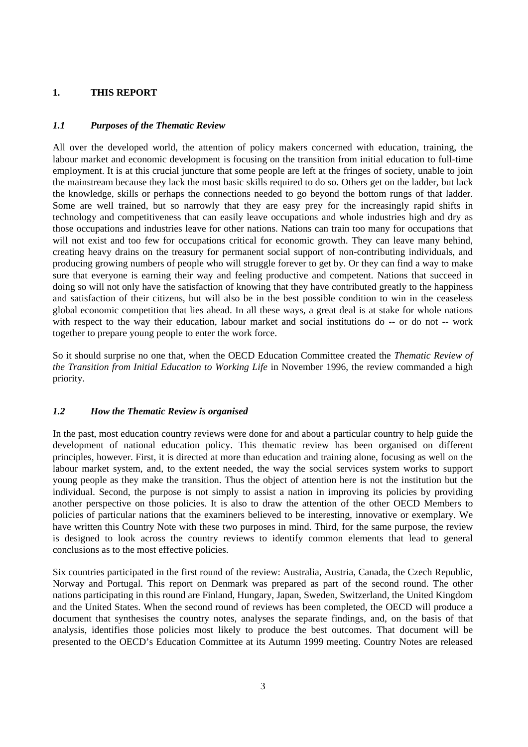## **1. THIS REPORT**

## *1.1 Purposes of the Thematic Review*

All over the developed world, the attention of policy makers concerned with education, training, the labour market and economic development is focusing on the transition from initial education to full-time employment. It is at this crucial juncture that some people are left at the fringes of society, unable to join the mainstream because they lack the most basic skills required to do so. Others get on the ladder, but lack the knowledge, skills or perhaps the connections needed to go beyond the bottom rungs of that ladder. Some are well trained, but so narrowly that they are easy prey for the increasingly rapid shifts in technology and competitiveness that can easily leave occupations and whole industries high and dry as those occupations and industries leave for other nations. Nations can train too many for occupations that will not exist and too few for occupations critical for economic growth. They can leave many behind, creating heavy drains on the treasury for permanent social support of non-contributing individuals, and producing growing numbers of people who will struggle forever to get by. Or they can find a way to make sure that everyone is earning their way and feeling productive and competent. Nations that succeed in doing so will not only have the satisfaction of knowing that they have contributed greatly to the happiness and satisfaction of their citizens, but will also be in the best possible condition to win in the ceaseless global economic competition that lies ahead. In all these ways, a great deal is at stake for whole nations with respect to the way their education, labour market and social institutions do -- or do not -- work together to prepare young people to enter the work force.

So it should surprise no one that, when the OECD Education Committee created the *Thematic Review of the Transition from Initial Education to Working Life* in November 1996, the review commanded a high priority.

## *1.2 How the Thematic Review is organised*

In the past, most education country reviews were done for and about a particular country to help guide the development of national education policy. This thematic review has been organised on different principles, however. First, it is directed at more than education and training alone, focusing as well on the labour market system, and, to the extent needed, the way the social services system works to support young people as they make the transition. Thus the object of attention here is not the institution but the individual. Second, the purpose is not simply to assist a nation in improving its policies by providing another perspective on those policies. It is also to draw the attention of the other OECD Members to policies of particular nations that the examiners believed to be interesting, innovative or exemplary. We have written this Country Note with these two purposes in mind. Third, for the same purpose, the review is designed to look across the country reviews to identify common elements that lead to general conclusions as to the most effective policies.

Six countries participated in the first round of the review: Australia, Austria, Canada, the Czech Republic, Norway and Portugal. This report on Denmark was prepared as part of the second round. The other nations participating in this round are Finland, Hungary, Japan, Sweden, Switzerland, the United Kingdom and the United States. When the second round of reviews has been completed, the OECD will produce a document that synthesises the country notes, analyses the separate findings, and, on the basis of that analysis, identifies those policies most likely to produce the best outcomes. That document will be presented to the OECD's Education Committee at its Autumn 1999 meeting. Country Notes are released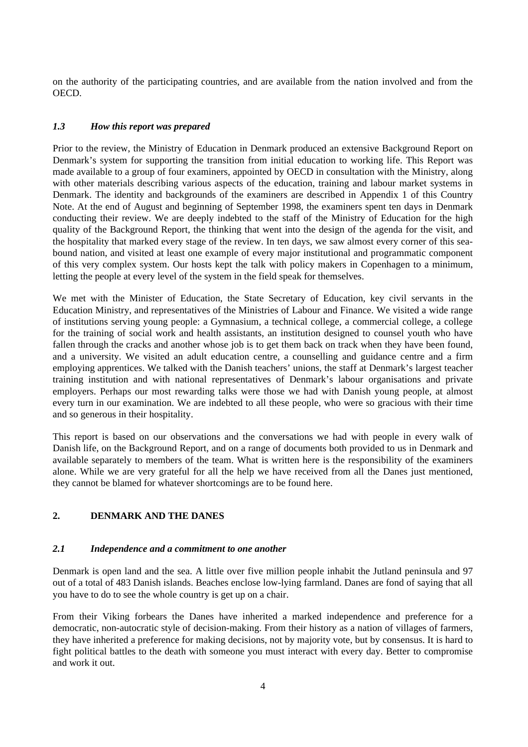on the authority of the participating countries, and are available from the nation involved and from the OECD.

## *1.3 How this report was prepared*

Prior to the review, the Ministry of Education in Denmark produced an extensive Background Report on Denmark's system for supporting the transition from initial education to working life. This Report was made available to a group of four examiners, appointed by OECD in consultation with the Ministry, along with other materials describing various aspects of the education, training and labour market systems in Denmark. The identity and backgrounds of the examiners are described in Appendix 1 of this Country Note. At the end of August and beginning of September 1998, the examiners spent ten days in Denmark conducting their review. We are deeply indebted to the staff of the Ministry of Education for the high quality of the Background Report, the thinking that went into the design of the agenda for the visit, and the hospitality that marked every stage of the review. In ten days, we saw almost every corner of this seabound nation, and visited at least one example of every major institutional and programmatic component of this very complex system. Our hosts kept the talk with policy makers in Copenhagen to a minimum, letting the people at every level of the system in the field speak for themselves.

We met with the Minister of Education, the State Secretary of Education, key civil servants in the Education Ministry, and representatives of the Ministries of Labour and Finance. We visited a wide range of institutions serving young people: a Gymnasium, a technical college, a commercial college, a college for the training of social work and health assistants, an institution designed to counsel youth who have fallen through the cracks and another whose job is to get them back on track when they have been found, and a university. We visited an adult education centre, a counselling and guidance centre and a firm employing apprentices. We talked with the Danish teachers' unions, the staff at Denmark's largest teacher training institution and with national representatives of Denmark's labour organisations and private employers. Perhaps our most rewarding talks were those we had with Danish young people, at almost every turn in our examination. We are indebted to all these people, who were so gracious with their time and so generous in their hospitality.

This report is based on our observations and the conversations we had with people in every walk of Danish life, on the Background Report, and on a range of documents both provided to us in Denmark and available separately to members of the team. What is written here is the responsibility of the examiners alone. While we are very grateful for all the help we have received from all the Danes just mentioned, they cannot be blamed for whatever shortcomings are to be found here.

## **2. DENMARK AND THE DANES**

## *2.1 Independence and a commitment to one another*

Denmark is open land and the sea. A little over five million people inhabit the Jutland peninsula and 97 out of a total of 483 Danish islands. Beaches enclose low-lying farmland. Danes are fond of saying that all you have to do to see the whole country is get up on a chair.

From their Viking forbears the Danes have inherited a marked independence and preference for a democratic, non-autocratic style of decision-making. From their history as a nation of villages of farmers, they have inherited a preference for making decisions, not by majority vote, but by consensus. It is hard to fight political battles to the death with someone you must interact with every day. Better to compromise and work it out.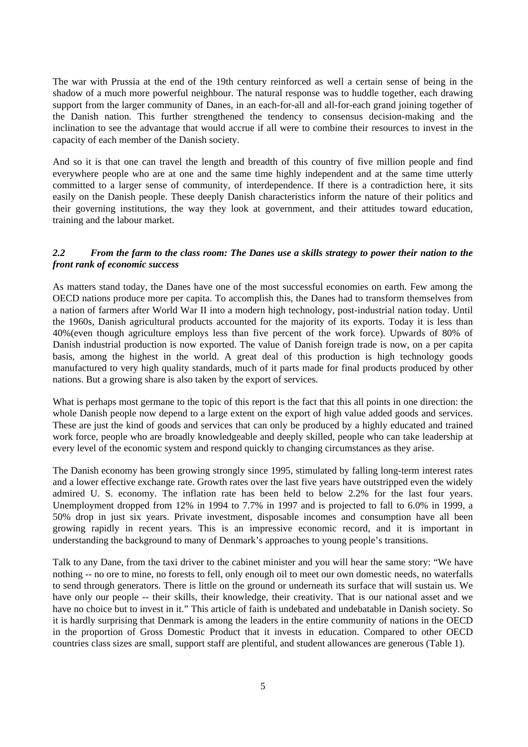The war with Prussia at the end of the 19th century reinforced as well a certain sense of being in the shadow of a much more powerful neighbour. The natural response was to huddle together, each drawing support from the larger community of Danes, in an each-for-all and all-for-each grand joining together of the Danish nation. This further strengthened the tendency to consensus decision-making and the inclination to see the advantage that would accrue if all were to combine their resources to invest in the capacity of each member of the Danish society.

And so it is that one can travel the length and breadth of this country of five million people and find everywhere people who are at one and the same time highly independent and at the same time utterly committed to a larger sense of community, of interdependence. If there is a contradiction here, it sits easily on the Danish people. These deeply Danish characteristics inform the nature of their politics and their governing institutions, the way they look at government, and their attitudes toward education, training and the labour market.

## *2.2 From the farm to the class room: The Danes use a skills strategy to power their nation to the front rank of economic success*

As matters stand today, the Danes have one of the most successful economies on earth. Few among the OECD nations produce more per capita. To accomplish this, the Danes had to transform themselves from a nation of farmers after World War II into a modern high technology, post-industrial nation today. Until the 1960s, Danish agricultural products accounted for the majority of its exports. Today it is less than 40%(even though agriculture employs less than five percent of the work force). Upwards of 80% of Danish industrial production is now exported. The value of Danish foreign trade is now, on a per capita basis, among the highest in the world. A great deal of this production is high technology goods manufactured to very high quality standards, much of it parts made for final products produced by other nations. But a growing share is also taken by the export of services.

What is perhaps most germane to the topic of this report is the fact that this all points in one direction: the whole Danish people now depend to a large extent on the export of high value added goods and services. These are just the kind of goods and services that can only be produced by a highly educated and trained work force, people who are broadly knowledgeable and deeply skilled, people who can take leadership at every level of the economic system and respond quickly to changing circumstances as they arise.

The Danish economy has been growing strongly since 1995, stimulated by falling long-term interest rates and a lower effective exchange rate. Growth rates over the last five years have outstripped even the widely admired U. S. economy. The inflation rate has been held to below 2.2% for the last four years. Unemployment dropped from 12% in 1994 to 7.7% in 1997 and is projected to fall to 6.0% in 1999, a 50% drop in just six years. Private investment, disposable incomes and consumption have all been growing rapidly in recent years. This is an impressive economic record, and it is important in understanding the background to many of Denmark's approaches to young people's transitions.

Talk to any Dane, from the taxi driver to the cabinet minister and you will hear the same story: "We have nothing -- no ore to mine, no forests to fell, only enough oil to meet our own domestic needs, no waterfalls to send through generators. There is little on the ground or underneath its surface that will sustain us. We have only our people -- their skills, their knowledge, their creativity. That is our national asset and we have no choice but to invest in it." This article of faith is undebated and undebatable in Danish society. So it is hardly surprising that Denmark is among the leaders in the entire community of nations in the OECD in the proportion of Gross Domestic Product that it invests in education. Compared to other OECD countries class sizes are small, support staff are plentiful, and student allowances are generous (Table 1).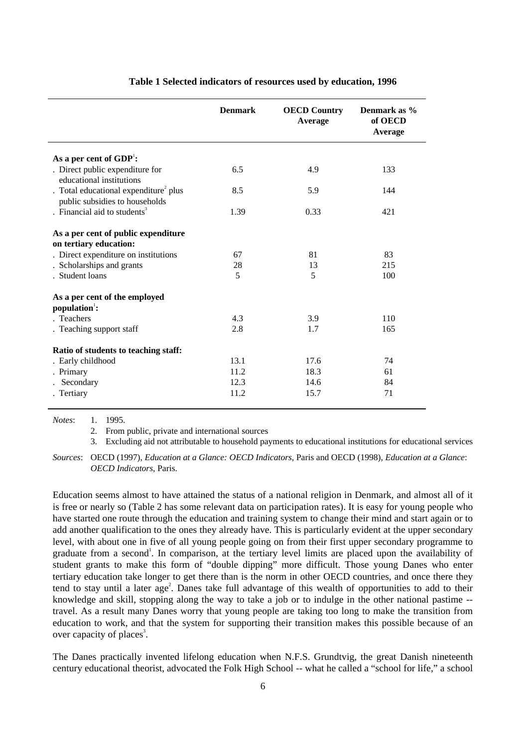|                                                                                     | <b>Denmark</b> | <b>OECD Country</b><br>Average | Denmark as %<br>of OECD<br>Average |
|-------------------------------------------------------------------------------------|----------------|--------------------------------|------------------------------------|
| As a per cent of $GDP1$ :                                                           |                |                                |                                    |
| . Direct public expenditure for<br>educational institutions                         | 6.5            | 4.9                            | 133                                |
| . Total educational expenditure <sup>2</sup> plus<br>public subsidies to households | 8.5            | 5.9                            | 144                                |
| . Financial aid to students $3$                                                     | 1.39           | 0.33                           | 421                                |
| As a per cent of public expenditure<br>on tertiary education:                       |                |                                |                                    |
| . Direct expenditure on institutions                                                | 67             | 81                             | 83                                 |
| . Scholarships and grants                                                           | 28             | 13                             | 215                                |
| . Student loans                                                                     | 5              | 5                              | 100                                |
| As a per cent of the employed<br>population <sup>1</sup> :                          |                |                                |                                    |
| . Teachers                                                                          | 4.3            | 3.9                            | 110                                |
| . Teaching support staff                                                            | 2.8            | 1.7                            | 165                                |
| Ratio of students to teaching staff:                                                |                |                                |                                    |
| . Early childhood                                                                   | 13.1           | 17.6                           | 74                                 |
| . Primary                                                                           | 11.2           | 18.3                           | 61                                 |
| Secondary                                                                           | 12.3           | 14.6                           | 84                                 |
| . Tertiary                                                                          | 11.2           | 15.7                           | 71                                 |

#### **Table 1 Selected indicators of resources used by education, 1996**

*Notes*: 1. 1995.

2. From public, private and international sources

3. Excluding aid not attributable to household payments to educational institutions for educational services

*Sources*: OECD (1997), *Education at a Glance: OECD Indicators*, Paris and OECD (1998), *Education at a Glance*: *OECD Indicators*, Paris.

Education seems almost to have attained the status of a national religion in Denmark, and almost all of it is free or nearly so (Table 2 has some relevant data on participation rates). It is easy for young people who have started one route through the education and training system to change their mind and start again or to add another qualification to the ones they already have. This is particularly evident at the upper secondary level, with about one in five of all young people going on from their first upper secondary programme to graduate from a second<sup>1</sup>. In comparison, at the tertiary level limits are placed upon the availability of student grants to make this form of "double dipping" more difficult. Those young Danes who enter tertiary education take longer to get there than is the norm in other OECD countries, and once there they tend to stay until a later age<sup>2</sup>. Danes take full advantage of this wealth of opportunities to add to their knowledge and skill, stopping along the way to take a job or to indulge in the other national pastime - travel. As a result many Danes worry that young people are taking too long to make the transition from education to work, and that the system for supporting their transition makes this possible because of an over capacity of places<sup>3</sup>.

The Danes practically invented lifelong education when N.F.S. Grundtvig, the great Danish nineteenth century educational theorist, advocated the Folk High School -- what he called a "school for life," a school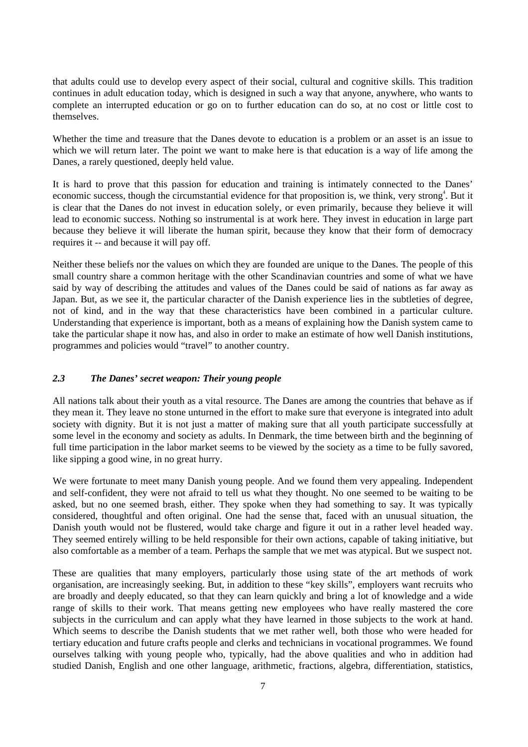that adults could use to develop every aspect of their social, cultural and cognitive skills. This tradition continues in adult education today, which is designed in such a way that anyone, anywhere, who wants to complete an interrupted education or go on to further education can do so, at no cost or little cost to themselves.

Whether the time and treasure that the Danes devote to education is a problem or an asset is an issue to which we will return later. The point we want to make here is that education is a way of life among the Danes, a rarely questioned, deeply held value.

It is hard to prove that this passion for education and training is intimately connected to the Danes' economic success, though the circumstantial evidence for that proposition is, we think, very strong<sup>4</sup>. But it is clear that the Danes do not invest in education solely, or even primarily, because they believe it will lead to economic success. Nothing so instrumental is at work here. They invest in education in large part because they believe it will liberate the human spirit, because they know that their form of democracy requires it -- and because it will pay off.

Neither these beliefs nor the values on which they are founded are unique to the Danes. The people of this small country share a common heritage with the other Scandinavian countries and some of what we have said by way of describing the attitudes and values of the Danes could be said of nations as far away as Japan. But, as we see it, the particular character of the Danish experience lies in the subtleties of degree, not of kind, and in the way that these characteristics have been combined in a particular culture. Understanding that experience is important, both as a means of explaining how the Danish system came to take the particular shape it now has, and also in order to make an estimate of how well Danish institutions, programmes and policies would "travel" to another country.

## *2.3 The Danes' secret weapon: Their young people*

All nations talk about their youth as a vital resource. The Danes are among the countries that behave as if they mean it. They leave no stone unturned in the effort to make sure that everyone is integrated into adult society with dignity. But it is not just a matter of making sure that all youth participate successfully at some level in the economy and society as adults. In Denmark, the time between birth and the beginning of full time participation in the labor market seems to be viewed by the society as a time to be fully savored, like sipping a good wine, in no great hurry.

We were fortunate to meet many Danish young people. And we found them very appealing. Independent and self-confident, they were not afraid to tell us what they thought. No one seemed to be waiting to be asked, but no one seemed brash, either. They spoke when they had something to say. It was typically considered, thoughtful and often original. One had the sense that, faced with an unusual situation, the Danish youth would not be flustered, would take charge and figure it out in a rather level headed way. They seemed entirely willing to be held responsible for their own actions, capable of taking initiative, but also comfortable as a member of a team. Perhaps the sample that we met was atypical. But we suspect not.

These are qualities that many employers, particularly those using state of the art methods of work organisation, are increasingly seeking. But, in addition to these "key skills", employers want recruits who are broadly and deeply educated, so that they can learn quickly and bring a lot of knowledge and a wide range of skills to their work. That means getting new employees who have really mastered the core subjects in the curriculum and can apply what they have learned in those subjects to the work at hand. Which seems to describe the Danish students that we met rather well, both those who were headed for tertiary education and future crafts people and clerks and technicians in vocational programmes. We found ourselves talking with young people who, typically, had the above qualities and who in addition had studied Danish, English and one other language, arithmetic, fractions, algebra, differentiation, statistics,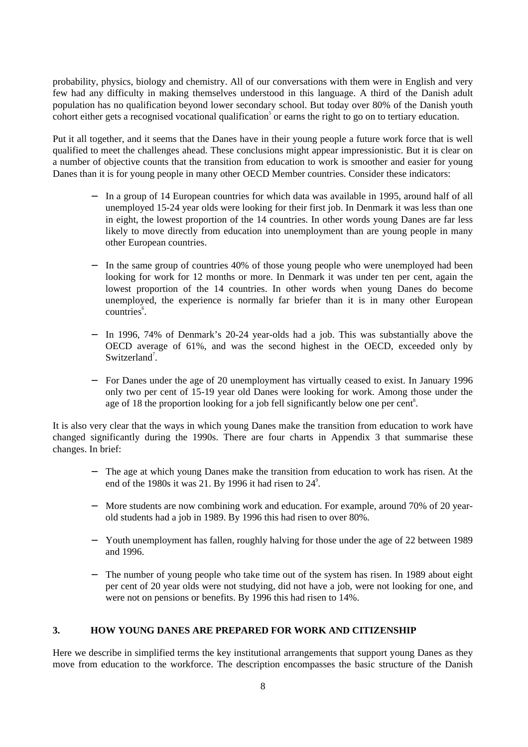probability, physics, biology and chemistry. All of our conversations with them were in English and very few had any difficulty in making themselves understood in this language. A third of the Danish adult population has no qualification beyond lower secondary school. But today over 80% of the Danish youth cohort either gets a recognised vocational qualification<sup>5</sup> or earns the right to go on to tertiary education.

Put it all together, and it seems that the Danes have in their young people a future work force that is well qualified to meet the challenges ahead. These conclusions might appear impressionistic. But it is clear on a number of objective counts that the transition from education to work is smoother and easier for young Danes than it is for young people in many other OECD Member countries. Consider these indicators:

- − In a group of 14 European countries for which data was available in 1995, around half of all unemployed 15-24 year olds were looking for their first job. In Denmark it was less than one in eight, the lowest proportion of the 14 countries. In other words young Danes are far less likely to move directly from education into unemployment than are young people in many other European countries.
- In the same group of countries 40% of those young people who were unemployed had been looking for work for 12 months or more. In Denmark it was under ten per cent, again the lowest proportion of the 14 countries. In other words when young Danes do become unemployed, the experience is normally far briefer than it is in many other European countries<sup>6</sup>.
- In 1996, 74% of Denmark's 20-24 year-olds had a job. This was substantially above the OECD average of 61%, and was the second highest in the OECD, exceeded only by Switzerland<sup>7</sup>.
- − For Danes under the age of 20 unemployment has virtually ceased to exist. In January 1996 only two per cent of 15-19 year old Danes were looking for work. Among those under the age of 18 the proportion looking for a job fell significantly below one per cent<sup>8</sup>.

It is also very clear that the ways in which young Danes make the transition from education to work have changed significantly during the 1990s. There are four charts in Appendix 3 that summarise these changes. In brief:

- − The age at which young Danes make the transition from education to work has risen. At the end of the 1980s it was 21. By 1996 it had risen to  $24^\circ$ .
- − More students are now combining work and education. For example, around 70% of 20 yearold students had a job in 1989. By 1996 this had risen to over 80%.
- − Youth unemployment has fallen, roughly halving for those under the age of 22 between 1989 and 1996.
- The number of young people who take time out of the system has risen. In 1989 about eight per cent of 20 year olds were not studying, did not have a job, were not looking for one, and were not on pensions or benefits. By 1996 this had risen to 14%.

## **3. HOW YOUNG DANES ARE PREPARED FOR WORK AND CITIZENSHIP**

Here we describe in simplified terms the key institutional arrangements that support young Danes as they move from education to the workforce. The description encompasses the basic structure of the Danish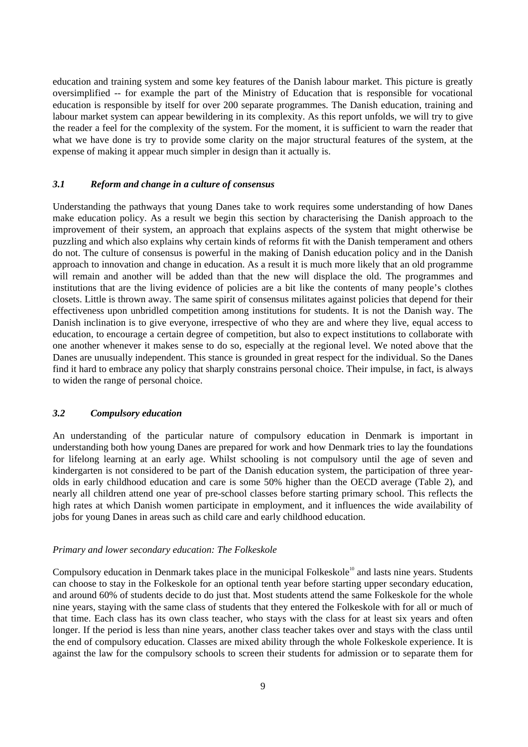education and training system and some key features of the Danish labour market. This picture is greatly oversimplified -- for example the part of the Ministry of Education that is responsible for vocational education is responsible by itself for over 200 separate programmes. The Danish education, training and labour market system can appear bewildering in its complexity. As this report unfolds, we will try to give the reader a feel for the complexity of the system. For the moment, it is sufficient to warn the reader that what we have done is try to provide some clarity on the major structural features of the system, at the expense of making it appear much simpler in design than it actually is.

## *3.1 Reform and change in a culture of consensus*

Understanding the pathways that young Danes take to work requires some understanding of how Danes make education policy. As a result we begin this section by characterising the Danish approach to the improvement of their system, an approach that explains aspects of the system that might otherwise be puzzling and which also explains why certain kinds of reforms fit with the Danish temperament and others do not. The culture of consensus is powerful in the making of Danish education policy and in the Danish approach to innovation and change in education. As a result it is much more likely that an old programme will remain and another will be added than that the new will displace the old. The programmes and institutions that are the living evidence of policies are a bit like the contents of many people's clothes closets. Little is thrown away. The same spirit of consensus militates against policies that depend for their effectiveness upon unbridled competition among institutions for students. It is not the Danish way. The Danish inclination is to give everyone, irrespective of who they are and where they live, equal access to education, to encourage a certain degree of competition, but also to expect institutions to collaborate with one another whenever it makes sense to do so, especially at the regional level. We noted above that the Danes are unusually independent. This stance is grounded in great respect for the individual. So the Danes find it hard to embrace any policy that sharply constrains personal choice. Their impulse, in fact, is always to widen the range of personal choice.

## *3.2 Compulsory education*

An understanding of the particular nature of compulsory education in Denmark is important in understanding both how young Danes are prepared for work and how Denmark tries to lay the foundations for lifelong learning at an early age. Whilst schooling is not compulsory until the age of seven and kindergarten is not considered to be part of the Danish education system, the participation of three yearolds in early childhood education and care is some 50% higher than the OECD average (Table 2), and nearly all children attend one year of pre-school classes before starting primary school. This reflects the high rates at which Danish women participate in employment, and it influences the wide availability of jobs for young Danes in areas such as child care and early childhood education.

#### *Primary and lower secondary education: The Folkeskole*

Compulsory education in Denmark takes place in the municipal Folkeskole<sup>10</sup> and lasts nine years. Students can choose to stay in the Folkeskole for an optional tenth year before starting upper secondary education, and around 60% of students decide to do just that. Most students attend the same Folkeskole for the whole nine years, staying with the same class of students that they entered the Folkeskole with for all or much of that time. Each class has its own class teacher, who stays with the class for at least six years and often longer. If the period is less than nine years, another class teacher takes over and stays with the class until the end of compulsory education. Classes are mixed ability through the whole Folkeskole experience. It is against the law for the compulsory schools to screen their students for admission or to separate them for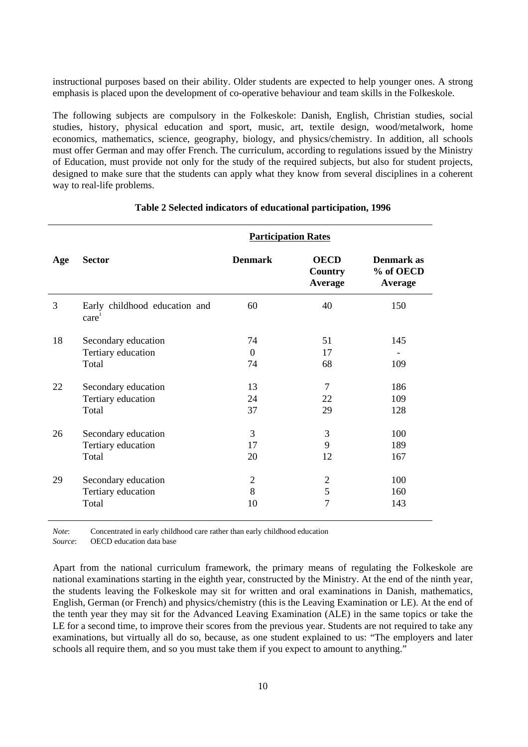instructional purposes based on their ability. Older students are expected to help younger ones. A strong emphasis is placed upon the development of co-operative behaviour and team skills in the Folkeskole.

The following subjects are compulsory in the Folkeskole: Danish, English, Christian studies, social studies, history, physical education and sport, music, art, textile design, wood/metalwork, home economics, mathematics, science, geography, biology, and physics/chemistry. In addition, all schools must offer German and may offer French. The curriculum, according to regulations issued by the Ministry of Education, must provide not only for the study of the required subjects, but also for student projects, designed to make sure that the students can apply what they know from several disciplines in a coherent way to real-life problems.

|     |                                                    | <b>Participation Rates</b> |                                          |                                    |  |
|-----|----------------------------------------------------|----------------------------|------------------------------------------|------------------------------------|--|
| Age | <b>Sector</b>                                      | <b>Denmark</b>             | <b>OECD</b><br><b>Country</b><br>Average | Denmark as<br>% of OECD<br>Average |  |
| 3   | Early childhood education and<br>care <sup>1</sup> | 60                         | 40                                       | 150                                |  |
| 18  | Secondary education                                | 74                         | 51                                       | 145                                |  |
|     | Tertiary education                                 | $\overline{0}$             | 17                                       |                                    |  |
|     | Total                                              | 74                         | 68                                       | 109                                |  |
| 22  | Secondary education                                | 13                         | 7                                        | 186                                |  |
|     | Tertiary education                                 | 24                         | 22                                       | 109                                |  |
|     | Total                                              | 37                         | 29                                       | 128                                |  |
| 26  | Secondary education                                | 3                          | 3                                        | 100                                |  |
|     | Tertiary education                                 | 17                         | 9                                        | 189                                |  |
|     | Total                                              | 20                         | 12                                       | 167                                |  |
| 29  | Secondary education                                | $\overline{2}$             | $\overline{2}$                           | 100                                |  |
|     | Tertiary education                                 | 8                          | 5                                        | 160                                |  |
|     | Total                                              | 10                         | $\overline{7}$                           | 143                                |  |

#### **Table 2 Selected indicators of educational participation, 1996**

*Note*: Concentrated in early childhood care rather than early childhood education

*Source*: OECD education data base

Apart from the national curriculum framework, the primary means of regulating the Folkeskole are national examinations starting in the eighth year, constructed by the Ministry. At the end of the ninth year, the students leaving the Folkeskole may sit for written and oral examinations in Danish, mathematics, English, German (or French) and physics/chemistry (this is the Leaving Examination or LE). At the end of the tenth year they may sit for the Advanced Leaving Examination (ALE) in the same topics or take the LE for a second time, to improve their scores from the previous year. Students are not required to take any examinations, but virtually all do so, because, as one student explained to us: "The employers and later schools all require them, and so you must take them if you expect to amount to anything."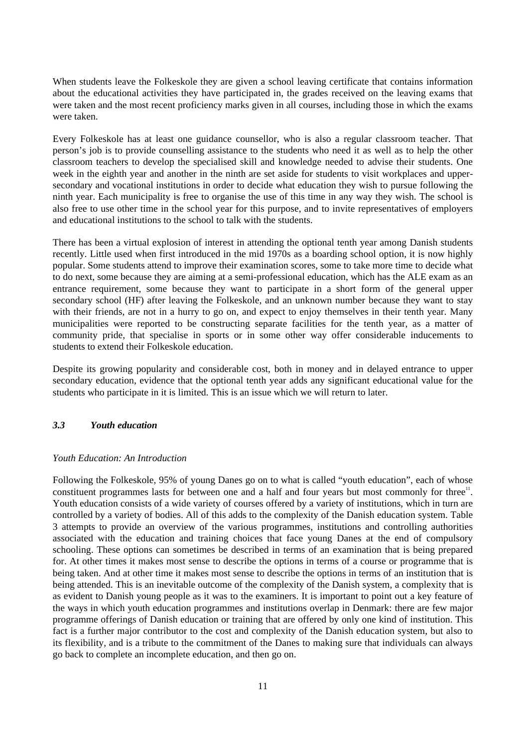When students leave the Folkeskole they are given a school leaving certificate that contains information about the educational activities they have participated in, the grades received on the leaving exams that were taken and the most recent proficiency marks given in all courses, including those in which the exams were taken.

Every Folkeskole has at least one guidance counsellor, who is also a regular classroom teacher. That person's job is to provide counselling assistance to the students who need it as well as to help the other classroom teachers to develop the specialised skill and knowledge needed to advise their students. One week in the eighth year and another in the ninth are set aside for students to visit workplaces and uppersecondary and vocational institutions in order to decide what education they wish to pursue following the ninth year. Each municipality is free to organise the use of this time in any way they wish. The school is also free to use other time in the school year for this purpose, and to invite representatives of employers and educational institutions to the school to talk with the students.

There has been a virtual explosion of interest in attending the optional tenth year among Danish students recently. Little used when first introduced in the mid 1970s as a boarding school option, it is now highly popular. Some students attend to improve their examination scores, some to take more time to decide what to do next, some because they are aiming at a semi-professional education, which has the ALE exam as an entrance requirement, some because they want to participate in a short form of the general upper secondary school (HF) after leaving the Folkeskole, and an unknown number because they want to stay with their friends, are not in a hurry to go on, and expect to enjoy themselves in their tenth year. Many municipalities were reported to be constructing separate facilities for the tenth year, as a matter of community pride, that specialise in sports or in some other way offer considerable inducements to students to extend their Folkeskole education.

Despite its growing popularity and considerable cost, both in money and in delayed entrance to upper secondary education, evidence that the optional tenth year adds any significant educational value for the students who participate in it is limited. This is an issue which we will return to later.

## *3.3 Youth education*

#### *Youth Education: An Introduction*

Following the Folkeskole, 95% of young Danes go on to what is called "youth education", each of whose constituent programmes lasts for between one and a half and four years but most commonly for three<sup>11</sup>. Youth education consists of a wide variety of courses offered by a variety of institutions, which in turn are controlled by a variety of bodies. All of this adds to the complexity of the Danish education system. Table 3 attempts to provide an overview of the various programmes, institutions and controlling authorities associated with the education and training choices that face young Danes at the end of compulsory schooling. These options can sometimes be described in terms of an examination that is being prepared for. At other times it makes most sense to describe the options in terms of a course or programme that is being taken. And at other time it makes most sense to describe the options in terms of an institution that is being attended. This is an inevitable outcome of the complexity of the Danish system, a complexity that is as evident to Danish young people as it was to the examiners. It is important to point out a key feature of the ways in which youth education programmes and institutions overlap in Denmark: there are few major programme offerings of Danish education or training that are offered by only one kind of institution. This fact is a further major contributor to the cost and complexity of the Danish education system, but also to its flexibility, and is a tribute to the commitment of the Danes to making sure that individuals can always go back to complete an incomplete education, and then go on.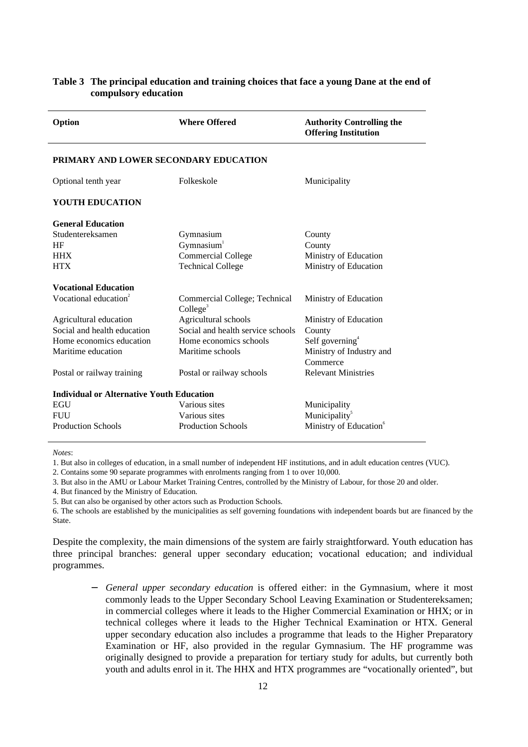| Option                                           | <b>Where Offered</b>                                  | <b>Authority Controlling the</b><br><b>Offering Institution</b> |  |  |  |
|--------------------------------------------------|-------------------------------------------------------|-----------------------------------------------------------------|--|--|--|
| PRIMARY AND LOWER SECONDARY EDUCATION            |                                                       |                                                                 |  |  |  |
| Optional tenth year                              | Folkeskole                                            | Municipality                                                    |  |  |  |
| <b>YOUTH EDUCATION</b>                           |                                                       |                                                                 |  |  |  |
| <b>General Education</b>                         |                                                       |                                                                 |  |  |  |
| Studentereksamen                                 | Gymnasium                                             | County                                                          |  |  |  |
| HF                                               | Gymnasium <sup>1</sup>                                | County                                                          |  |  |  |
| <b>HHX</b>                                       | <b>Commercial College</b>                             | Ministry of Education                                           |  |  |  |
| <b>HTX</b>                                       | <b>Technical College</b>                              | Ministry of Education                                           |  |  |  |
| <b>Vocational Education</b>                      |                                                       |                                                                 |  |  |  |
| Vocational education <sup>2</sup>                | Commercial College; Technical<br>College <sup>3</sup> | Ministry of Education                                           |  |  |  |
| Agricultural education                           | Agricultural schools                                  | Ministry of Education                                           |  |  |  |
| Social and health education                      | Social and health service schools                     | County                                                          |  |  |  |
| Home economics education                         | Home economics schools                                | Self governing <sup>4</sup>                                     |  |  |  |
| Maritime education                               | Maritime schools                                      | Ministry of Industry and                                        |  |  |  |
|                                                  |                                                       | Commerce                                                        |  |  |  |
| Postal or railway training                       | Postal or railway schools                             | <b>Relevant Ministries</b>                                      |  |  |  |
| <b>Individual or Alternative Youth Education</b> |                                                       |                                                                 |  |  |  |
| <b>EGU</b>                                       | Various sites                                         | Municipality                                                    |  |  |  |
| <b>FUU</b>                                       | Various sites                                         | Municipality <sup>5</sup>                                       |  |  |  |
| <b>Production Schools</b>                        | <b>Production Schools</b>                             | Ministry of Education <sup>6</sup>                              |  |  |  |

## **Table 3 The principal education and training choices that face a young Dane at the end of compulsory education**

*Notes*:

1. But also in colleges of education, in a small number of independent HF institutions, and in adult education centres (VUC).

2. Contains some 90 separate programmes with enrolments ranging from 1 to over 10,000.

3. But also in the AMU or Labour Market Training Centres, controlled by the Ministry of Labour, for those 20 and older.

4. But financed by the Ministry of Education.

5. But can also be organised by other actors such as Production Schools.

6. The schools are established by the municipalities as self governing foundations with independent boards but are financed by the State.

Despite the complexity, the main dimensions of the system are fairly straightforward. Youth education has three principal branches: general upper secondary education; vocational education; and individual programmes.

*General upper secondary education* is offered either: in the Gymnasium, where it most commonly leads to the Upper Secondary School Leaving Examination or Studentereksamen; in commercial colleges where it leads to the Higher Commercial Examination or HHX; or in technical colleges where it leads to the Higher Technical Examination or HTX. General upper secondary education also includes a programme that leads to the Higher Preparatory Examination or HF, also provided in the regular Gymnasium. The HF programme was originally designed to provide a preparation for tertiary study for adults, but currently both youth and adults enrol in it. The HHX and HTX programmes are "vocationally oriented", but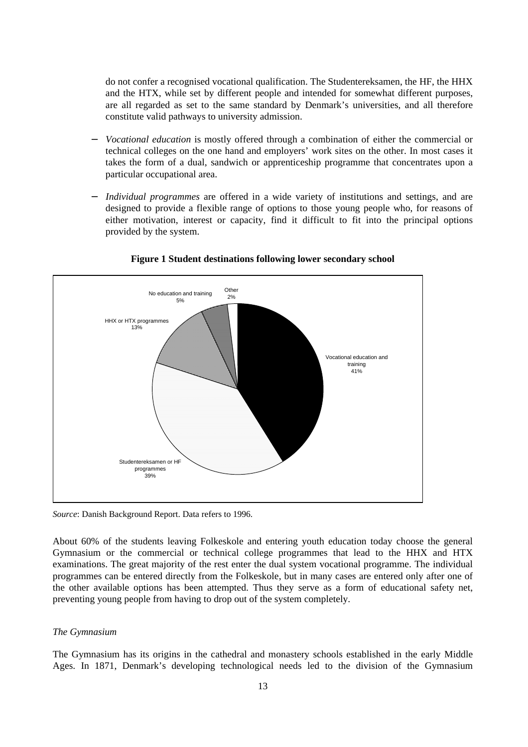do not confer a recognised vocational qualification. The Studentereksamen, the HF, the HHX and the HTX, while set by different people and intended for somewhat different purposes, are all regarded as set to the same standard by Denmark's universities, and all therefore constitute valid pathways to university admission.

- *Vocational education* is mostly offered through a combination of either the commercial or technical colleges on the one hand and employers' work sites on the other. In most cases it takes the form of a dual, sandwich or apprenticeship programme that concentrates upon a particular occupational area.
- *Individual programmes* are offered in a wide variety of institutions and settings, and are designed to provide a flexible range of options to those young people who, for reasons of either motivation, interest or capacity, find it difficult to fit into the principal options provided by the system.



**Figure 1 Student destinations following lower secondary school**

*Source*: Danish Background Report. Data refers to 1996.

About 60% of the students leaving Folkeskole and entering youth education today choose the general Gymnasium or the commercial or technical college programmes that lead to the HHX and HTX examinations. The great majority of the rest enter the dual system vocational programme. The individual programmes can be entered directly from the Folkeskole, but in many cases are entered only after one of the other available options has been attempted. Thus they serve as a form of educational safety net, preventing young people from having to drop out of the system completely.

#### *The Gymnasium*

The Gymnasium has its origins in the cathedral and monastery schools established in the early Middle Ages. In 1871, Denmark's developing technological needs led to the division of the Gymnasium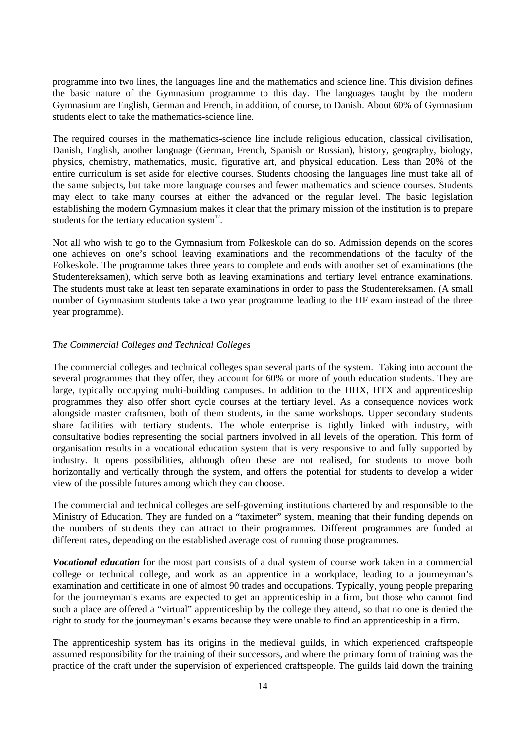programme into two lines, the languages line and the mathematics and science line. This division defines the basic nature of the Gymnasium programme to this day. The languages taught by the modern Gymnasium are English, German and French, in addition, of course, to Danish. About 60% of Gymnasium students elect to take the mathematics-science line.

The required courses in the mathematics-science line include religious education, classical civilisation, Danish, English, another language (German, French, Spanish or Russian), history, geography, biology, physics, chemistry, mathematics, music, figurative art, and physical education. Less than 20% of the entire curriculum is set aside for elective courses. Students choosing the languages line must take all of the same subjects, but take more language courses and fewer mathematics and science courses. Students may elect to take many courses at either the advanced or the regular level. The basic legislation establishing the modern Gymnasium makes it clear that the primary mission of the institution is to prepare students for the tertiary education system $12$ .

Not all who wish to go to the Gymnasium from Folkeskole can do so. Admission depends on the scores one achieves on one's school leaving examinations and the recommendations of the faculty of the Folkeskole. The programme takes three years to complete and ends with another set of examinations (the Studentereksamen), which serve both as leaving examinations and tertiary level entrance examinations. The students must take at least ten separate examinations in order to pass the Studentereksamen. (A small number of Gymnasium students take a two year programme leading to the HF exam instead of the three year programme).

## *The Commercial Colleges and Technical Colleges*

The commercial colleges and technical colleges span several parts of the system. Taking into account the several programmes that they offer, they account for 60% or more of youth education students. They are large, typically occupying multi-building campuses. In addition to the HHX, HTX and apprenticeship programmes they also offer short cycle courses at the tertiary level. As a consequence novices work alongside master craftsmen, both of them students, in the same workshops. Upper secondary students share facilities with tertiary students. The whole enterprise is tightly linked with industry, with consultative bodies representing the social partners involved in all levels of the operation. This form of organisation results in a vocational education system that is very responsive to and fully supported by industry. It opens possibilities, although often these are not realised, for students to move both horizontally and vertically through the system, and offers the potential for students to develop a wider view of the possible futures among which they can choose.

The commercial and technical colleges are self-governing institutions chartered by and responsible to the Ministry of Education. They are funded on a "taximeter" system, meaning that their funding depends on the numbers of students they can attract to their programmes. Different programmes are funded at different rates, depending on the established average cost of running those programmes.

*Vocational education* for the most part consists of a dual system of course work taken in a commercial college or technical college, and work as an apprentice in a workplace, leading to a journeyman's examination and certificate in one of almost 90 trades and occupations. Typically, young people preparing for the journeyman's exams are expected to get an apprenticeship in a firm, but those who cannot find such a place are offered a "virtual" apprenticeship by the college they attend, so that no one is denied the right to study for the journeyman's exams because they were unable to find an apprenticeship in a firm.

The apprenticeship system has its origins in the medieval guilds, in which experienced craftspeople assumed responsibility for the training of their successors, and where the primary form of training was the practice of the craft under the supervision of experienced craftspeople. The guilds laid down the training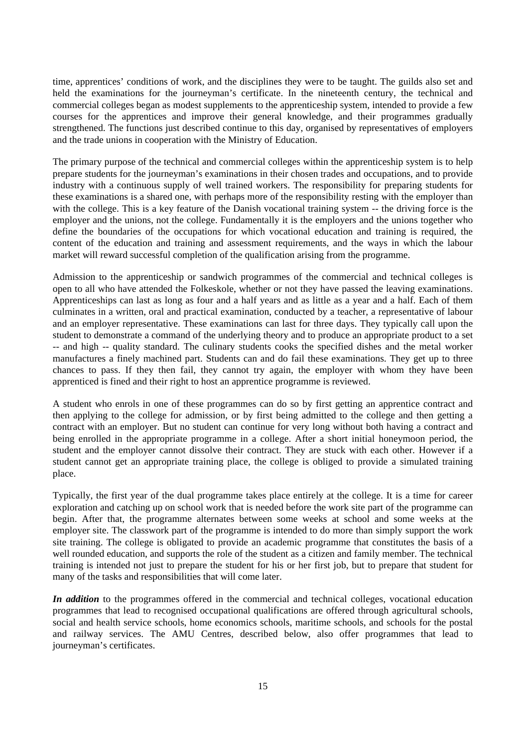time, apprentices' conditions of work, and the disciplines they were to be taught. The guilds also set and held the examinations for the journeyman's certificate. In the nineteenth century, the technical and commercial colleges began as modest supplements to the apprenticeship system, intended to provide a few courses for the apprentices and improve their general knowledge, and their programmes gradually strengthened. The functions just described continue to this day, organised by representatives of employers and the trade unions in cooperation with the Ministry of Education.

The primary purpose of the technical and commercial colleges within the apprenticeship system is to help prepare students for the journeyman's examinations in their chosen trades and occupations, and to provide industry with a continuous supply of well trained workers. The responsibility for preparing students for these examinations is a shared one, with perhaps more of the responsibility resting with the employer than with the college. This is a key feature of the Danish vocational training system -- the driving force is the employer and the unions, not the college. Fundamentally it is the employers and the unions together who define the boundaries of the occupations for which vocational education and training is required, the content of the education and training and assessment requirements, and the ways in which the labour market will reward successful completion of the qualification arising from the programme.

Admission to the apprenticeship or sandwich programmes of the commercial and technical colleges is open to all who have attended the Folkeskole, whether or not they have passed the leaving examinations. Apprenticeships can last as long as four and a half years and as little as a year and a half. Each of them culminates in a written, oral and practical examination, conducted by a teacher, a representative of labour and an employer representative. These examinations can last for three days. They typically call upon the student to demonstrate a command of the underlying theory and to produce an appropriate product to a set -- and high -- quality standard. The culinary students cooks the specified dishes and the metal worker manufactures a finely machined part. Students can and do fail these examinations. They get up to three chances to pass. If they then fail, they cannot try again, the employer with whom they have been apprenticed is fined and their right to host an apprentice programme is reviewed.

A student who enrols in one of these programmes can do so by first getting an apprentice contract and then applying to the college for admission, or by first being admitted to the college and then getting a contract with an employer. But no student can continue for very long without both having a contract and being enrolled in the appropriate programme in a college. After a short initial honeymoon period, the student and the employer cannot dissolve their contract. They are stuck with each other. However if a student cannot get an appropriate training place, the college is obliged to provide a simulated training place.

Typically, the first year of the dual programme takes place entirely at the college. It is a time for career exploration and catching up on school work that is needed before the work site part of the programme can begin. After that, the programme alternates between some weeks at school and some weeks at the employer site. The classwork part of the programme is intended to do more than simply support the work site training. The college is obligated to provide an academic programme that constitutes the basis of a well rounded education, and supports the role of the student as a citizen and family member. The technical training is intended not just to prepare the student for his or her first job, but to prepare that student for many of the tasks and responsibilities that will come later.

*In addition* to the programmes offered in the commercial and technical colleges, vocational education programmes that lead to recognised occupational qualifications are offered through agricultural schools, social and health service schools, home economics schools, maritime schools, and schools for the postal and railway services. The AMU Centres, described below, also offer programmes that lead to journeyman's certificates.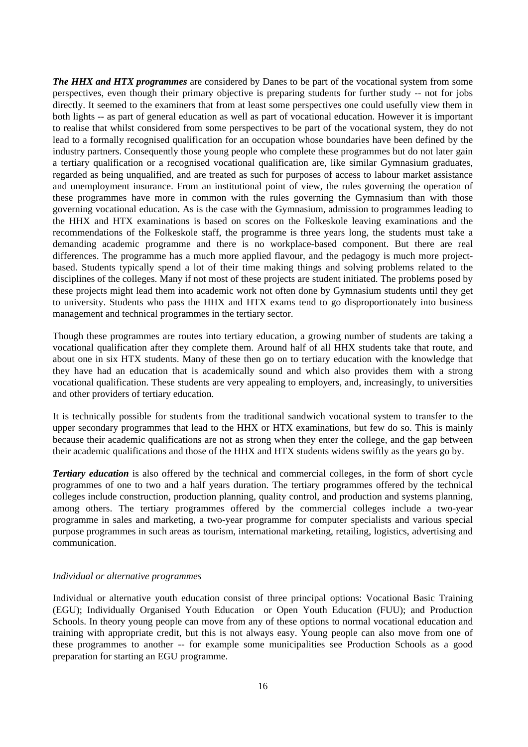*The HHX and HTX programmes* are considered by Danes to be part of the vocational system from some perspectives, even though their primary objective is preparing students for further study -- not for jobs directly. It seemed to the examiners that from at least some perspectives one could usefully view them in both lights -- as part of general education as well as part of vocational education. However it is important to realise that whilst considered from some perspectives to be part of the vocational system, they do not lead to a formally recognised qualification for an occupation whose boundaries have been defined by the industry partners. Consequently those young people who complete these programmes but do not later gain a tertiary qualification or a recognised vocational qualification are, like similar Gymnasium graduates, regarded as being unqualified, and are treated as such for purposes of access to labour market assistance and unemployment insurance. From an institutional point of view, the rules governing the operation of these programmes have more in common with the rules governing the Gymnasium than with those governing vocational education. As is the case with the Gymnasium, admission to programmes leading to the HHX and HTX examinations is based on scores on the Folkeskole leaving examinations and the recommendations of the Folkeskole staff, the programme is three years long, the students must take a demanding academic programme and there is no workplace-based component. But there are real differences. The programme has a much more applied flavour, and the pedagogy is much more projectbased. Students typically spend a lot of their time making things and solving problems related to the disciplines of the colleges. Many if not most of these projects are student initiated. The problems posed by these projects might lead them into academic work not often done by Gymnasium students until they get to university. Students who pass the HHX and HTX exams tend to go disproportionately into business management and technical programmes in the tertiary sector.

Though these programmes are routes into tertiary education, a growing number of students are taking a vocational qualification after they complete them. Around half of all HHX students take that route, and about one in six HTX students. Many of these then go on to tertiary education with the knowledge that they have had an education that is academically sound and which also provides them with a strong vocational qualification. These students are very appealing to employers, and, increasingly, to universities and other providers of tertiary education.

It is technically possible for students from the traditional sandwich vocational system to transfer to the upper secondary programmes that lead to the HHX or HTX examinations, but few do so. This is mainly because their academic qualifications are not as strong when they enter the college, and the gap between their academic qualifications and those of the HHX and HTX students widens swiftly as the years go by.

*Tertiary education* is also offered by the technical and commercial colleges, in the form of short cycle programmes of one to two and a half years duration. The tertiary programmes offered by the technical colleges include construction, production planning, quality control, and production and systems planning, among others. The tertiary programmes offered by the commercial colleges include a two-year programme in sales and marketing, a two-year programme for computer specialists and various special purpose programmes in such areas as tourism, international marketing, retailing, logistics, advertising and communication.

#### *Individual or alternative programmes*

Individual or alternative youth education consist of three principal options: Vocational Basic Training (EGU); Individually Organised Youth Education or Open Youth Education (FUU); and Production Schools. In theory young people can move from any of these options to normal vocational education and training with appropriate credit, but this is not always easy. Young people can also move from one of these programmes to another -- for example some municipalities see Production Schools as a good preparation for starting an EGU programme.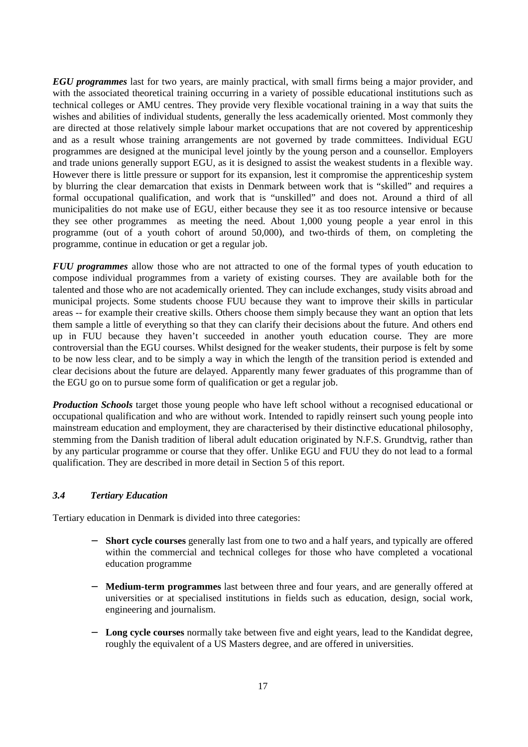*EGU programmes* last for two years, are mainly practical, with small firms being a major provider, and with the associated theoretical training occurring in a variety of possible educational institutions such as technical colleges or AMU centres. They provide very flexible vocational training in a way that suits the wishes and abilities of individual students, generally the less academically oriented. Most commonly they are directed at those relatively simple labour market occupations that are not covered by apprenticeship and as a result whose training arrangements are not governed by trade committees. Individual EGU programmes are designed at the municipal level jointly by the young person and a counsellor. Employers and trade unions generally support EGU, as it is designed to assist the weakest students in a flexible way. However there is little pressure or support for its expansion, lest it compromise the apprenticeship system by blurring the clear demarcation that exists in Denmark between work that is "skilled" and requires a formal occupational qualification, and work that is "unskilled" and does not. Around a third of all municipalities do not make use of EGU, either because they see it as too resource intensive or because they see other programmes as meeting the need. About 1,000 young people a year enrol in this programme (out of a youth cohort of around 50,000), and two-thirds of them, on completing the programme, continue in education or get a regular job.

*FUU programmes* allow those who are not attracted to one of the formal types of youth education to compose individual programmes from a variety of existing courses. They are available both for the talented and those who are not academically oriented. They can include exchanges, study visits abroad and municipal projects. Some students choose FUU because they want to improve their skills in particular areas -- for example their creative skills. Others choose them simply because they want an option that lets them sample a little of everything so that they can clarify their decisions about the future. And others end up in FUU because they haven't succeeded in another youth education course. They are more controversial than the EGU courses. Whilst designed for the weaker students, their purpose is felt by some to be now less clear, and to be simply a way in which the length of the transition period is extended and clear decisions about the future are delayed. Apparently many fewer graduates of this programme than of the EGU go on to pursue some form of qualification or get a regular job.

*Production Schools* target those young people who have left school without a recognised educational or occupational qualification and who are without work. Intended to rapidly reinsert such young people into mainstream education and employment, they are characterised by their distinctive educational philosophy, stemming from the Danish tradition of liberal adult education originated by N.F.S. Grundtvig, rather than by any particular programme or course that they offer. Unlike EGU and FUU they do not lead to a formal qualification. They are described in more detail in Section 5 of this report.

## *3.4 Tertiary Education*

Tertiary education in Denmark is divided into three categories:

- − **Short cycle courses** generally last from one to two and a half years, and typically are offered within the commercial and technical colleges for those who have completed a vocational education programme
- − **Medium-term programmes** last between three and four years, and are generally offered at universities or at specialised institutions in fields such as education, design, social work, engineering and journalism.
- **Long cycle courses** normally take between five and eight years, lead to the Kandidat degree, roughly the equivalent of a US Masters degree, and are offered in universities.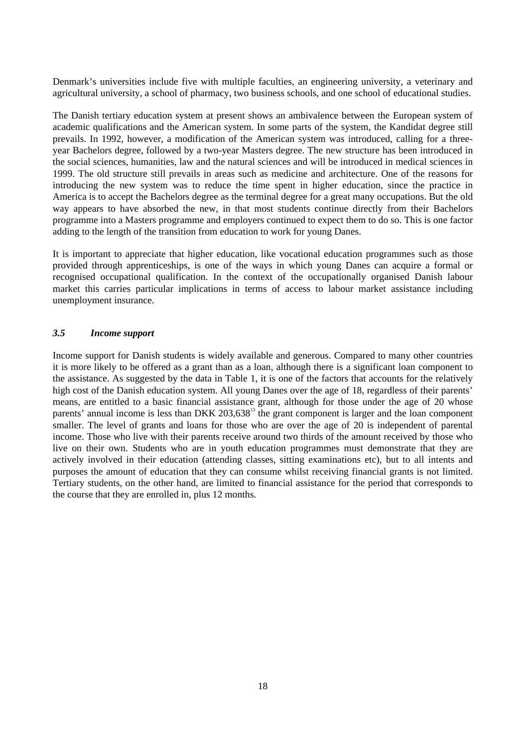Denmark's universities include five with multiple faculties, an engineering university, a veterinary and agricultural university, a school of pharmacy, two business schools, and one school of educational studies.

The Danish tertiary education system at present shows an ambivalence between the European system of academic qualifications and the American system. In some parts of the system, the Kandidat degree still prevails. In 1992, however, a modification of the American system was introduced, calling for a threeyear Bachelors degree, followed by a two-year Masters degree. The new structure has been introduced in the social sciences, humanities, law and the natural sciences and will be introduced in medical sciences in 1999. The old structure still prevails in areas such as medicine and architecture. One of the reasons for introducing the new system was to reduce the time spent in higher education, since the practice in America is to accept the Bachelors degree as the terminal degree for a great many occupations. But the old way appears to have absorbed the new, in that most students continue directly from their Bachelors programme into a Masters programme and employers continued to expect them to do so. This is one factor adding to the length of the transition from education to work for young Danes.

It is important to appreciate that higher education, like vocational education programmes such as those provided through apprenticeships, is one of the ways in which young Danes can acquire a formal or recognised occupational qualification. In the context of the occupationally organised Danish labour market this carries particular implications in terms of access to labour market assistance including unemployment insurance.

#### *3.5 Income support*

Income support for Danish students is widely available and generous. Compared to many other countries it is more likely to be offered as a grant than as a loan, although there is a significant loan component to the assistance. As suggested by the data in Table 1, it is one of the factors that accounts for the relatively high cost of the Danish education system. All young Danes over the age of 18, regardless of their parents' means, are entitled to a basic financial assistance grant, although for those under the age of 20 whose parents' annual income is less than DKK 203.638<sup>13</sup> the grant component is larger and the loan component smaller. The level of grants and loans for those who are over the age of 20 is independent of parental income. Those who live with their parents receive around two thirds of the amount received by those who live on their own. Students who are in youth education programmes must demonstrate that they are actively involved in their education (attending classes, sitting examinations etc), but to all intents and purposes the amount of education that they can consume whilst receiving financial grants is not limited. Tertiary students, on the other hand, are limited to financial assistance for the period that corresponds to the course that they are enrolled in, plus 12 months.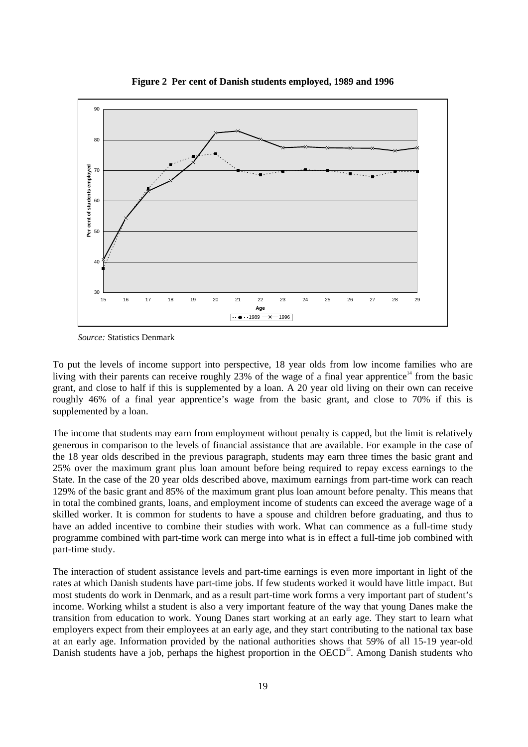

**Figure 2 Per cent of Danish students employed, 1989 and 1996**

*Source:* Statistics Denmark

To put the levels of income support into perspective, 18 year olds from low income families who are living with their parents can receive roughly 23% of the wage of a final year apprentice<sup>14</sup> from the basic grant, and close to half if this is supplemented by a loan. A 20 year old living on their own can receive roughly 46% of a final year apprentice's wage from the basic grant, and close to 70% if this is supplemented by a loan.

The income that students may earn from employment without penalty is capped, but the limit is relatively generous in comparison to the levels of financial assistance that are available. For example in the case of the 18 year olds described in the previous paragraph, students may earn three times the basic grant and 25% over the maximum grant plus loan amount before being required to repay excess earnings to the State. In the case of the 20 year olds described above, maximum earnings from part-time work can reach 129% of the basic grant and 85% of the maximum grant plus loan amount before penalty. This means that in total the combined grants, loans, and employment income of students can exceed the average wage of a skilled worker. It is common for students to have a spouse and children before graduating, and thus to have an added incentive to combine their studies with work. What can commence as a full-time study programme combined with part-time work can merge into what is in effect a full-time job combined with part-time study.

The interaction of student assistance levels and part-time earnings is even more important in light of the rates at which Danish students have part-time jobs. If few students worked it would have little impact. But most students do work in Denmark, and as a result part-time work forms a very important part of student's income. Working whilst a student is also a very important feature of the way that young Danes make the transition from education to work. Young Danes start working at an early age. They start to learn what employers expect from their employees at an early age, and they start contributing to the national tax base at an early age. Information provided by the national authorities shows that 59% of all 15-19 year-old Danish students have a job, perhaps the highest proportion in the OECD<sup>15</sup>. Among Danish students who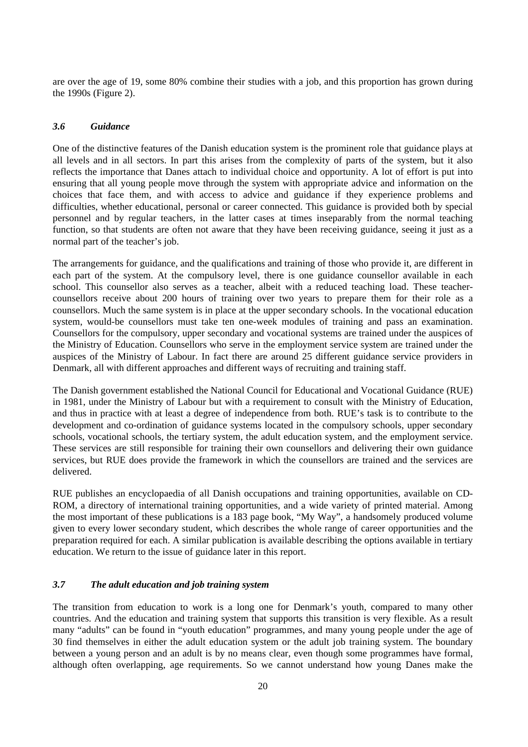are over the age of 19, some 80% combine their studies with a job, and this proportion has grown during the 1990s (Figure 2).

#### *3.6 Guidance*

One of the distinctive features of the Danish education system is the prominent role that guidance plays at all levels and in all sectors. In part this arises from the complexity of parts of the system, but it also reflects the importance that Danes attach to individual choice and opportunity. A lot of effort is put into ensuring that all young people move through the system with appropriate advice and information on the choices that face them, and with access to advice and guidance if they experience problems and difficulties, whether educational, personal or career connected. This guidance is provided both by special personnel and by regular teachers, in the latter cases at times inseparably from the normal teaching function, so that students are often not aware that they have been receiving guidance, seeing it just as a normal part of the teacher's job.

The arrangements for guidance, and the qualifications and training of those who provide it, are different in each part of the system. At the compulsory level, there is one guidance counsellor available in each school. This counsellor also serves as a teacher, albeit with a reduced teaching load. These teachercounsellors receive about 200 hours of training over two years to prepare them for their role as a counsellors. Much the same system is in place at the upper secondary schools. In the vocational education system, would-be counsellors must take ten one-week modules of training and pass an examination. Counsellors for the compulsory, upper secondary and vocational systems are trained under the auspices of the Ministry of Education. Counsellors who serve in the employment service system are trained under the auspices of the Ministry of Labour. In fact there are around 25 different guidance service providers in Denmark, all with different approaches and different ways of recruiting and training staff.

The Danish government established the National Council for Educational and Vocational Guidance (RUE) in 1981, under the Ministry of Labour but with a requirement to consult with the Ministry of Education, and thus in practice with at least a degree of independence from both. RUE's task is to contribute to the development and co-ordination of guidance systems located in the compulsory schools, upper secondary schools, vocational schools, the tertiary system, the adult education system, and the employment service. These services are still responsible for training their own counsellors and delivering their own guidance services, but RUE does provide the framework in which the counsellors are trained and the services are delivered.

RUE publishes an encyclopaedia of all Danish occupations and training opportunities, available on CD-ROM, a directory of international training opportunities, and a wide variety of printed material. Among the most important of these publications is a 183 page book, "My Way", a handsomely produced volume given to every lower secondary student, which describes the whole range of career opportunities and the preparation required for each. A similar publication is available describing the options available in tertiary education. We return to the issue of guidance later in this report.

## *3.7 The adult education and job training system*

The transition from education to work is a long one for Denmark's youth, compared to many other countries. And the education and training system that supports this transition is very flexible. As a result many "adults" can be found in "youth education" programmes, and many young people under the age of 30 find themselves in either the adult education system or the adult job training system. The boundary between a young person and an adult is by no means clear, even though some programmes have formal, although often overlapping, age requirements. So we cannot understand how young Danes make the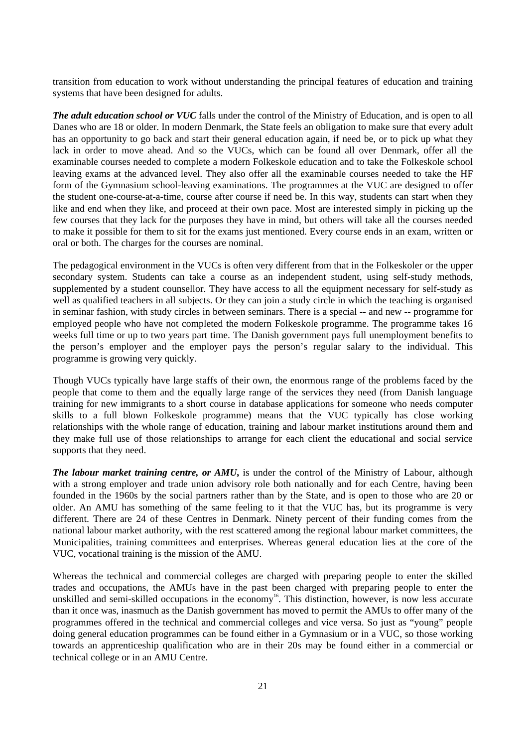transition from education to work without understanding the principal features of education and training systems that have been designed for adults.

*The adult education school or VUC* falls under the control of the Ministry of Education, and is open to all Danes who are 18 or older. In modern Denmark, the State feels an obligation to make sure that every adult has an opportunity to go back and start their general education again, if need be, or to pick up what they lack in order to move ahead. And so the VUCs, which can be found all over Denmark, offer all the examinable courses needed to complete a modern Folkeskole education and to take the Folkeskole school leaving exams at the advanced level. They also offer all the examinable courses needed to take the HF form of the Gymnasium school-leaving examinations. The programmes at the VUC are designed to offer the student one-course-at-a-time, course after course if need be. In this way, students can start when they like and end when they like, and proceed at their own pace. Most are interested simply in picking up the few courses that they lack for the purposes they have in mind, but others will take all the courses needed to make it possible for them to sit for the exams just mentioned. Every course ends in an exam, written or oral or both. The charges for the courses are nominal.

The pedagogical environment in the VUCs is often very different from that in the Folkeskoler or the upper secondary system. Students can take a course as an independent student, using self-study methods, supplemented by a student counsellor. They have access to all the equipment necessary for self-study as well as qualified teachers in all subjects. Or they can join a study circle in which the teaching is organised in seminar fashion, with study circles in between seminars. There is a special -- and new -- programme for employed people who have not completed the modern Folkeskole programme. The programme takes 16 weeks full time or up to two years part time. The Danish government pays full unemployment benefits to the person's employer and the employer pays the person's regular salary to the individual. This programme is growing very quickly.

Though VUCs typically have large staffs of their own, the enormous range of the problems faced by the people that come to them and the equally large range of the services they need (from Danish language training for new immigrants to a short course in database applications for someone who needs computer skills to a full blown Folkeskole programme) means that the VUC typically has close working relationships with the whole range of education, training and labour market institutions around them and they make full use of those relationships to arrange for each client the educational and social service supports that they need.

*The labour market training centre, or AMU***,** is under the control of the Ministry of Labour, although with a strong employer and trade union advisory role both nationally and for each Centre, having been founded in the 1960s by the social partners rather than by the State, and is open to those who are 20 or older. An AMU has something of the same feeling to it that the VUC has, but its programme is very different. There are 24 of these Centres in Denmark. Ninety percent of their funding comes from the national labour market authority, with the rest scattered among the regional labour market committees, the Municipalities, training committees and enterprises. Whereas general education lies at the core of the VUC, vocational training is the mission of the AMU.

Whereas the technical and commercial colleges are charged with preparing people to enter the skilled trades and occupations, the AMUs have in the past been charged with preparing people to enter the unskilled and semi-skilled occupations in the economy<sup>16</sup>. This distinction, however, is now less accurate than it once was, inasmuch as the Danish government has moved to permit the AMUs to offer many of the programmes offered in the technical and commercial colleges and vice versa. So just as "young" people doing general education programmes can be found either in a Gymnasium or in a VUC, so those working towards an apprenticeship qualification who are in their 20s may be found either in a commercial or technical college or in an AMU Centre.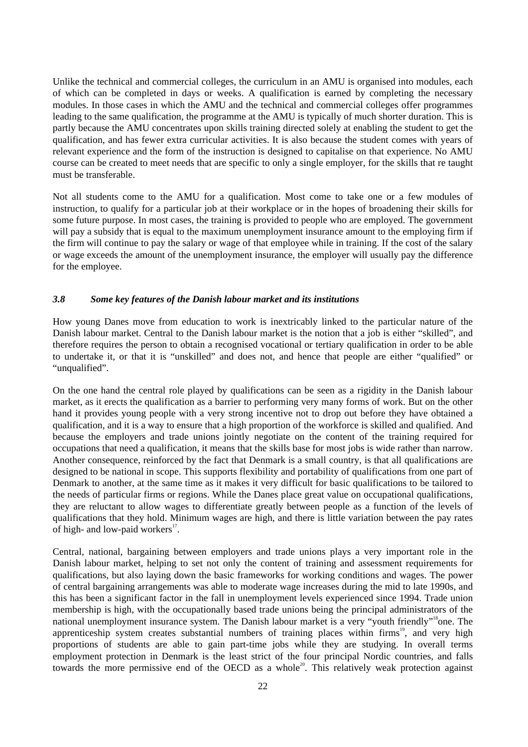Unlike the technical and commercial colleges, the curriculum in an AMU is organised into modules, each of which can be completed in days or weeks. A qualification is earned by completing the necessary modules. In those cases in which the AMU and the technical and commercial colleges offer programmes leading to the same qualification, the programme at the AMU is typically of much shorter duration. This is partly because the AMU concentrates upon skills training directed solely at enabling the student to get the qualification, and has fewer extra curricular activities. It is also because the student comes with years of relevant experience and the form of the instruction is designed to capitalise on that experience. No AMU course can be created to meet needs that are specific to only a single employer, for the skills that re taught must be transferable.

Not all students come to the AMU for a qualification. Most come to take one or a few modules of instruction, to qualify for a particular job at their workplace or in the hopes of broadening their skills for some future purpose. In most cases, the training is provided to people who are employed. The government will pay a subsidy that is equal to the maximum unemployment insurance amount to the employing firm if the firm will continue to pay the salary or wage of that employee while in training. If the cost of the salary or wage exceeds the amount of the unemployment insurance, the employer will usually pay the difference for the employee.

#### *3.8 Some key features of the Danish labour market and its institutions*

How young Danes move from education to work is inextricably linked to the particular nature of the Danish labour market. Central to the Danish labour market is the notion that a job is either "skilled", and therefore requires the person to obtain a recognised vocational or tertiary qualification in order to be able to undertake it, or that it is "unskilled" and does not, and hence that people are either "qualified" or "unqualified".

On the one hand the central role played by qualifications can be seen as a rigidity in the Danish labour market, as it erects the qualification as a barrier to performing very many forms of work. But on the other hand it provides young people with a very strong incentive not to drop out before they have obtained a qualification, and it is a way to ensure that a high proportion of the workforce is skilled and qualified. And because the employers and trade unions jointly negotiate on the content of the training required for occupations that need a qualification, it means that the skills base for most jobs is wide rather than narrow. Another consequence, reinforced by the fact that Denmark is a small country, is that all qualifications are designed to be national in scope. This supports flexibility and portability of qualifications from one part of Denmark to another, at the same time as it makes it very difficult for basic qualifications to be tailored to the needs of particular firms or regions. While the Danes place great value on occupational qualifications, they are reluctant to allow wages to differentiate greatly between people as a function of the levels of qualifications that they hold. Minimum wages are high, and there is little variation between the pay rates of high- and low-paid workers<sup>17</sup>.

Central, national, bargaining between employers and trade unions plays a very important role in the Danish labour market, helping to set not only the content of training and assessment requirements for qualifications, but also laying down the basic frameworks for working conditions and wages. The power of central bargaining arrangements was able to moderate wage increases during the mid to late 1990s, and this has been a significant factor in the fall in unemployment levels experienced since 1994. Trade union membership is high, with the occupationally based trade unions being the principal administrators of the national unemployment insurance system. The Danish labour market is a very "youth friendly"<sup>18</sup>one. The apprenticeship system creates substantial numbers of training places within firms<sup>19</sup>, and very high proportions of students are able to gain part-time jobs while they are studying. In overall terms employment protection in Denmark is the least strict of the four principal Nordic countries, and falls towards the more permissive end of the OECD as a whole<sup>20</sup>. This relatively weak protection against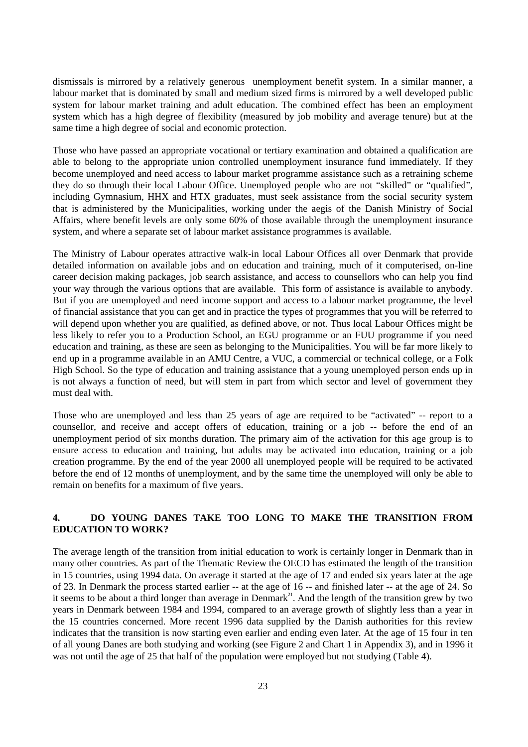dismissals is mirrored by a relatively generous unemployment benefit system. In a similar manner, a labour market that is dominated by small and medium sized firms is mirrored by a well developed public system for labour market training and adult education. The combined effect has been an employment system which has a high degree of flexibility (measured by job mobility and average tenure) but at the same time a high degree of social and economic protection.

Those who have passed an appropriate vocational or tertiary examination and obtained a qualification are able to belong to the appropriate union controlled unemployment insurance fund immediately. If they become unemployed and need access to labour market programme assistance such as a retraining scheme they do so through their local Labour Office. Unemployed people who are not "skilled" or "qualified", including Gymnasium, HHX and HTX graduates, must seek assistance from the social security system that is administered by the Municipalities, working under the aegis of the Danish Ministry of Social Affairs, where benefit levels are only some 60% of those available through the unemployment insurance system, and where a separate set of labour market assistance programmes is available.

The Ministry of Labour operates attractive walk-in local Labour Offices all over Denmark that provide detailed information on available jobs and on education and training, much of it computerised, on-line career decision making packages, job search assistance, and access to counsellors who can help you find your way through the various options that are available. This form of assistance is available to anybody. But if you are unemployed and need income support and access to a labour market programme, the level of financial assistance that you can get and in practice the types of programmes that you will be referred to will depend upon whether you are qualified, as defined above, or not. Thus local Labour Offices might be less likely to refer you to a Production School, an EGU programme or an FUU programme if you need education and training, as these are seen as belonging to the Municipalities. You will be far more likely to end up in a programme available in an AMU Centre, a VUC, a commercial or technical college, or a Folk High School. So the type of education and training assistance that a young unemployed person ends up in is not always a function of need, but will stem in part from which sector and level of government they must deal with.

Those who are unemployed and less than 25 years of age are required to be "activated" -- report to a counsellor, and receive and accept offers of education, training or a job -- before the end of an unemployment period of six months duration. The primary aim of the activation for this age group is to ensure access to education and training, but adults may be activated into education, training or a job creation programme. By the end of the year 2000 all unemployed people will be required to be activated before the end of 12 months of unemployment, and by the same time the unemployed will only be able to remain on benefits for a maximum of five years.

## **4. DO YOUNG DANES TAKE TOO LONG TO MAKE THE TRANSITION FROM EDUCATION TO WORK?**

The average length of the transition from initial education to work is certainly longer in Denmark than in many other countries. As part of the Thematic Review the OECD has estimated the length of the transition in 15 countries, using 1994 data. On average it started at the age of 17 and ended six years later at the age of 23. In Denmark the process started earlier -- at the age of 16 -- and finished later -- at the age of 24. So it seems to be about a third longer than average in Denmark<sup>21</sup>. And the length of the transition grew by two years in Denmark between 1984 and 1994, compared to an average growth of slightly less than a year in the 15 countries concerned. More recent 1996 data supplied by the Danish authorities for this review indicates that the transition is now starting even earlier and ending even later. At the age of 15 four in ten of all young Danes are both studying and working (see Figure 2 and Chart 1 in Appendix 3), and in 1996 it was not until the age of 25 that half of the population were employed but not studying (Table 4).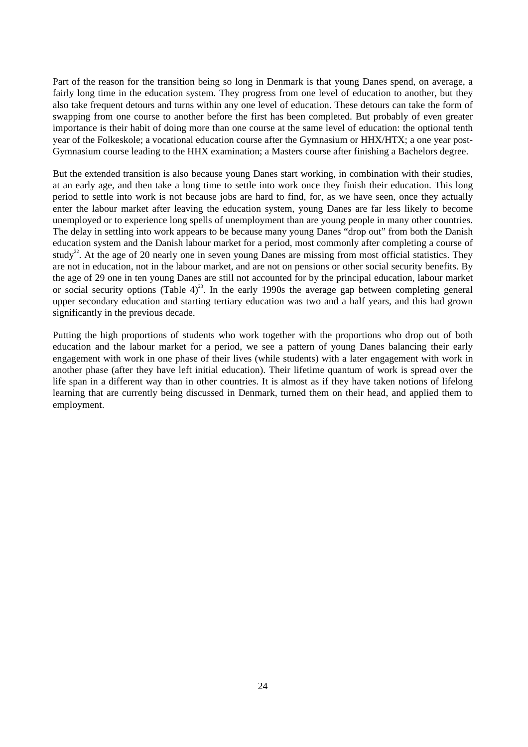Part of the reason for the transition being so long in Denmark is that young Danes spend, on average, a fairly long time in the education system. They progress from one level of education to another, but they also take frequent detours and turns within any one level of education. These detours can take the form of swapping from one course to another before the first has been completed. But probably of even greater importance is their habit of doing more than one course at the same level of education: the optional tenth year of the Folkeskole; a vocational education course after the Gymnasium or HHX/HTX; a one year post-Gymnasium course leading to the HHX examination; a Masters course after finishing a Bachelors degree.

But the extended transition is also because young Danes start working, in combination with their studies, at an early age, and then take a long time to settle into work once they finish their education. This long period to settle into work is not because jobs are hard to find, for, as we have seen, once they actually enter the labour market after leaving the education system, young Danes are far less likely to become unemployed or to experience long spells of unemployment than are young people in many other countries. The delay in settling into work appears to be because many young Danes "drop out" from both the Danish education system and the Danish labour market for a period, most commonly after completing a course of study<sup>22</sup>. At the age of 20 nearly one in seven young Danes are missing from most official statistics. They are not in education, not in the labour market, and are not on pensions or other social security benefits. By the age of 29 one in ten young Danes are still not accounted for by the principal education, labour market or social security options (Table 4)<sup>23</sup>. In the early 1990s the average gap between completing general upper secondary education and starting tertiary education was two and a half years, and this had grown significantly in the previous decade.

Putting the high proportions of students who work together with the proportions who drop out of both education and the labour market for a period, we see a pattern of young Danes balancing their early engagement with work in one phase of their lives (while students) with a later engagement with work in another phase (after they have left initial education). Their lifetime quantum of work is spread over the life span in a different way than in other countries. It is almost as if they have taken notions of lifelong learning that are currently being discussed in Denmark, turned them on their head, and applied them to employment.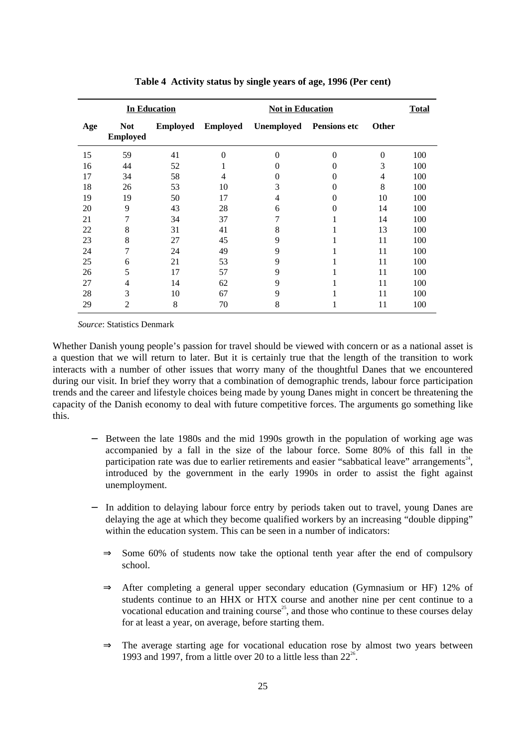| <b>In Education</b> |                               |                 |          | <b>Not in Education</b> |                     |              |     |
|---------------------|-------------------------------|-----------------|----------|-------------------------|---------------------|--------------|-----|
| Age                 | <b>Not</b><br><b>Employed</b> | <b>Employed</b> | Employed | Unemployed              | <b>Pensions etc</b> | <b>Other</b> |     |
| 15                  | 59                            | 41              | 0        | $\theta$                | $\theta$            | $\theta$     | 100 |
| 16                  | 44                            | 52              |          | 0                       | $\theta$            | 3            | 100 |
| 17                  | 34                            | 58              | 4        | $\theta$                | $\theta$            | 4            | 100 |
| 18                  | 26                            | 53              | 10       | 3                       | 0                   | 8            | 100 |
| 19                  | 19                            | 50              | 17       | 4                       | $\theta$            | 10           | 100 |
| 20                  | 9                             | 43              | 28       | 6                       | $\theta$            | 14           | 100 |
| 21                  | 7                             | 34              | 37       | 7                       |                     | 14           | 100 |
| 22                  | 8                             | 31              | 41       | 8                       |                     | 13           | 100 |
| 23                  | 8                             | 27              | 45       | 9                       |                     | 11           | 100 |
| 24                  | 7                             | 24              | 49       | 9                       |                     | 11           | 100 |
| 25                  | 6                             | 21              | 53       | 9                       |                     | 11           | 100 |
| 26                  | 5                             | 17              | 57       | 9                       |                     | 11           | 100 |
| 27                  | 4                             | 14              | 62       | 9                       |                     | 11           | 100 |
| 28                  | 3                             | 10              | 67       | 9                       |                     | 11           | 100 |
| 29                  | $\overline{2}$                | 8               | 70       | 8                       |                     | 11           | 100 |

**Table 4 Activity status by single years of age, 1996 (Per cent)**

*Source*: Statistics Denmark

Whether Danish young people's passion for travel should be viewed with concern or as a national asset is a question that we will return to later. But it is certainly true that the length of the transition to work interacts with a number of other issues that worry many of the thoughtful Danes that we encountered during our visit. In brief they worry that a combination of demographic trends, labour force participation trends and the career and lifestyle choices being made by young Danes might in concert be threatening the capacity of the Danish economy to deal with future competitive forces. The arguments go something like this.

- Between the late 1980s and the mid 1990s growth in the population of working age was accompanied by a fall in the size of the labour force. Some 80% of this fall in the participation rate was due to earlier retirements and easier "sabbatical leave" arrangements $24$ , introduced by the government in the early 1990s in order to assist the fight against unemployment.
- In addition to delaying labour force entry by periods taken out to travel, young Danes are delaying the age at which they become qualified workers by an increasing "double dipping" within the education system. This can be seen in a number of indicators:
	- $\Rightarrow$  Some 60% of students now take the optional tenth year after the end of compulsory school.
	- ⇒ After completing a general upper secondary education (Gymnasium or HF) 12% of students continue to an HHX or HTX course and another nine per cent continue to a vocational education and training course<sup>25</sup>, and those who continue to these courses delay for at least a year, on average, before starting them.
	- ⇒ The average starting age for vocational education rose by almost two years between 1993 and 1997, from a little over 20 to a little less than  $22^{26}$ .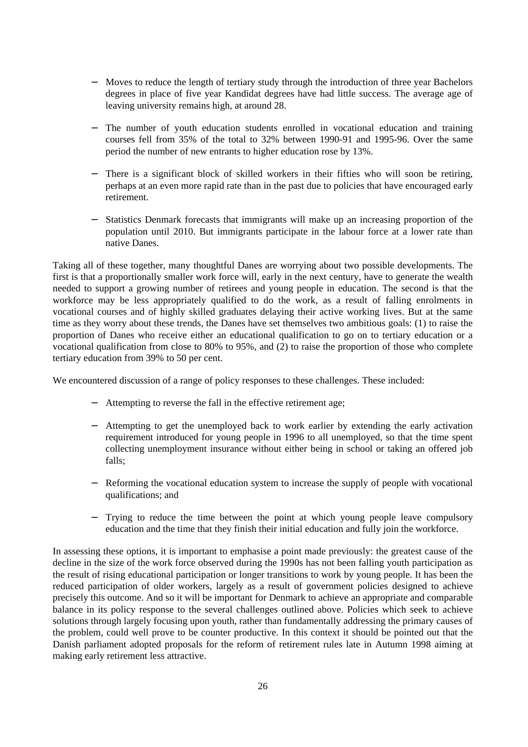- − Moves to reduce the length of tertiary study through the introduction of three year Bachelors degrees in place of five year Kandidat degrees have had little success. The average age of leaving university remains high, at around 28.
- The number of youth education students enrolled in vocational education and training courses fell from 35% of the total to 32% between 1990-91 and 1995-96. Over the same period the number of new entrants to higher education rose by 13%.
- There is a significant block of skilled workers in their fifties who will soon be retiring, perhaps at an even more rapid rate than in the past due to policies that have encouraged early retirement.
- Statistics Denmark forecasts that immigrants will make up an increasing proportion of the population until 2010. But immigrants participate in the labour force at a lower rate than native Danes.

Taking all of these together, many thoughtful Danes are worrying about two possible developments. The first is that a proportionally smaller work force will, early in the next century, have to generate the wealth needed to support a growing number of retirees and young people in education. The second is that the workforce may be less appropriately qualified to do the work, as a result of falling enrolments in vocational courses and of highly skilled graduates delaying their active working lives. But at the same time as they worry about these trends, the Danes have set themselves two ambitious goals: (1) to raise the proportion of Danes who receive either an educational qualification to go on to tertiary education or a vocational qualification from close to 80% to 95%, and (2) to raise the proportion of those who complete tertiary education from 39% to 50 per cent.

We encountered discussion of a range of policy responses to these challenges. These included:

- − Attempting to reverse the fall in the effective retirement age;
- − Attempting to get the unemployed back to work earlier by extending the early activation requirement introduced for young people in 1996 to all unemployed, so that the time spent collecting unemployment insurance without either being in school or taking an offered job falls;
- Reforming the vocational education system to increase the supply of people with vocational qualifications; and
- − Trying to reduce the time between the point at which young people leave compulsory education and the time that they finish their initial education and fully join the workforce.

In assessing these options, it is important to emphasise a point made previously: the greatest cause of the decline in the size of the work force observed during the 1990s has not been falling youth participation as the result of rising educational participation or longer transitions to work by young people. It has been the reduced participation of older workers, largely as a result of government policies designed to achieve precisely this outcome. And so it will be important for Denmark to achieve an appropriate and comparable balance in its policy response to the several challenges outlined above. Policies which seek to achieve solutions through largely focusing upon youth, rather than fundamentally addressing the primary causes of the problem, could well prove to be counter productive. In this context it should be pointed out that the Danish parliament adopted proposals for the reform of retirement rules late in Autumn 1998 aiming at making early retirement less attractive.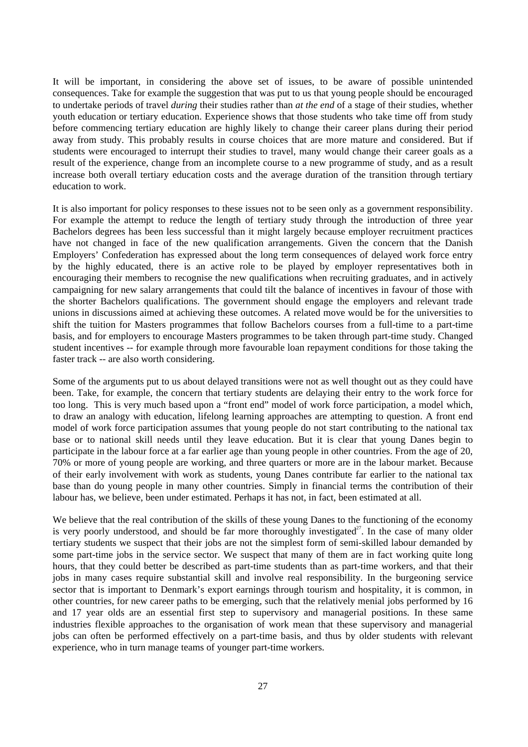It will be important, in considering the above set of issues, to be aware of possible unintended consequences. Take for example the suggestion that was put to us that young people should be encouraged to undertake periods of travel *during* their studies rather than *at the end* of a stage of their studies, whether youth education or tertiary education. Experience shows that those students who take time off from study before commencing tertiary education are highly likely to change their career plans during their period away from study. This probably results in course choices that are more mature and considered. But if students were encouraged to interrupt their studies to travel, many would change their career goals as a result of the experience, change from an incomplete course to a new programme of study, and as a result increase both overall tertiary education costs and the average duration of the transition through tertiary education to work.

It is also important for policy responses to these issues not to be seen only as a government responsibility. For example the attempt to reduce the length of tertiary study through the introduction of three year Bachelors degrees has been less successful than it might largely because employer recruitment practices have not changed in face of the new qualification arrangements. Given the concern that the Danish Employers' Confederation has expressed about the long term consequences of delayed work force entry by the highly educated, there is an active role to be played by employer representatives both in encouraging their members to recognise the new qualifications when recruiting graduates, and in actively campaigning for new salary arrangements that could tilt the balance of incentives in favour of those with the shorter Bachelors qualifications. The government should engage the employers and relevant trade unions in discussions aimed at achieving these outcomes. A related move would be for the universities to shift the tuition for Masters programmes that follow Bachelors courses from a full-time to a part-time basis, and for employers to encourage Masters programmes to be taken through part-time study. Changed student incentives -- for example through more favourable loan repayment conditions for those taking the faster track -- are also worth considering.

Some of the arguments put to us about delayed transitions were not as well thought out as they could have been. Take, for example, the concern that tertiary students are delaying their entry to the work force for too long. This is very much based upon a "front end" model of work force participation, a model which, to draw an analogy with education, lifelong learning approaches are attempting to question. A front end model of work force participation assumes that young people do not start contributing to the national tax base or to national skill needs until they leave education. But it is clear that young Danes begin to participate in the labour force at a far earlier age than young people in other countries. From the age of 20, 70% or more of young people are working, and three quarters or more are in the labour market. Because of their early involvement with work as students, young Danes contribute far earlier to the national tax base than do young people in many other countries. Simply in financial terms the contribution of their labour has, we believe, been under estimated. Perhaps it has not, in fact, been estimated at all.

We believe that the real contribution of the skills of these young Danes to the functioning of the economy is very poorly understood, and should be far more thoroughly investigated<sup>27</sup>. In the case of many older tertiary students we suspect that their jobs are not the simplest form of semi-skilled labour demanded by some part-time jobs in the service sector. We suspect that many of them are in fact working quite long hours, that they could better be described as part-time students than as part-time workers, and that their jobs in many cases require substantial skill and involve real responsibility. In the burgeoning service sector that is important to Denmark's export earnings through tourism and hospitality, it is common, in other countries, for new career paths to be emerging, such that the relatively menial jobs performed by 16 and 17 year olds are an essential first step to supervisory and managerial positions. In these same industries flexible approaches to the organisation of work mean that these supervisory and managerial jobs can often be performed effectively on a part-time basis, and thus by older students with relevant experience, who in turn manage teams of younger part-time workers.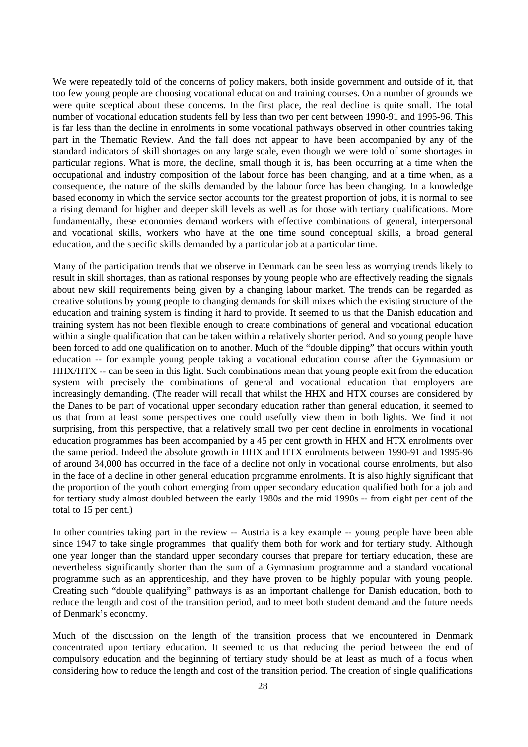We were repeatedly told of the concerns of policy makers, both inside government and outside of it, that too few young people are choosing vocational education and training courses. On a number of grounds we were quite sceptical about these concerns. In the first place, the real decline is quite small. The total number of vocational education students fell by less than two per cent between 1990-91 and 1995-96. This is far less than the decline in enrolments in some vocational pathways observed in other countries taking part in the Thematic Review. And the fall does not appear to have been accompanied by any of the standard indicators of skill shortages on any large scale, even though we were told of some shortages in particular regions. What is more, the decline, small though it is, has been occurring at a time when the occupational and industry composition of the labour force has been changing, and at a time when, as a consequence, the nature of the skills demanded by the labour force has been changing. In a knowledge based economy in which the service sector accounts for the greatest proportion of jobs, it is normal to see a rising demand for higher and deeper skill levels as well as for those with tertiary qualifications. More fundamentally, these economies demand workers with effective combinations of general, interpersonal and vocational skills, workers who have at the one time sound conceptual skills, a broad general education, and the specific skills demanded by a particular job at a particular time.

Many of the participation trends that we observe in Denmark can be seen less as worrying trends likely to result in skill shortages, than as rational responses by young people who are effectively reading the signals about new skill requirements being given by a changing labour market. The trends can be regarded as creative solutions by young people to changing demands for skill mixes which the existing structure of the education and training system is finding it hard to provide. It seemed to us that the Danish education and training system has not been flexible enough to create combinations of general and vocational education within a single qualification that can be taken within a relatively shorter period. And so young people have been forced to add one qualification on to another. Much of the "double dipping" that occurs within youth education -- for example young people taking a vocational education course after the Gymnasium or HHX/HTX -- can be seen in this light. Such combinations mean that young people exit from the education system with precisely the combinations of general and vocational education that employers are increasingly demanding. (The reader will recall that whilst the HHX and HTX courses are considered by the Danes to be part of vocational upper secondary education rather than general education, it seemed to us that from at least some perspectives one could usefully view them in both lights. We find it not surprising, from this perspective, that a relatively small two per cent decline in enrolments in vocational education programmes has been accompanied by a 45 per cent growth in HHX and HTX enrolments over the same period. Indeed the absolute growth in HHX and HTX enrolments between 1990-91 and 1995-96 of around 34,000 has occurred in the face of a decline not only in vocational course enrolments, but also in the face of a decline in other general education programme enrolments. It is also highly significant that the proportion of the youth cohort emerging from upper secondary education qualified both for a job and for tertiary study almost doubled between the early 1980s and the mid 1990s -- from eight per cent of the total to 15 per cent.)

In other countries taking part in the review -- Austria is a key example -- young people have been able since 1947 to take single programmes that qualify them both for work and for tertiary study. Although one year longer than the standard upper secondary courses that prepare for tertiary education, these are nevertheless significantly shorter than the sum of a Gymnasium programme and a standard vocational programme such as an apprenticeship, and they have proven to be highly popular with young people. Creating such "double qualifying" pathways is as an important challenge for Danish education, both to reduce the length and cost of the transition period, and to meet both student demand and the future needs of Denmark's economy.

Much of the discussion on the length of the transition process that we encountered in Denmark concentrated upon tertiary education. It seemed to us that reducing the period between the end of compulsory education and the beginning of tertiary study should be at least as much of a focus when considering how to reduce the length and cost of the transition period. The creation of single qualifications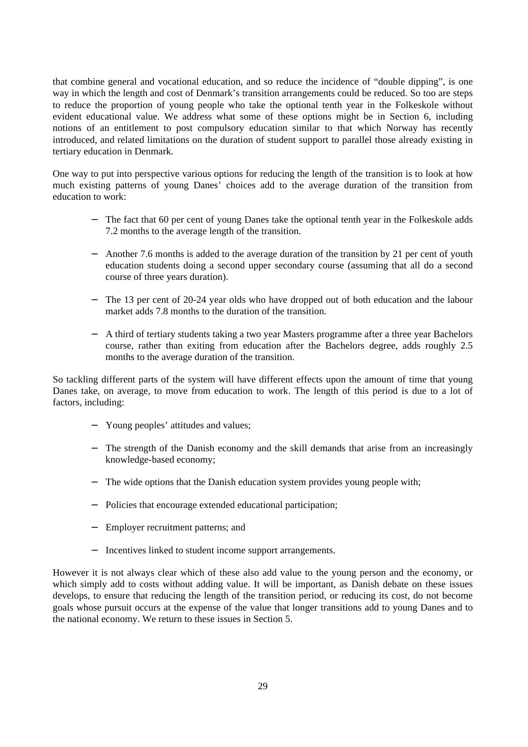that combine general and vocational education, and so reduce the incidence of "double dipping", is one way in which the length and cost of Denmark's transition arrangements could be reduced. So too are steps to reduce the proportion of young people who take the optional tenth year in the Folkeskole without evident educational value. We address what some of these options might be in Section 6, including notions of an entitlement to post compulsory education similar to that which Norway has recently introduced, and related limitations on the duration of student support to parallel those already existing in tertiary education in Denmark.

One way to put into perspective various options for reducing the length of the transition is to look at how much existing patterns of young Danes' choices add to the average duration of the transition from education to work:

- The fact that 60 per cent of young Danes take the optional tenth year in the Folkeskole adds 7.2 months to the average length of the transition.
- − Another 7.6 months is added to the average duration of the transition by 21 per cent of youth education students doing a second upper secondary course (assuming that all do a second course of three years duration).
- The 13 per cent of 20-24 year olds who have dropped out of both education and the labour market adds 7.8 months to the duration of the transition.
- − A third of tertiary students taking a two year Masters programme after a three year Bachelors course, rather than exiting from education after the Bachelors degree, adds roughly 2.5 months to the average duration of the transition.

So tackling different parts of the system will have different effects upon the amount of time that young Danes take, on average, to move from education to work. The length of this period is due to a lot of factors, including:

- − Young peoples' attitudes and values;
- − The strength of the Danish economy and the skill demands that arise from an increasingly knowledge-based economy;
- − The wide options that the Danish education system provides young people with;
- − Policies that encourage extended educational participation;
- − Employer recruitment patterns; and
- − Incentives linked to student income support arrangements.

However it is not always clear which of these also add value to the young person and the economy, or which simply add to costs without adding value. It will be important, as Danish debate on these issues develops, to ensure that reducing the length of the transition period, or reducing its cost, do not become goals whose pursuit occurs at the expense of the value that longer transitions add to young Danes and to the national economy. We return to these issues in Section 5.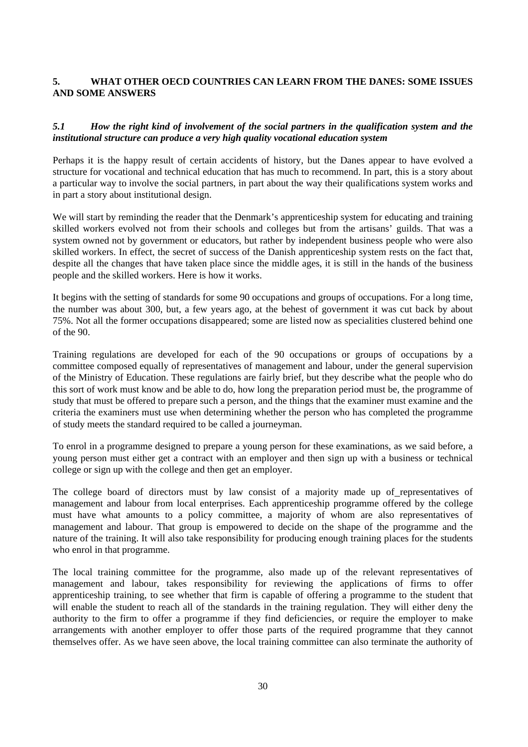## **5. WHAT OTHER OECD COUNTRIES CAN LEARN FROM THE DANES: SOME ISSUES AND SOME ANSWERS**

## *5.1 How the right kind of involvement of the social partners in the qualification system and the institutional structure can produce a very high quality vocational education system*

Perhaps it is the happy result of certain accidents of history, but the Danes appear to have evolved a structure for vocational and technical education that has much to recommend. In part, this is a story about a particular way to involve the social partners, in part about the way their qualifications system works and in part a story about institutional design.

We will start by reminding the reader that the Denmark's apprenticeship system for educating and training skilled workers evolved not from their schools and colleges but from the artisans' guilds. That was a system owned not by government or educators, but rather by independent business people who were also skilled workers. In effect, the secret of success of the Danish apprenticeship system rests on the fact that, despite all the changes that have taken place since the middle ages, it is still in the hands of the business people and the skilled workers. Here is how it works.

It begins with the setting of standards for some 90 occupations and groups of occupations. For a long time, the number was about 300, but, a few years ago, at the behest of government it was cut back by about 75%. Not all the former occupations disappeared; some are listed now as specialities clustered behind one of the 90.

Training regulations are developed for each of the 90 occupations or groups of occupations by a committee composed equally of representatives of management and labour, under the general supervision of the Ministry of Education. These regulations are fairly brief, but they describe what the people who do this sort of work must know and be able to do, how long the preparation period must be, the programme of study that must be offered to prepare such a person, and the things that the examiner must examine and the criteria the examiners must use when determining whether the person who has completed the programme of study meets the standard required to be called a journeyman.

To enrol in a programme designed to prepare a young person for these examinations, as we said before, a young person must either get a contract with an employer and then sign up with a business or technical college or sign up with the college and then get an employer.

The college board of directors must by law consist of a majority made up of representatives of management and labour from local enterprises. Each apprenticeship programme offered by the college must have what amounts to a policy committee, a majority of whom are also representatives of management and labour. That group is empowered to decide on the shape of the programme and the nature of the training. It will also take responsibility for producing enough training places for the students who enrol in that programme.

The local training committee for the programme, also made up of the relevant representatives of management and labour, takes responsibility for reviewing the applications of firms to offer apprenticeship training, to see whether that firm is capable of offering a programme to the student that will enable the student to reach all of the standards in the training regulation. They will either deny the authority to the firm to offer a programme if they find deficiencies, or require the employer to make arrangements with another employer to offer those parts of the required programme that they cannot themselves offer. As we have seen above, the local training committee can also terminate the authority of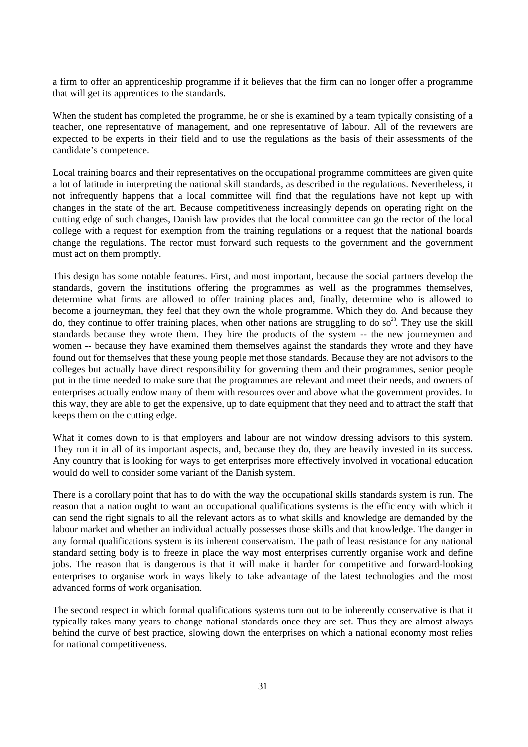a firm to offer an apprenticeship programme if it believes that the firm can no longer offer a programme that will get its apprentices to the standards.

When the student has completed the programme, he or she is examined by a team typically consisting of a teacher, one representative of management, and one representative of labour. All of the reviewers are expected to be experts in their field and to use the regulations as the basis of their assessments of the candidate's competence.

Local training boards and their representatives on the occupational programme committees are given quite a lot of latitude in interpreting the national skill standards, as described in the regulations. Nevertheless, it not infrequently happens that a local committee will find that the regulations have not kept up with changes in the state of the art. Because competitiveness increasingly depends on operating right on the cutting edge of such changes, Danish law provides that the local committee can go the rector of the local college with a request for exemption from the training regulations or a request that the national boards change the regulations. The rector must forward such requests to the government and the government must act on them promptly.

This design has some notable features. First, and most important, because the social partners develop the standards, govern the institutions offering the programmes as well as the programmes themselves, determine what firms are allowed to offer training places and, finally, determine who is allowed to become a journeyman, they feel that they own the whole programme. Which they do. And because they do, they continue to offer training places, when other nations are struggling to do so<sup>28</sup>. They use the skill standards because they wrote them. They hire the products of the system -- the new journeymen and women -- because they have examined them themselves against the standards they wrote and they have found out for themselves that these young people met those standards. Because they are not advisors to the colleges but actually have direct responsibility for governing them and their programmes, senior people put in the time needed to make sure that the programmes are relevant and meet their needs, and owners of enterprises actually endow many of them with resources over and above what the government provides. In this way, they are able to get the expensive, up to date equipment that they need and to attract the staff that keeps them on the cutting edge.

What it comes down to is that employers and labour are not window dressing advisors to this system. They run it in all of its important aspects, and, because they do, they are heavily invested in its success. Any country that is looking for ways to get enterprises more effectively involved in vocational education would do well to consider some variant of the Danish system.

There is a corollary point that has to do with the way the occupational skills standards system is run. The reason that a nation ought to want an occupational qualifications systems is the efficiency with which it can send the right signals to all the relevant actors as to what skills and knowledge are demanded by the labour market and whether an individual actually possesses those skills and that knowledge. The danger in any formal qualifications system is its inherent conservatism. The path of least resistance for any national standard setting body is to freeze in place the way most enterprises currently organise work and define jobs. The reason that is dangerous is that it will make it harder for competitive and forward-looking enterprises to organise work in ways likely to take advantage of the latest technologies and the most advanced forms of work organisation.

The second respect in which formal qualifications systems turn out to be inherently conservative is that it typically takes many years to change national standards once they are set. Thus they are almost always behind the curve of best practice, slowing down the enterprises on which a national economy most relies for national competitiveness.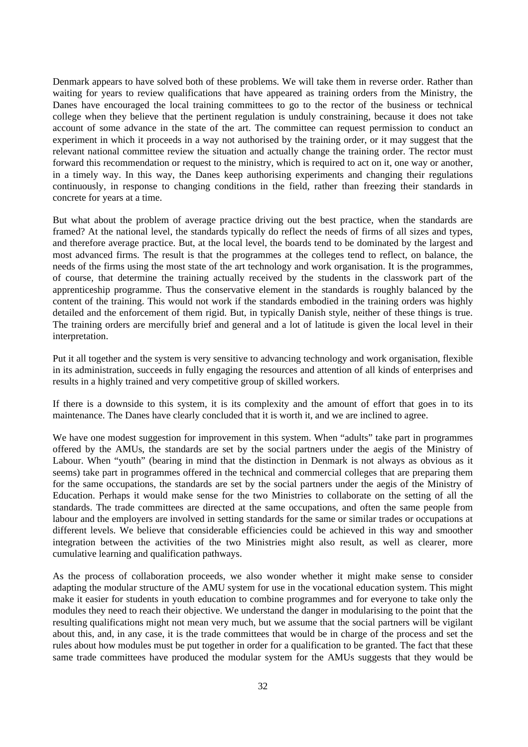Denmark appears to have solved both of these problems. We will take them in reverse order. Rather than waiting for years to review qualifications that have appeared as training orders from the Ministry, the Danes have encouraged the local training committees to go to the rector of the business or technical college when they believe that the pertinent regulation is unduly constraining, because it does not take account of some advance in the state of the art. The committee can request permission to conduct an experiment in which it proceeds in a way not authorised by the training order, or it may suggest that the relevant national committee review the situation and actually change the training order. The rector must forward this recommendation or request to the ministry, which is required to act on it, one way or another, in a timely way. In this way, the Danes keep authorising experiments and changing their regulations continuously, in response to changing conditions in the field, rather than freezing their standards in concrete for years at a time.

But what about the problem of average practice driving out the best practice, when the standards are framed? At the national level, the standards typically do reflect the needs of firms of all sizes and types, and therefore average practice. But, at the local level, the boards tend to be dominated by the largest and most advanced firms. The result is that the programmes at the colleges tend to reflect, on balance, the needs of the firms using the most state of the art technology and work organisation. It is the programmes, of course, that determine the training actually received by the students in the classwork part of the apprenticeship programme. Thus the conservative element in the standards is roughly balanced by the content of the training. This would not work if the standards embodied in the training orders was highly detailed and the enforcement of them rigid. But, in typically Danish style, neither of these things is true. The training orders are mercifully brief and general and a lot of latitude is given the local level in their interpretation.

Put it all together and the system is very sensitive to advancing technology and work organisation, flexible in its administration, succeeds in fully engaging the resources and attention of all kinds of enterprises and results in a highly trained and very competitive group of skilled workers.

If there is a downside to this system, it is its complexity and the amount of effort that goes in to its maintenance. The Danes have clearly concluded that it is worth it, and we are inclined to agree.

We have one modest suggestion for improvement in this system. When "adults" take part in programmes offered by the AMUs, the standards are set by the social partners under the aegis of the Ministry of Labour. When "youth" (bearing in mind that the distinction in Denmark is not always as obvious as it seems) take part in programmes offered in the technical and commercial colleges that are preparing them for the same occupations, the standards are set by the social partners under the aegis of the Ministry of Education. Perhaps it would make sense for the two Ministries to collaborate on the setting of all the standards. The trade committees are directed at the same occupations, and often the same people from labour and the employers are involved in setting standards for the same or similar trades or occupations at different levels. We believe that considerable efficiencies could be achieved in this way and smoother integration between the activities of the two Ministries might also result, as well as clearer, more cumulative learning and qualification pathways.

As the process of collaboration proceeds, we also wonder whether it might make sense to consider adapting the modular structure of the AMU system for use in the vocational education system. This might make it easier for students in youth education to combine programmes and for everyone to take only the modules they need to reach their objective. We understand the danger in modularising to the point that the resulting qualifications might not mean very much, but we assume that the social partners will be vigilant about this, and, in any case, it is the trade committees that would be in charge of the process and set the rules about how modules must be put together in order for a qualification to be granted. The fact that these same trade committees have produced the modular system for the AMUs suggests that they would be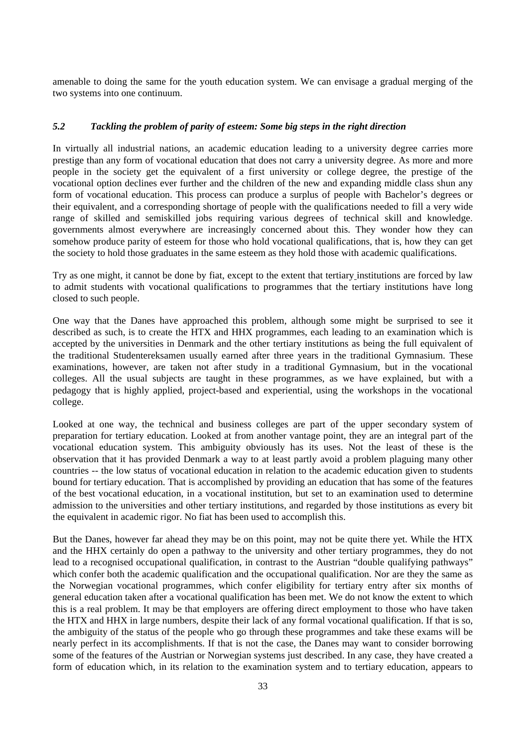amenable to doing the same for the youth education system. We can envisage a gradual merging of the two systems into one continuum.

#### *5.2 Tackling the problem of parity of esteem: Some big steps in the right direction*

In virtually all industrial nations, an academic education leading to a university degree carries more prestige than any form of vocational education that does not carry a university degree. As more and more people in the society get the equivalent of a first university or college degree, the prestige of the vocational option declines ever further and the children of the new and expanding middle class shun any form of vocational education. This process can produce a surplus of people with Bachelor's degrees or their equivalent, and a corresponding shortage of people with the qualifications needed to fill a very wide range of skilled and semiskilled jobs requiring various degrees of technical skill and knowledge. governments almost everywhere are increasingly concerned about this. They wonder how they can somehow produce parity of esteem for those who hold vocational qualifications, that is, how they can get the society to hold those graduates in the same esteem as they hold those with academic qualifications.

Try as one might, it cannot be done by fiat, except to the extent that tertiary institutions are forced by law to admit students with vocational qualifications to programmes that the tertiary institutions have long closed to such people.

One way that the Danes have approached this problem, although some might be surprised to see it described as such, is to create the HTX and HHX programmes, each leading to an examination which is accepted by the universities in Denmark and the other tertiary institutions as being the full equivalent of the traditional Studentereksamen usually earned after three years in the traditional Gymnasium. These examinations, however, are taken not after study in a traditional Gymnasium, but in the vocational colleges. All the usual subjects are taught in these programmes, as we have explained, but with a pedagogy that is highly applied, project-based and experiential, using the workshops in the vocational college.

Looked at one way, the technical and business colleges are part of the upper secondary system of preparation for tertiary education. Looked at from another vantage point, they are an integral part of the vocational education system. This ambiguity obviously has its uses. Not the least of these is the observation that it has provided Denmark a way to at least partly avoid a problem plaguing many other countries -- the low status of vocational education in relation to the academic education given to students bound for tertiary education. That is accomplished by providing an education that has some of the features of the best vocational education, in a vocational institution, but set to an examination used to determine admission to the universities and other tertiary institutions, and regarded by those institutions as every bit the equivalent in academic rigor. No fiat has been used to accomplish this.

But the Danes, however far ahead they may be on this point, may not be quite there yet. While the HTX and the HHX certainly do open a pathway to the university and other tertiary programmes, they do not lead to a recognised occupational qualification, in contrast to the Austrian "double qualifying pathways" which confer both the academic qualification and the occupational qualification. Nor are they the same as the Norwegian vocational programmes, which confer eligibility for tertiary entry after six months of general education taken after a vocational qualification has been met. We do not know the extent to which this is a real problem. It may be that employers are offering direct employment to those who have taken the HTX and HHX in large numbers, despite their lack of any formal vocational qualification. If that is so, the ambiguity of the status of the people who go through these programmes and take these exams will be nearly perfect in its accomplishments. If that is not the case, the Danes may want to consider borrowing some of the features of the Austrian or Norwegian systems just described. In any case, they have created a form of education which, in its relation to the examination system and to tertiary education, appears to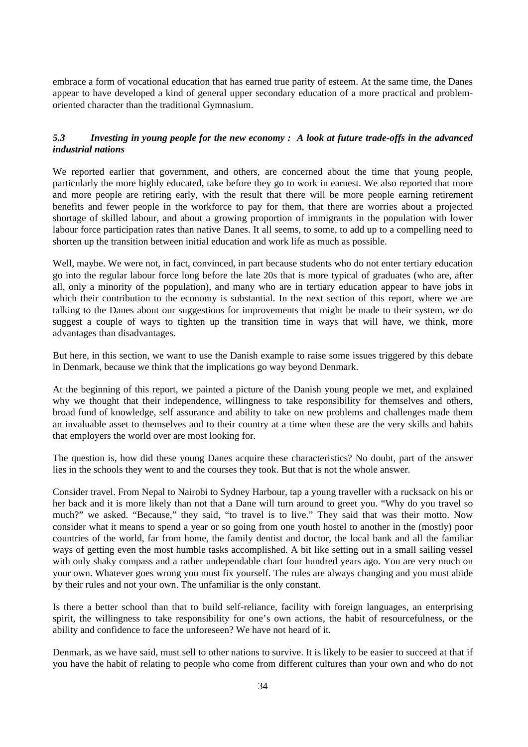embrace a form of vocational education that has earned true parity of esteem. At the same time, the Danes appear to have developed a kind of general upper secondary education of a more practical and problemoriented character than the traditional Gymnasium.

## *5.3 Investing in young people for the new economy : A look at future trade-offs in the advanced industrial nations*

We reported earlier that government, and others, are concerned about the time that young people, particularly the more highly educated, take before they go to work in earnest. We also reported that more and more people are retiring early, with the result that there will be more people earning retirement benefits and fewer people in the workforce to pay for them, that there are worries about a projected shortage of skilled labour, and about a growing proportion of immigrants in the population with lower labour force participation rates than native Danes. It all seems, to some, to add up to a compelling need to shorten up the transition between initial education and work life as much as possible.

Well, maybe. We were not, in fact, convinced, in part because students who do not enter tertiary education go into the regular labour force long before the late 20s that is more typical of graduates (who are, after all, only a minority of the population), and many who are in tertiary education appear to have jobs in which their contribution to the economy is substantial. In the next section of this report, where we are talking to the Danes about our suggestions for improvements that might be made to their system, we do suggest a couple of ways to tighten up the transition time in ways that will have, we think, more advantages than disadvantages.

But here, in this section, we want to use the Danish example to raise some issues triggered by this debate in Denmark, because we think that the implications go way beyond Denmark.

At the beginning of this report, we painted a picture of the Danish young people we met, and explained why we thought that their independence, willingness to take responsibility for themselves and others, broad fund of knowledge, self assurance and ability to take on new problems and challenges made them an invaluable asset to themselves and to their country at a time when these are the very skills and habits that employers the world over are most looking for.

The question is, how did these young Danes acquire these characteristics? No doubt, part of the answer lies in the schools they went to and the courses they took. But that is not the whole answer.

Consider travel. From Nepal to Nairobi to Sydney Harbour, tap a young traveller with a rucksack on his or her back and it is more likely than not that a Dane will turn around to greet you. "Why do you travel so much?" we asked. "Because," they said, "to travel is to live." They said that was their motto. Now consider what it means to spend a year or so going from one youth hostel to another in the (mostly) poor countries of the world, far from home, the family dentist and doctor, the local bank and all the familiar ways of getting even the most humble tasks accomplished. A bit like setting out in a small sailing vessel with only shaky compass and a rather undependable chart four hundred years ago. You are very much on your own. Whatever goes wrong you must fix yourself. The rules are always changing and you must abide by their rules and not your own. The unfamiliar is the only constant.

Is there a better school than that to build self-reliance, facility with foreign languages, an enterprising spirit, the willingness to take responsibility for one's own actions, the habit of resourcefulness, or the ability and confidence to face the unforeseen? We have not heard of it.

Denmark, as we have said, must sell to other nations to survive. It is likely to be easier to succeed at that if you have the habit of relating to people who come from different cultures than your own and who do not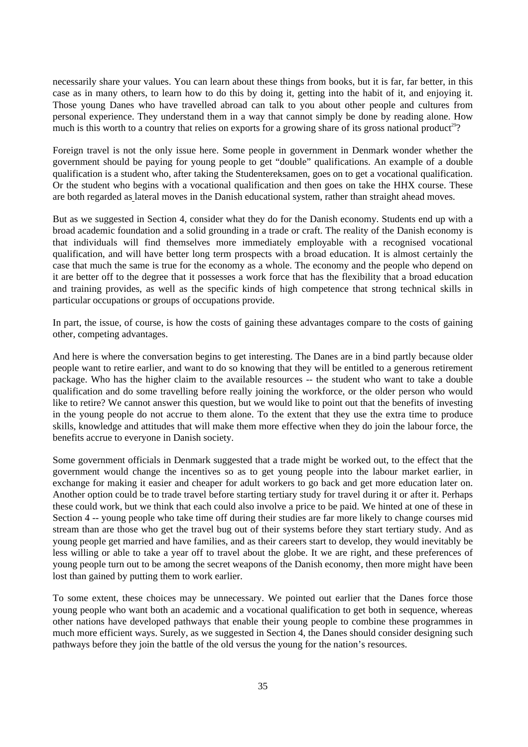necessarily share your values. You can learn about these things from books, but it is far, far better, in this case as in many others, to learn how to do this by doing it, getting into the habit of it, and enjoying it. Those young Danes who have travelled abroad can talk to you about other people and cultures from personal experience. They understand them in a way that cannot simply be done by reading alone. How much is this worth to a country that relies on exports for a growing share of its gross national product<sup>29</sup>?

Foreign travel is not the only issue here. Some people in government in Denmark wonder whether the government should be paying for young people to get "double" qualifications. An example of a double qualification is a student who, after taking the Studentereksamen, goes on to get a vocational qualification. Or the student who begins with a vocational qualification and then goes on take the HHX course. These are both regarded as lateral moves in the Danish educational system, rather than straight ahead moves.

But as we suggested in Section 4, consider what they do for the Danish economy. Students end up with a broad academic foundation and a solid grounding in a trade or craft. The reality of the Danish economy is that individuals will find themselves more immediately employable with a recognised vocational qualification, and will have better long term prospects with a broad education. It is almost certainly the case that much the same is true for the economy as a whole. The economy and the people who depend on it are better off to the degree that it possesses a work force that has the flexibility that a broad education and training provides, as well as the specific kinds of high competence that strong technical skills in particular occupations or groups of occupations provide.

In part, the issue, of course, is how the costs of gaining these advantages compare to the costs of gaining other, competing advantages.

And here is where the conversation begins to get interesting. The Danes are in a bind partly because older people want to retire earlier, and want to do so knowing that they will be entitled to a generous retirement package. Who has the higher claim to the available resources -- the student who want to take a double qualification and do some travelling before really joining the workforce, or the older person who would like to retire? We cannot answer this question, but we would like to point out that the benefits of investing in the young people do not accrue to them alone. To the extent that they use the extra time to produce skills, knowledge and attitudes that will make them more effective when they do join the labour force, the benefits accrue to everyone in Danish society.

Some government officials in Denmark suggested that a trade might be worked out, to the effect that the government would change the incentives so as to get young people into the labour market earlier, in exchange for making it easier and cheaper for adult workers to go back and get more education later on. Another option could be to trade travel before starting tertiary study for travel during it or after it. Perhaps these could work, but we think that each could also involve a price to be paid. We hinted at one of these in Section 4 -- young people who take time off during their studies are far more likely to change courses mid stream than are those who get the travel bug out of their systems before they start tertiary study. And as young people get married and have families, and as their careers start to develop, they would inevitably be less willing or able to take a year off to travel about the globe. It we are right, and these preferences of young people turn out to be among the secret weapons of the Danish economy, then more might have been lost than gained by putting them to work earlier.

To some extent, these choices may be unnecessary. We pointed out earlier that the Danes force those young people who want both an academic and a vocational qualification to get both in sequence, whereas other nations have developed pathways that enable their young people to combine these programmes in much more efficient ways. Surely, as we suggested in Section 4, the Danes should consider designing such pathways before they join the battle of the old versus the young for the nation's resources.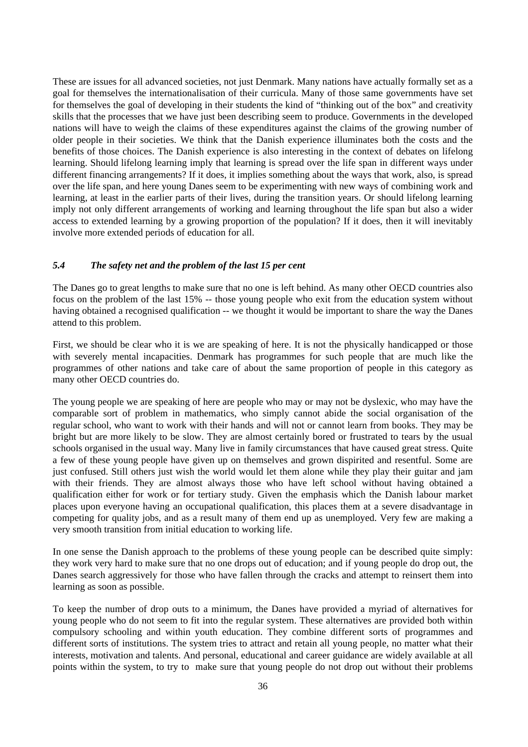These are issues for all advanced societies, not just Denmark. Many nations have actually formally set as a goal for themselves the internationalisation of their curricula. Many of those same governments have set for themselves the goal of developing in their students the kind of "thinking out of the box" and creativity skills that the processes that we have just been describing seem to produce. Governments in the developed nations will have to weigh the claims of these expenditures against the claims of the growing number of older people in their societies. We think that the Danish experience illuminates both the costs and the benefits of those choices. The Danish experience is also interesting in the context of debates on lifelong learning. Should lifelong learning imply that learning is spread over the life span in different ways under different financing arrangements? If it does, it implies something about the ways that work, also, is spread over the life span, and here young Danes seem to be experimenting with new ways of combining work and learning, at least in the earlier parts of their lives, during the transition years. Or should lifelong learning imply not only different arrangements of working and learning throughout the life span but also a wider access to extended learning by a growing proportion of the population? If it does, then it will inevitably involve more extended periods of education for all.

#### *5.4 The safety net and the problem of the last 15 per cent*

The Danes go to great lengths to make sure that no one is left behind. As many other OECD countries also focus on the problem of the last 15% -- those young people who exit from the education system without having obtained a recognised qualification -- we thought it would be important to share the way the Danes attend to this problem.

First, we should be clear who it is we are speaking of here. It is not the physically handicapped or those with severely mental incapacities. Denmark has programmes for such people that are much like the programmes of other nations and take care of about the same proportion of people in this category as many other OECD countries do.

The young people we are speaking of here are people who may or may not be dyslexic, who may have the comparable sort of problem in mathematics, who simply cannot abide the social organisation of the regular school, who want to work with their hands and will not or cannot learn from books. They may be bright but are more likely to be slow. They are almost certainly bored or frustrated to tears by the usual schools organised in the usual way. Many live in family circumstances that have caused great stress. Quite a few of these young people have given up on themselves and grown dispirited and resentful. Some are just confused. Still others just wish the world would let them alone while they play their guitar and jam with their friends. They are almost always those who have left school without having obtained a qualification either for work or for tertiary study. Given the emphasis which the Danish labour market places upon everyone having an occupational qualification, this places them at a severe disadvantage in competing for quality jobs, and as a result many of them end up as unemployed. Very few are making a very smooth transition from initial education to working life.

In one sense the Danish approach to the problems of these young people can be described quite simply: they work very hard to make sure that no one drops out of education; and if young people do drop out, the Danes search aggressively for those who have fallen through the cracks and attempt to reinsert them into learning as soon as possible.

To keep the number of drop outs to a minimum, the Danes have provided a myriad of alternatives for young people who do not seem to fit into the regular system. These alternatives are provided both within compulsory schooling and within youth education. They combine different sorts of programmes and different sorts of institutions. The system tries to attract and retain all young people, no matter what their interests, motivation and talents. And personal, educational and career guidance are widely available at all points within the system, to try to make sure that young people do not drop out without their problems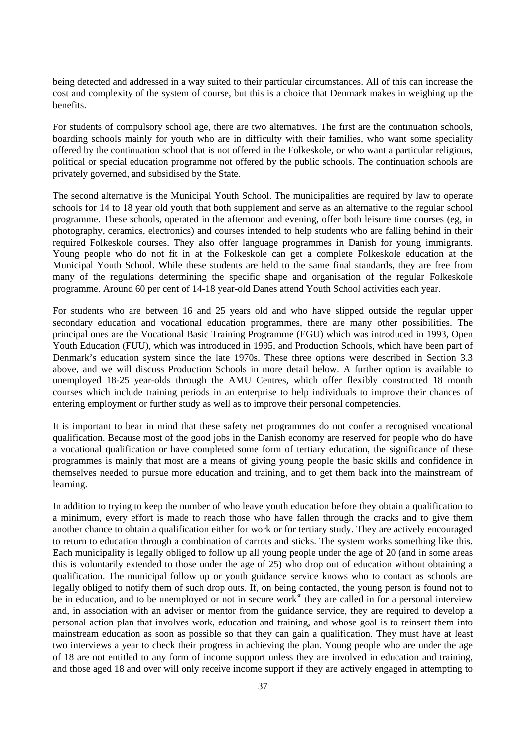being detected and addressed in a way suited to their particular circumstances. All of this can increase the cost and complexity of the system of course, but this is a choice that Denmark makes in weighing up the benefits.

For students of compulsory school age, there are two alternatives. The first are the continuation schools, boarding schools mainly for youth who are in difficulty with their families, who want some speciality offered by the continuation school that is not offered in the Folkeskole, or who want a particular religious, political or special education programme not offered by the public schools. The continuation schools are privately governed, and subsidised by the State.

The second alternative is the Municipal Youth School. The municipalities are required by law to operate schools for 14 to 18 year old youth that both supplement and serve as an alternative to the regular school programme. These schools, operated in the afternoon and evening, offer both leisure time courses (eg, in photography, ceramics, electronics) and courses intended to help students who are falling behind in their required Folkeskole courses. They also offer language programmes in Danish for young immigrants. Young people who do not fit in at the Folkeskole can get a complete Folkeskole education at the Municipal Youth School. While these students are held to the same final standards, they are free from many of the regulations determining the specific shape and organisation of the regular Folkeskole programme. Around 60 per cent of 14-18 year-old Danes attend Youth School activities each year.

For students who are between 16 and 25 years old and who have slipped outside the regular upper secondary education and vocational education programmes, there are many other possibilities. The principal ones are the Vocational Basic Training Programme (EGU) which was introduced in 1993, Open Youth Education (FUU), which was introduced in 1995, and Production Schools, which have been part of Denmark's education system since the late 1970s. These three options were described in Section 3.3 above, and we will discuss Production Schools in more detail below. A further option is available to unemployed 18-25 year-olds through the AMU Centres, which offer flexibly constructed 18 month courses which include training periods in an enterprise to help individuals to improve their chances of entering employment or further study as well as to improve their personal competencies.

It is important to bear in mind that these safety net programmes do not confer a recognised vocational qualification. Because most of the good jobs in the Danish economy are reserved for people who do have a vocational qualification or have completed some form of tertiary education, the significance of these programmes is mainly that most are a means of giving young people the basic skills and confidence in themselves needed to pursue more education and training, and to get them back into the mainstream of learning.

In addition to trying to keep the number of who leave youth education before they obtain a qualification to a minimum, every effort is made to reach those who have fallen through the cracks and to give them another chance to obtain a qualification either for work or for tertiary study. They are actively encouraged to return to education through a combination of carrots and sticks. The system works something like this. Each municipality is legally obliged to follow up all young people under the age of 20 (and in some areas this is voluntarily extended to those under the age of 25) who drop out of education without obtaining a qualification. The municipal follow up or youth guidance service knows who to contact as schools are legally obliged to notify them of such drop outs. If, on being contacted, the young person is found not to be in education, and to be unemployed or not in secure work $30$  they are called in for a personal interview and, in association with an adviser or mentor from the guidance service, they are required to develop a personal action plan that involves work, education and training, and whose goal is to reinsert them into mainstream education as soon as possible so that they can gain a qualification. They must have at least two interviews a year to check their progress in achieving the plan. Young people who are under the age of 18 are not entitled to any form of income support unless they are involved in education and training, and those aged 18 and over will only receive income support if they are actively engaged in attempting to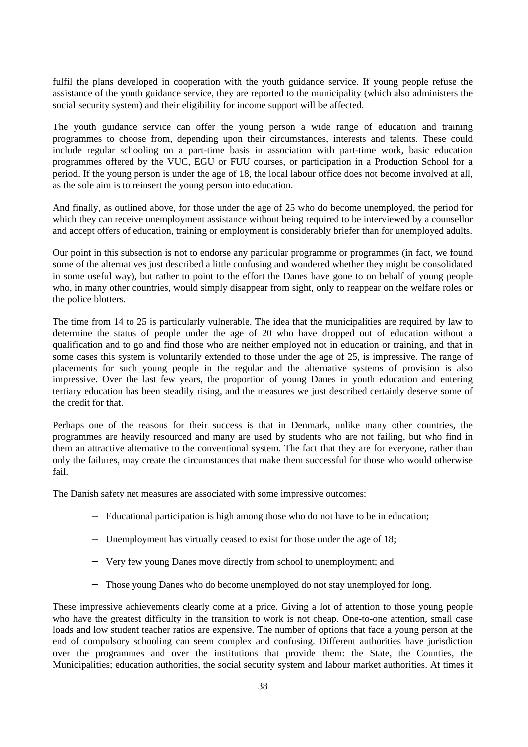fulfil the plans developed in cooperation with the youth guidance service. If young people refuse the assistance of the youth guidance service, they are reported to the municipality (which also administers the social security system) and their eligibility for income support will be affected.

The youth guidance service can offer the young person a wide range of education and training programmes to choose from, depending upon their circumstances, interests and talents. These could include regular schooling on a part-time basis in association with part-time work, basic education programmes offered by the VUC, EGU or FUU courses, or participation in a Production School for a period. If the young person is under the age of 18, the local labour office does not become involved at all, as the sole aim is to reinsert the young person into education.

And finally, as outlined above, for those under the age of 25 who do become unemployed, the period for which they can receive unemployment assistance without being required to be interviewed by a counsellor and accept offers of education, training or employment is considerably briefer than for unemployed adults.

Our point in this subsection is not to endorse any particular programme or programmes (in fact, we found some of the alternatives just described a little confusing and wondered whether they might be consolidated in some useful way), but rather to point to the effort the Danes have gone to on behalf of young people who, in many other countries, would simply disappear from sight, only to reappear on the welfare roles or the police blotters.

The time from 14 to 25 is particularly vulnerable. The idea that the municipalities are required by law to determine the status of people under the age of 20 who have dropped out of education without a qualification and to go and find those who are neither employed not in education or training, and that in some cases this system is voluntarily extended to those under the age of 25, is impressive. The range of placements for such young people in the regular and the alternative systems of provision is also impressive. Over the last few years, the proportion of young Danes in youth education and entering tertiary education has been steadily rising, and the measures we just described certainly deserve some of the credit for that.

Perhaps one of the reasons for their success is that in Denmark, unlike many other countries, the programmes are heavily resourced and many are used by students who are not failing, but who find in them an attractive alternative to the conventional system. The fact that they are for everyone, rather than only the failures, may create the circumstances that make them successful for those who would otherwise fail.

The Danish safety net measures are associated with some impressive outcomes:

- − Educational participation is high among those who do not have to be in education;
- − Unemployment has virtually ceased to exist for those under the age of 18;
- − Very few young Danes move directly from school to unemployment; and
- Those young Danes who do become unemployed do not stay unemployed for long.

These impressive achievements clearly come at a price. Giving a lot of attention to those young people who have the greatest difficulty in the transition to work is not cheap. One-to-one attention, small case loads and low student teacher ratios are expensive. The number of options that face a young person at the end of compulsory schooling can seem complex and confusing. Different authorities have jurisdiction over the programmes and over the institutions that provide them: the State, the Counties, the Municipalities; education authorities, the social security system and labour market authorities. At times it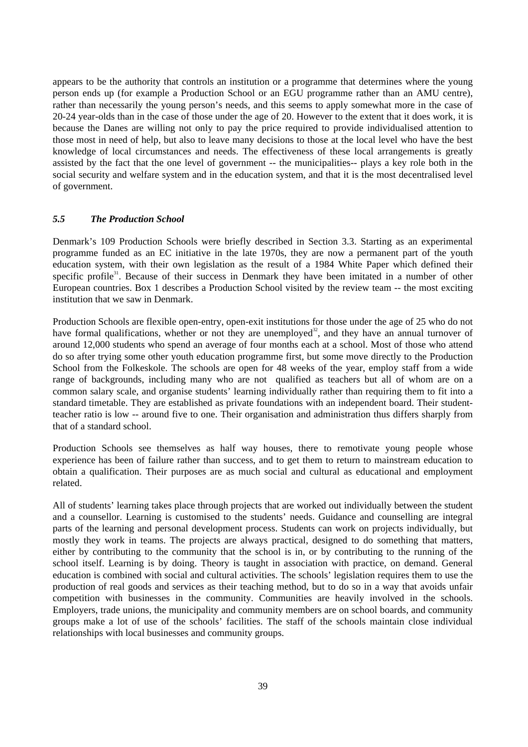appears to be the authority that controls an institution or a programme that determines where the young person ends up (for example a Production School or an EGU programme rather than an AMU centre), rather than necessarily the young person's needs, and this seems to apply somewhat more in the case of 20-24 year-olds than in the case of those under the age of 20. However to the extent that it does work, it is because the Danes are willing not only to pay the price required to provide individualised attention to those most in need of help, but also to leave many decisions to those at the local level who have the best knowledge of local circumstances and needs. The effectiveness of these local arrangements is greatly assisted by the fact that the one level of government -- the municipalities-- plays a key role both in the social security and welfare system and in the education system, and that it is the most decentralised level of government.

#### *5.5 The Production School*

Denmark's 109 Production Schools were briefly described in Section 3.3. Starting as an experimental programme funded as an EC initiative in the late 1970s, they are now a permanent part of the youth education system, with their own legislation as the result of a 1984 White Paper which defined their specific profile<sup>31</sup>. Because of their success in Denmark they have been imitated in a number of other European countries. Box 1 describes a Production School visited by the review team -- the most exciting institution that we saw in Denmark.

Production Schools are flexible open-entry, open-exit institutions for those under the age of 25 who do not have formal qualifications, whether or not they are unemployed<sup>32</sup>, and they have an annual turnover of around 12,000 students who spend an average of four months each at a school. Most of those who attend do so after trying some other youth education programme first, but some move directly to the Production School from the Folkeskole. The schools are open for 48 weeks of the year, employ staff from a wide range of backgrounds, including many who are not qualified as teachers but all of whom are on a common salary scale, and organise students' learning individually rather than requiring them to fit into a standard timetable. They are established as private foundations with an independent board. Their studentteacher ratio is low -- around five to one. Their organisation and administration thus differs sharply from that of a standard school.

Production Schools see themselves as half way houses, there to remotivate young people whose experience has been of failure rather than success, and to get them to return to mainstream education to obtain a qualification. Their purposes are as much social and cultural as educational and employment related.

All of students' learning takes place through projects that are worked out individually between the student and a counsellor. Learning is customised to the students' needs. Guidance and counselling are integral parts of the learning and personal development process. Students can work on projects individually, but mostly they work in teams. The projects are always practical, designed to do something that matters, either by contributing to the community that the school is in, or by contributing to the running of the school itself. Learning is by doing. Theory is taught in association with practice, on demand. General education is combined with social and cultural activities. The schools' legislation requires them to use the production of real goods and services as their teaching method, but to do so in a way that avoids unfair competition with businesses in the community. Communities are heavily involved in the schools. Employers, trade unions, the municipality and community members are on school boards, and community groups make a lot of use of the schools' facilities. The staff of the schools maintain close individual relationships with local businesses and community groups.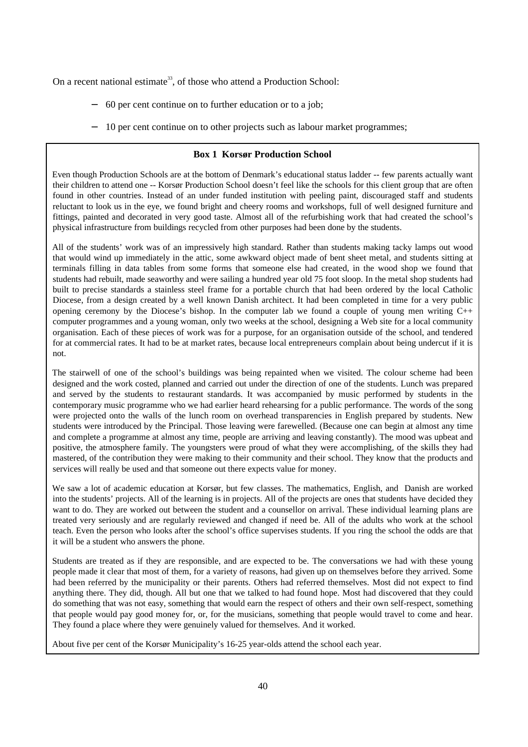On a recent national estimate<sup>33</sup>, of those who attend a Production School:

- − 60 per cent continue on to further education or to a job;
- 10 per cent continue on to other projects such as labour market programmes;

#### **Box 1 Korsør Production School**

Even though Production Schools are at the bottom of Denmark's educational status ladder -- few parents actually want their children to attend one -- Korsør Production School doesn't feel like the schools for this client group that are often found in other countries. Instead of an under funded institution with peeling paint, discouraged staff and students reluctant to look us in the eye, we found bright and cheery rooms and workshops, full of well designed furniture and fittings, painted and decorated in very good taste. Almost all of the refurbishing work that had created the school's physical infrastructure from buildings recycled from other purposes had been done by the students.

All of the students' work was of an impressively high standard. Rather than students making tacky lamps out wood that would wind up immediately in the attic, some awkward object made of bent sheet metal, and students sitting at terminals filling in data tables from some forms that someone else had created, in the wood shop we found that students had rebuilt, made seaworthy and were sailing a hundred year old 75 foot sloop. In the metal shop students had built to precise standards a stainless steel frame for a portable church that had been ordered by the local Catholic Diocese, from a design created by a well known Danish architect. It had been completed in time for a very public opening ceremony by the Diocese's bishop. In the computer lab we found a couple of young men writing  $C_{++}$ computer programmes and a young woman, only two weeks at the school, designing a Web site for a local community organisation. Each of these pieces of work was for a purpose, for an organisation outside of the school, and tendered for at commercial rates. It had to be at market rates, because local entrepreneurs complain about being undercut if it is not.

The stairwell of one of the school's buildings was being repainted when we visited. The colour scheme had been designed and the work costed, planned and carried out under the direction of one of the students. Lunch was prepared and served by the students to restaurant standards. It was accompanied by music performed by students in the contemporary music programme who we had earlier heard rehearsing for a public performance. The words of the song were projected onto the walls of the lunch room on overhead transparencies in English prepared by students. New students were introduced by the Principal. Those leaving were farewelled. (Because one can begin at almost any time and complete a programme at almost any time, people are arriving and leaving constantly). The mood was upbeat and positive, the atmosphere family. The youngsters were proud of what they were accomplishing, of the skills they had mastered, of the contribution they were making to their community and their school. They know that the products and services will really be used and that someone out there expects value for money.

We saw a lot of academic education at Korsør, but few classes. The mathematics, English, and Danish are worked into the students' projects. All of the learning is in projects. All of the projects are ones that students have decided they want to do. They are worked out between the student and a counsellor on arrival. These individual learning plans are treated very seriously and are regularly reviewed and changed if need be. All of the adults who work at the school teach. Even the person who looks after the school's office supervises students. If you ring the school the odds are that it will be a student who answers the phone.

Students are treated as if they are responsible, and are expected to be. The conversations we had with these young people made it clear that most of them, for a variety of reasons, had given up on themselves before they arrived. Some had been referred by the municipality or their parents. Others had referred themselves. Most did not expect to find anything there. They did, though. All but one that we talked to had found hope. Most had discovered that they could do something that was not easy, something that would earn the respect of others and their own self-respect, something that people would pay good money for, or, for the musicians, something that people would travel to come and hear. They found a place where they were genuinely valued for themselves. And it worked.

About five per cent of the Korsør Municipality's 16-25 year-olds attend the school each year.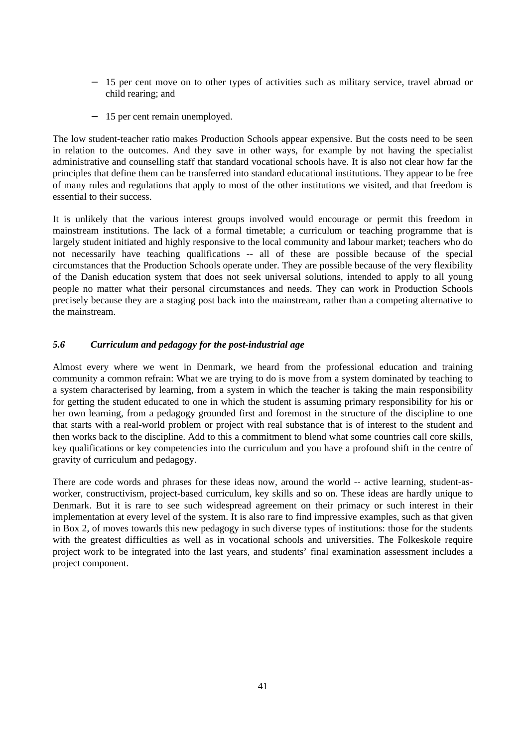- − 15 per cent move on to other types of activities such as military service, travel abroad or child rearing; and
- − 15 per cent remain unemployed.

The low student-teacher ratio makes Production Schools appear expensive. But the costs need to be seen in relation to the outcomes. And they save in other ways, for example by not having the specialist administrative and counselling staff that standard vocational schools have. It is also not clear how far the principles that define them can be transferred into standard educational institutions. They appear to be free of many rules and regulations that apply to most of the other institutions we visited, and that freedom is essential to their success.

It is unlikely that the various interest groups involved would encourage or permit this freedom in mainstream institutions. The lack of a formal timetable; a curriculum or teaching programme that is largely student initiated and highly responsive to the local community and labour market; teachers who do not necessarily have teaching qualifications -- all of these are possible because of the special circumstances that the Production Schools operate under. They are possible because of the very flexibility of the Danish education system that does not seek universal solutions, intended to apply to all young people no matter what their personal circumstances and needs. They can work in Production Schools precisely because they are a staging post back into the mainstream, rather than a competing alternative to the mainstream.

## *5.6 Curriculum and pedagogy for the post-industrial age*

Almost every where we went in Denmark, we heard from the professional education and training community a common refrain: What we are trying to do is move from a system dominated by teaching to a system characterised by learning, from a system in which the teacher is taking the main responsibility for getting the student educated to one in which the student is assuming primary responsibility for his or her own learning, from a pedagogy grounded first and foremost in the structure of the discipline to one that starts with a real-world problem or project with real substance that is of interest to the student and then works back to the discipline. Add to this a commitment to blend what some countries call core skills, key qualifications or key competencies into the curriculum and you have a profound shift in the centre of gravity of curriculum and pedagogy.

There are code words and phrases for these ideas now, around the world -- active learning, student-asworker, constructivism, project-based curriculum, key skills and so on. These ideas are hardly unique to Denmark. But it is rare to see such widespread agreement on their primacy or such interest in their implementation at every level of the system. It is also rare to find impressive examples, such as that given in Box 2, of moves towards this new pedagogy in such diverse types of institutions: those for the students with the greatest difficulties as well as in vocational schools and universities. The Folkeskole require project work to be integrated into the last years, and students' final examination assessment includes a project component.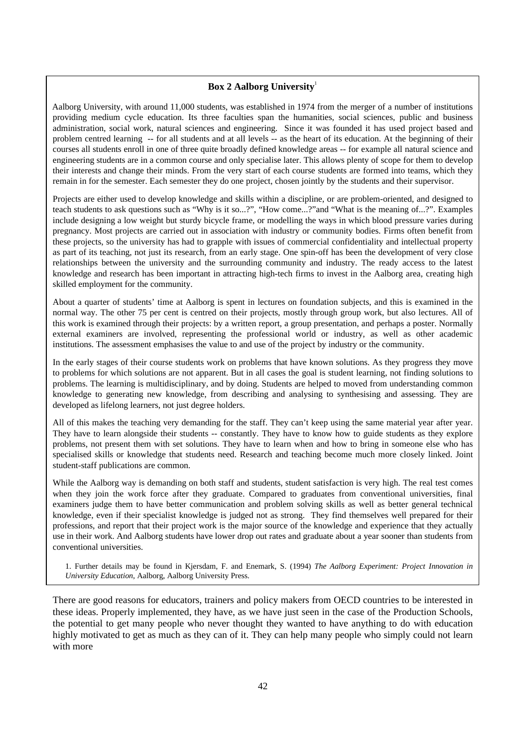## **Box 2 Aalborg University**<sup>1</sup>

Aalborg University, with around 11,000 students, was established in 1974 from the merger of a number of institutions providing medium cycle education. Its three faculties span the humanities, social sciences, public and business administration, social work, natural sciences and engineering. Since it was founded it has used project based and problem centred learning -- for all students and at all levels -- as the heart of its education. At the beginning of their courses all students enroll in one of three quite broadly defined knowledge areas -- for example all natural science and engineering students are in a common course and only specialise later. This allows plenty of scope for them to develop their interests and change their minds. From the very start of each course students are formed into teams, which they remain in for the semester. Each semester they do one project, chosen jointly by the students and their supervisor.

Projects are either used to develop knowledge and skills within a discipline, or are problem-oriented, and designed to teach students to ask questions such as "Why is it so...?", "How come...?"and "What is the meaning of...?". Examples include designing a low weight but sturdy bicycle frame, or modelling the ways in which blood pressure varies during pregnancy. Most projects are carried out in association with industry or community bodies. Firms often benefit from these projects, so the university has had to grapple with issues of commercial confidentiality and intellectual property as part of its teaching, not just its research, from an early stage. One spin-off has been the development of very close relationships between the university and the surrounding community and industry. The ready access to the latest knowledge and research has been important in attracting high-tech firms to invest in the Aalborg area, creating high skilled employment for the community.

About a quarter of students' time at Aalborg is spent in lectures on foundation subjects, and this is examined in the normal way. The other 75 per cent is centred on their projects, mostly through group work, but also lectures. All of this work is examined through their projects: by a written report, a group presentation, and perhaps a poster. Normally external examiners are involved, representing the professional world or industry, as well as other academic institutions. The assessment emphasises the value to and use of the project by industry or the community.

In the early stages of their course students work on problems that have known solutions. As they progress they move to problems for which solutions are not apparent. But in all cases the goal is student learning, not finding solutions to problems. The learning is multidisciplinary, and by doing. Students are helped to moved from understanding common knowledge to generating new knowledge, from describing and analysing to synthesising and assessing. They are developed as lifelong learners, not just degree holders.

All of this makes the teaching very demanding for the staff. They can't keep using the same material year after year. They have to learn alongside their students -- constantly. They have to know how to guide students as they explore problems, not present them with set solutions. They have to learn when and how to bring in someone else who has specialised skills or knowledge that students need. Research and teaching become much more closely linked. Joint student-staff publications are common.

While the Aalborg way is demanding on both staff and students, student satisfaction is very high. The real test comes when they join the work force after they graduate. Compared to graduates from conventional universities, final examiners judge them to have better communication and problem solving skills as well as better general technical knowledge, even if their specialist knowledge is judged not as strong. They find themselves well prepared for their professions, and report that their project work is the major source of the knowledge and experience that they actually use in their work. And Aalborg students have lower drop out rates and graduate about a year sooner than students from conventional universities.

1. Further details may be found in Kjersdam, F. and Enemark, S. (1994) *The Aalborg Experiment: Project Innovation in University Education*, Aalborg, Aalborg University Press.

There are good reasons for educators, trainers and policy makers from OECD countries to be interested in these ideas. Properly implemented, they have, as we have just seen in the case of the Production Schools, the potential to get many people who never thought they wanted to have anything to do with education highly motivated to get as much as they can of it. They can help many people who simply could not learn with more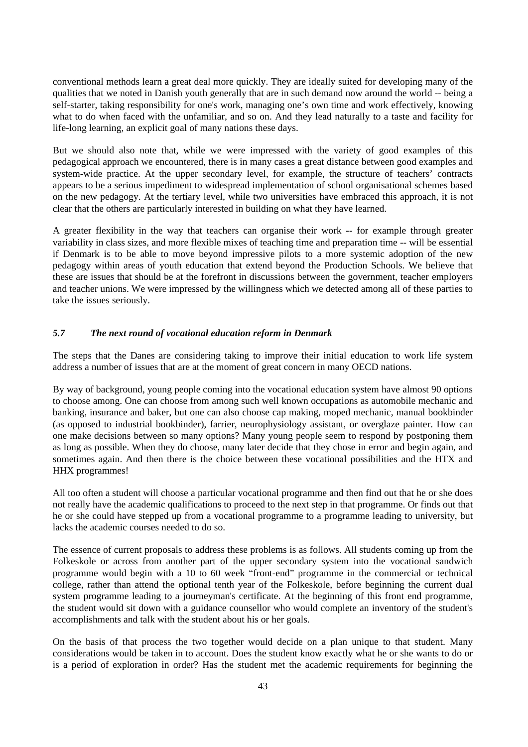conventional methods learn a great deal more quickly. They are ideally suited for developing many of the qualities that we noted in Danish youth generally that are in such demand now around the world -- being a self-starter, taking responsibility for one's work, managing one's own time and work effectively, knowing what to do when faced with the unfamiliar, and so on. And they lead naturally to a taste and facility for life-long learning, an explicit goal of many nations these days.

But we should also note that, while we were impressed with the variety of good examples of this pedagogical approach we encountered, there is in many cases a great distance between good examples and system-wide practice. At the upper secondary level, for example, the structure of teachers' contracts appears to be a serious impediment to widespread implementation of school organisational schemes based on the new pedagogy. At the tertiary level, while two universities have embraced this approach, it is not clear that the others are particularly interested in building on what they have learned.

A greater flexibility in the way that teachers can organise their work -- for example through greater variability in class sizes, and more flexible mixes of teaching time and preparation time -- will be essential if Denmark is to be able to move beyond impressive pilots to a more systemic adoption of the new pedagogy within areas of youth education that extend beyond the Production Schools. We believe that these are issues that should be at the forefront in discussions between the government, teacher employers and teacher unions. We were impressed by the willingness which we detected among all of these parties to take the issues seriously.

## *5.7 The next round of vocational education reform in Denmark*

The steps that the Danes are considering taking to improve their initial education to work life system address a number of issues that are at the moment of great concern in many OECD nations.

By way of background, young people coming into the vocational education system have almost 90 options to choose among. One can choose from among such well known occupations as automobile mechanic and banking, insurance and baker, but one can also choose cap making, moped mechanic, manual bookbinder (as opposed to industrial bookbinder), farrier, neurophysiology assistant, or overglaze painter. How can one make decisions between so many options? Many young people seem to respond by postponing them as long as possible. When they do choose, many later decide that they chose in error and begin again, and sometimes again. And then there is the choice between these vocational possibilities and the HTX and HHX programmes!

All too often a student will choose a particular vocational programme and then find out that he or she does not really have the academic qualifications to proceed to the next step in that programme. Or finds out that he or she could have stepped up from a vocational programme to a programme leading to university, but lacks the academic courses needed to do so.

The essence of current proposals to address these problems is as follows. All students coming up from the Folkeskole or across from another part of the upper secondary system into the vocational sandwich programme would begin with a 10 to 60 week "front-end" programme in the commercial or technical college, rather than attend the optional tenth year of the Folkeskole, before beginning the current dual system programme leading to a journeyman's certificate. At the beginning of this front end programme, the student would sit down with a guidance counsellor who would complete an inventory of the student's accomplishments and talk with the student about his or her goals.

On the basis of that process the two together would decide on a plan unique to that student. Many considerations would be taken in to account. Does the student know exactly what he or she wants to do or is a period of exploration in order? Has the student met the academic requirements for beginning the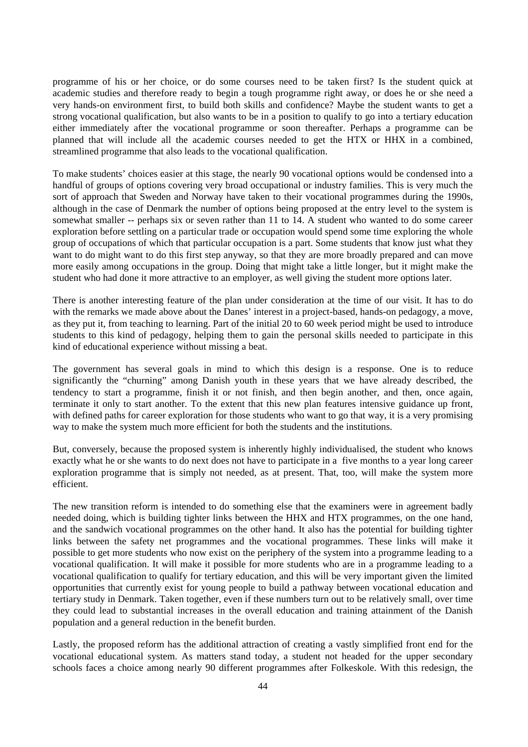programme of his or her choice, or do some courses need to be taken first? Is the student quick at academic studies and therefore ready to begin a tough programme right away, or does he or she need a very hands-on environment first, to build both skills and confidence? Maybe the student wants to get a strong vocational qualification, but also wants to be in a position to qualify to go into a tertiary education either immediately after the vocational programme or soon thereafter. Perhaps a programme can be planned that will include all the academic courses needed to get the HTX or HHX in a combined, streamlined programme that also leads to the vocational qualification.

To make students' choices easier at this stage, the nearly 90 vocational options would be condensed into a handful of groups of options covering very broad occupational or industry families. This is very much the sort of approach that Sweden and Norway have taken to their vocational programmes during the 1990s, although in the case of Denmark the number of options being proposed at the entry level to the system is somewhat smaller -- perhaps six or seven rather than 11 to 14. A student who wanted to do some career exploration before settling on a particular trade or occupation would spend some time exploring the whole group of occupations of which that particular occupation is a part. Some students that know just what they want to do might want to do this first step anyway, so that they are more broadly prepared and can move more easily among occupations in the group. Doing that might take a little longer, but it might make the student who had done it more attractive to an employer, as well giving the student more options later.

There is another interesting feature of the plan under consideration at the time of our visit. It has to do with the remarks we made above about the Danes' interest in a project-based, hands-on pedagogy, a move, as they put it, from teaching to learning. Part of the initial 20 to 60 week period might be used to introduce students to this kind of pedagogy, helping them to gain the personal skills needed to participate in this kind of educational experience without missing a beat.

The government has several goals in mind to which this design is a response. One is to reduce significantly the "churning" among Danish youth in these years that we have already described, the tendency to start a programme, finish it or not finish, and then begin another, and then, once again, terminate it only to start another. To the extent that this new plan features intensive guidance up front, with defined paths for career exploration for those students who want to go that way, it is a very promising way to make the system much more efficient for both the students and the institutions.

But, conversely, because the proposed system is inherently highly individualised, the student who knows exactly what he or she wants to do next does not have to participate in a five months to a year long career exploration programme that is simply not needed, as at present. That, too, will make the system more efficient.

The new transition reform is intended to do something else that the examiners were in agreement badly needed doing, which is building tighter links between the HHX and HTX programmes, on the one hand, and the sandwich vocational programmes on the other hand. It also has the potential for building tighter links between the safety net programmes and the vocational programmes. These links will make it possible to get more students who now exist on the periphery of the system into a programme leading to a vocational qualification. It will make it possible for more students who are in a programme leading to a vocational qualification to qualify for tertiary education, and this will be very important given the limited opportunities that currently exist for young people to build a pathway between vocational education and tertiary study in Denmark. Taken together, even if these numbers turn out to be relatively small, over time they could lead to substantial increases in the overall education and training attainment of the Danish population and a general reduction in the benefit burden.

Lastly, the proposed reform has the additional attraction of creating a vastly simplified front end for the vocational educational system. As matters stand today, a student not headed for the upper secondary schools faces a choice among nearly 90 different programmes after Folkeskole. With this redesign, the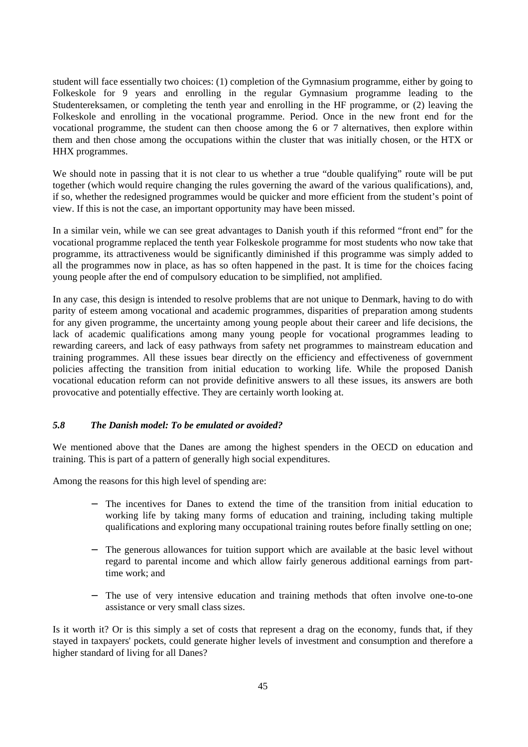student will face essentially two choices: (1) completion of the Gymnasium programme, either by going to Folkeskole for 9 years and enrolling in the regular Gymnasium programme leading to the Studentereksamen, or completing the tenth year and enrolling in the HF programme, or (2) leaving the Folkeskole and enrolling in the vocational programme. Period. Once in the new front end for the vocational programme, the student can then choose among the 6 or 7 alternatives, then explore within them and then chose among the occupations within the cluster that was initially chosen, or the HTX or HHX programmes.

We should note in passing that it is not clear to us whether a true "double qualifying" route will be put together (which would require changing the rules governing the award of the various qualifications), and, if so, whether the redesigned programmes would be quicker and more efficient from the student's point of view. If this is not the case, an important opportunity may have been missed.

In a similar vein, while we can see great advantages to Danish youth if this reformed "front end" for the vocational programme replaced the tenth year Folkeskole programme for most students who now take that programme, its attractiveness would be significantly diminished if this programme was simply added to all the programmes now in place, as has so often happened in the past. It is time for the choices facing young people after the end of compulsory education to be simplified, not amplified.

In any case, this design is intended to resolve problems that are not unique to Denmark, having to do with parity of esteem among vocational and academic programmes, disparities of preparation among students for any given programme, the uncertainty among young people about their career and life decisions, the lack of academic qualifications among many young people for vocational programmes leading to rewarding careers, and lack of easy pathways from safety net programmes to mainstream education and training programmes. All these issues bear directly on the efficiency and effectiveness of government policies affecting the transition from initial education to working life. While the proposed Danish vocational education reform can not provide definitive answers to all these issues, its answers are both provocative and potentially effective. They are certainly worth looking at.

## *5.8 The Danish model: To be emulated or avoided?*

We mentioned above that the Danes are among the highest spenders in the OECD on education and training. This is part of a pattern of generally high social expenditures.

Among the reasons for this high level of spending are:

- The incentives for Danes to extend the time of the transition from initial education to working life by taking many forms of education and training, including taking multiple qualifications and exploring many occupational training routes before finally settling on one;
- The generous allowances for tuition support which are available at the basic level without regard to parental income and which allow fairly generous additional earnings from parttime work; and
- − The use of very intensive education and training methods that often involve one-to-one assistance or very small class sizes.

Is it worth it? Or is this simply a set of costs that represent a drag on the economy, funds that, if they stayed in taxpayers' pockets, could generate higher levels of investment and consumption and therefore a higher standard of living for all Danes?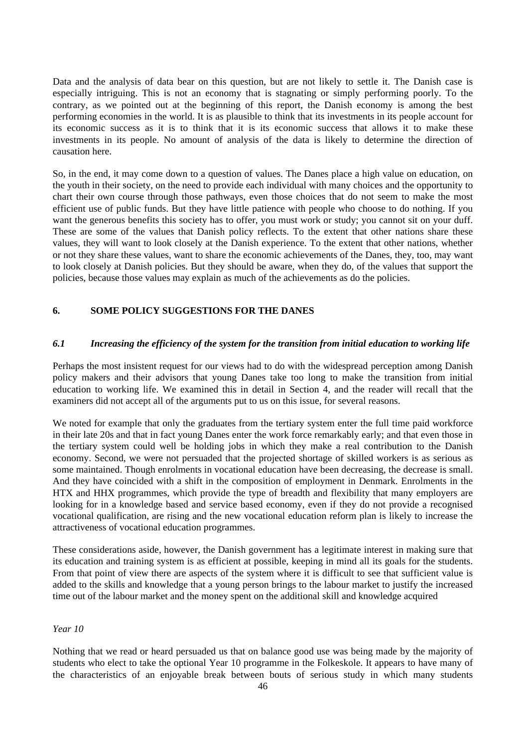Data and the analysis of data bear on this question, but are not likely to settle it. The Danish case is especially intriguing. This is not an economy that is stagnating or simply performing poorly. To the contrary, as we pointed out at the beginning of this report, the Danish economy is among the best performing economies in the world. It is as plausible to think that its investments in its people account for its economic success as it is to think that it is its economic success that allows it to make these investments in its people. No amount of analysis of the data is likely to determine the direction of causation here.

So, in the end, it may come down to a question of values. The Danes place a high value on education, on the youth in their society, on the need to provide each individual with many choices and the opportunity to chart their own course through those pathways, even those choices that do not seem to make the most efficient use of public funds. But they have little patience with people who choose to do nothing. If you want the generous benefits this society has to offer, you must work or study; you cannot sit on your duff. These are some of the values that Danish policy reflects. To the extent that other nations share these values, they will want to look closely at the Danish experience. To the extent that other nations, whether or not they share these values, want to share the economic achievements of the Danes, they, too, may want to look closely at Danish policies. But they should be aware, when they do, of the values that support the policies, because those values may explain as much of the achievements as do the policies.

## **6. SOME POLICY SUGGESTIONS FOR THE DANES**

#### *6.1 Increasing the efficiency of the system for the transition from initial education to working life*

Perhaps the most insistent request for our views had to do with the widespread perception among Danish policy makers and their advisors that young Danes take too long to make the transition from initial education to working life. We examined this in detail in Section 4, and the reader will recall that the examiners did not accept all of the arguments put to us on this issue, for several reasons.

We noted for example that only the graduates from the tertiary system enter the full time paid workforce in their late 20s and that in fact young Danes enter the work force remarkably early; and that even those in the tertiary system could well be holding jobs in which they make a real contribution to the Danish economy. Second, we were not persuaded that the projected shortage of skilled workers is as serious as some maintained. Though enrolments in vocational education have been decreasing, the decrease is small. And they have coincided with a shift in the composition of employment in Denmark. Enrolments in the HTX and HHX programmes, which provide the type of breadth and flexibility that many employers are looking for in a knowledge based and service based economy, even if they do not provide a recognised vocational qualification, are rising and the new vocational education reform plan is likely to increase the attractiveness of vocational education programmes.

These considerations aside, however, the Danish government has a legitimate interest in making sure that its education and training system is as efficient at possible, keeping in mind all its goals for the students. From that point of view there are aspects of the system where it is difficult to see that sufficient value is added to the skills and knowledge that a young person brings to the labour market to justify the increased time out of the labour market and the money spent on the additional skill and knowledge acquired

#### *Year 10*

Nothing that we read or heard persuaded us that on balance good use was being made by the majority of students who elect to take the optional Year 10 programme in the Folkeskole. It appears to have many of the characteristics of an enjoyable break between bouts of serious study in which many students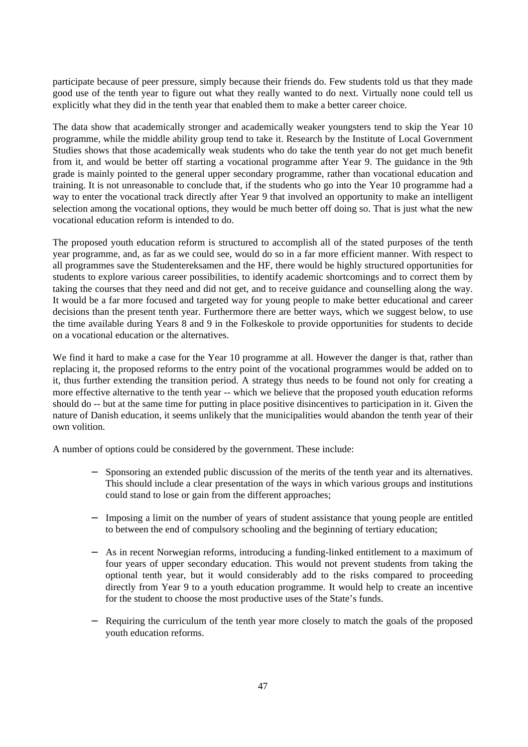participate because of peer pressure, simply because their friends do. Few students told us that they made good use of the tenth year to figure out what they really wanted to do next. Virtually none could tell us explicitly what they did in the tenth year that enabled them to make a better career choice.

The data show that academically stronger and academically weaker youngsters tend to skip the Year 10 programme, while the middle ability group tend to take it. Research by the Institute of Local Government Studies shows that those academically weak students who do take the tenth year do not get much benefit from it, and would be better off starting a vocational programme after Year 9. The guidance in the 9th grade is mainly pointed to the general upper secondary programme, rather than vocational education and training. It is not unreasonable to conclude that, if the students who go into the Year 10 programme had a way to enter the vocational track directly after Year 9 that involved an opportunity to make an intelligent selection among the vocational options, they would be much better off doing so. That is just what the new vocational education reform is intended to do.

The proposed youth education reform is structured to accomplish all of the stated purposes of the tenth year programme, and, as far as we could see, would do so in a far more efficient manner. With respect to all programmes save the Studentereksamen and the HF, there would be highly structured opportunities for students to explore various career possibilities, to identify academic shortcomings and to correct them by taking the courses that they need and did not get, and to receive guidance and counselling along the way. It would be a far more focused and targeted way for young people to make better educational and career decisions than the present tenth year. Furthermore there are better ways, which we suggest below, to use the time available during Years 8 and 9 in the Folkeskole to provide opportunities for students to decide on a vocational education or the alternatives.

We find it hard to make a case for the Year 10 programme at all. However the danger is that, rather than replacing it, the proposed reforms to the entry point of the vocational programmes would be added on to it, thus further extending the transition period. A strategy thus needs to be found not only for creating a more effective alternative to the tenth year -- which we believe that the proposed youth education reforms should do -- but at the same time for putting in place positive disincentives to participation in it. Given the nature of Danish education, it seems unlikely that the municipalities would abandon the tenth year of their own volition.

A number of options could be considered by the government. These include:

- Sponsoring an extended public discussion of the merits of the tenth year and its alternatives. This should include a clear presentation of the ways in which various groups and institutions could stand to lose or gain from the different approaches;
- Imposing a limit on the number of years of student assistance that young people are entitled to between the end of compulsory schooling and the beginning of tertiary education;
- − As in recent Norwegian reforms, introducing a funding-linked entitlement to a maximum of four years of upper secondary education. This would not prevent students from taking the optional tenth year, but it would considerably add to the risks compared to proceeding directly from Year 9 to a youth education programme. It would help to create an incentive for the student to choose the most productive uses of the State's funds.
- Requiring the curriculum of the tenth year more closely to match the goals of the proposed youth education reforms.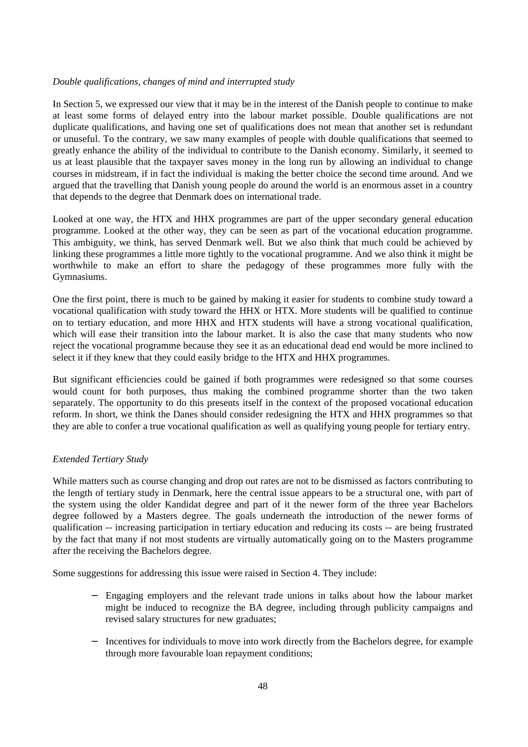#### *Double qualifications, changes of mind and interrupted study*

In Section 5, we expressed our view that it may be in the interest of the Danish people to continue to make at least some forms of delayed entry into the labour market possible. Double qualifications are not duplicate qualifications, and having one set of qualifications does not mean that another set is redundant or unuseful. To the contrary, we saw many examples of people with double qualifications that seemed to greatly enhance the ability of the individual to contribute to the Danish economy. Similarly, it seemed to us at least plausible that the taxpayer saves money in the long run by allowing an individual to change courses in midstream, if in fact the individual is making the better choice the second time around. And we argued that the travelling that Danish young people do around the world is an enormous asset in a country that depends to the degree that Denmark does on international trade.

Looked at one way, the HTX and HHX programmes are part of the upper secondary general education programme. Looked at the other way, they can be seen as part of the vocational education programme. This ambiguity, we think, has served Denmark well. But we also think that much could be achieved by linking these programmes a little more tightly to the vocational programme. And we also think it might be worthwhile to make an effort to share the pedagogy of these programmes more fully with the Gymnasiums.

One the first point, there is much to be gained by making it easier for students to combine study toward a vocational qualification with study toward the HHX or HTX. More students will be qualified to continue on to tertiary education, and more HHX and HTX students will have a strong vocational qualification, which will ease their transition into the labour market. It is also the case that many students who now reject the vocational programme because they see it as an educational dead end would be more inclined to select it if they knew that they could easily bridge to the HTX and HHX programmes.

But significant efficiencies could be gained if both programmes were redesigned so that some courses would count for both purposes, thus making the combined programme shorter than the two taken separately. The opportunity to do this presents itself in the context of the proposed vocational education reform. In short, we think the Danes should consider redesigning the HTX and HHX programmes so that they are able to confer a true vocational qualification as well as qualifying young people for tertiary entry.

#### *Extended Tertiary Study*

While matters such as course changing and drop out rates are not to be dismissed as factors contributing to the length of tertiary study in Denmark, here the central issue appears to be a structural one, with part of the system using the older Kandidat degree and part of it the newer form of the three year Bachelors degree followed by a Masters degree. The goals underneath the introduction of the newer forms of qualification -- increasing participation in tertiary education and reducing its costs -- are being frustrated by the fact that many if not most students are virtually automatically going on to the Masters programme after the receiving the Bachelors degree.

Some suggestions for addressing this issue were raised in Section 4. They include:

- − Engaging employers and the relevant trade unions in talks about how the labour market might be induced to recognize the BA degree, including through publicity campaigns and revised salary structures for new graduates;
- − Incentives for individuals to move into work directly from the Bachelors degree, for example through more favourable loan repayment conditions;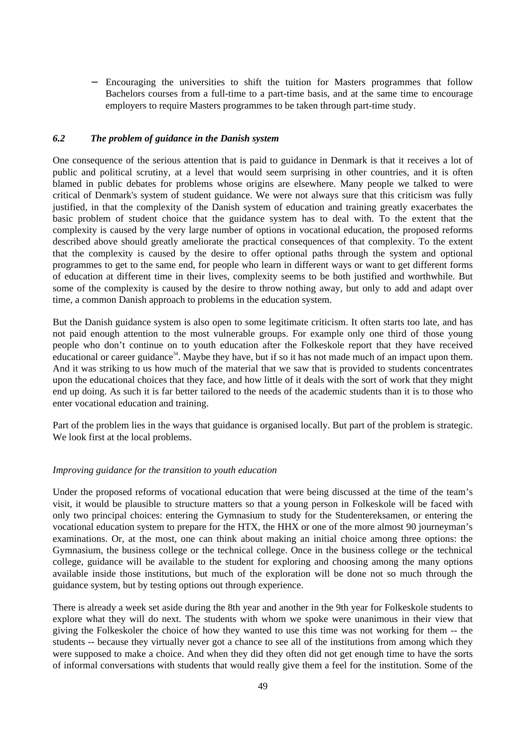− Encouraging the universities to shift the tuition for Masters programmes that follow Bachelors courses from a full-time to a part-time basis, and at the same time to encourage employers to require Masters programmes to be taken through part-time study.

#### *6.2 The problem of guidance in the Danish system*

One consequence of the serious attention that is paid to guidance in Denmark is that it receives a lot of public and political scrutiny, at a level that would seem surprising in other countries, and it is often blamed in public debates for problems whose origins are elsewhere. Many people we talked to were critical of Denmark's system of student guidance. We were not always sure that this criticism was fully justified, in that the complexity of the Danish system of education and training greatly exacerbates the basic problem of student choice that the guidance system has to deal with. To the extent that the complexity is caused by the very large number of options in vocational education, the proposed reforms described above should greatly ameliorate the practical consequences of that complexity. To the extent that the complexity is caused by the desire to offer optional paths through the system and optional programmes to get to the same end, for people who learn in different ways or want to get different forms of education at different time in their lives, complexity seems to be both justified and worthwhile. But some of the complexity is caused by the desire to throw nothing away, but only to add and adapt over time, a common Danish approach to problems in the education system.

But the Danish guidance system is also open to some legitimate criticism. It often starts too late, and has not paid enough attention to the most vulnerable groups. For example only one third of those young people who don't continue on to youth education after the Folkeskole report that they have received educational or career guidance<sup>34</sup>. Maybe they have, but if so it has not made much of an impact upon them. And it was striking to us how much of the material that we saw that is provided to students concentrates upon the educational choices that they face, and how little of it deals with the sort of work that they might end up doing. As such it is far better tailored to the needs of the academic students than it is to those who enter vocational education and training.

Part of the problem lies in the ways that guidance is organised locally. But part of the problem is strategic. We look first at the local problems.

#### *Improving guidance for the transition to youth education*

Under the proposed reforms of vocational education that were being discussed at the time of the team's visit, it would be plausible to structure matters so that a young person in Folkeskole will be faced with only two principal choices: entering the Gymnasium to study for the Studentereksamen, or entering the vocational education system to prepare for the HTX, the HHX or one of the more almost 90 journeyman's examinations. Or, at the most, one can think about making an initial choice among three options: the Gymnasium, the business college or the technical college. Once in the business college or the technical college, guidance will be available to the student for exploring and choosing among the many options available inside those institutions, but much of the exploration will be done not so much through the guidance system, but by testing options out through experience.

There is already a week set aside during the 8th year and another in the 9th year for Folkeskole students to explore what they will do next. The students with whom we spoke were unanimous in their view that giving the Folkeskoler the choice of how they wanted to use this time was not working for them -- the students -- because they virtually never got a chance to see all of the institutions from among which they were supposed to make a choice. And when they did they often did not get enough time to have the sorts of informal conversations with students that would really give them a feel for the institution. Some of the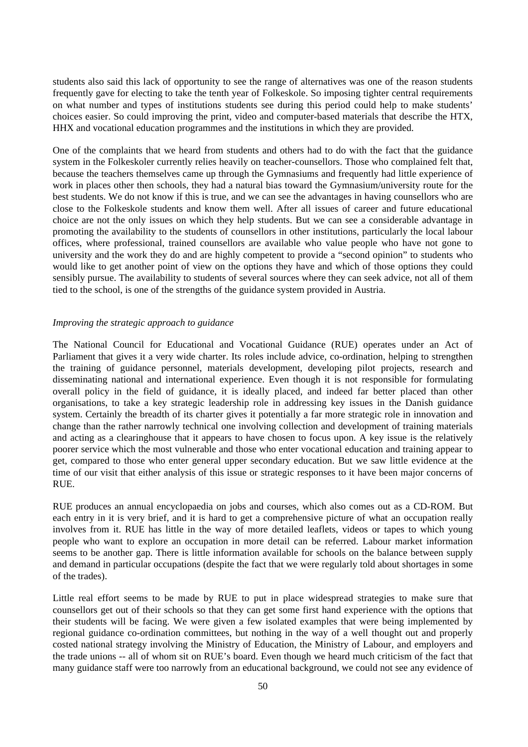students also said this lack of opportunity to see the range of alternatives was one of the reason students frequently gave for electing to take the tenth year of Folkeskole. So imposing tighter central requirements on what number and types of institutions students see during this period could help to make students' choices easier. So could improving the print, video and computer-based materials that describe the HTX, HHX and vocational education programmes and the institutions in which they are provided.

One of the complaints that we heard from students and others had to do with the fact that the guidance system in the Folkeskoler currently relies heavily on teacher-counsellors. Those who complained felt that, because the teachers themselves came up through the Gymnasiums and frequently had little experience of work in places other then schools, they had a natural bias toward the Gymnasium/university route for the best students. We do not know if this is true, and we can see the advantages in having counsellors who are close to the Folkeskole students and know them well. After all issues of career and future educational choice are not the only issues on which they help students. But we can see a considerable advantage in promoting the availability to the students of counsellors in other institutions, particularly the local labour offices, where professional, trained counsellors are available who value people who have not gone to university and the work they do and are highly competent to provide a "second opinion" to students who would like to get another point of view on the options they have and which of those options they could sensibly pursue. The availability to students of several sources where they can seek advice, not all of them tied to the school, is one of the strengths of the guidance system provided in Austria.

#### *Improving the strategic approach to guidance*

The National Council for Educational and Vocational Guidance (RUE) operates under an Act of Parliament that gives it a very wide charter. Its roles include advice, co-ordination, helping to strengthen the training of guidance personnel, materials development, developing pilot projects, research and disseminating national and international experience. Even though it is not responsible for formulating overall policy in the field of guidance, it is ideally placed, and indeed far better placed than other organisations, to take a key strategic leadership role in addressing key issues in the Danish guidance system. Certainly the breadth of its charter gives it potentially a far more strategic role in innovation and change than the rather narrowly technical one involving collection and development of training materials and acting as a clearinghouse that it appears to have chosen to focus upon. A key issue is the relatively poorer service which the most vulnerable and those who enter vocational education and training appear to get, compared to those who enter general upper secondary education. But we saw little evidence at the time of our visit that either analysis of this issue or strategic responses to it have been major concerns of RUE.

RUE produces an annual encyclopaedia on jobs and courses, which also comes out as a CD-ROM. But each entry in it is very brief, and it is hard to get a comprehensive picture of what an occupation really involves from it. RUE has little in the way of more detailed leaflets, videos or tapes to which young people who want to explore an occupation in more detail can be referred. Labour market information seems to be another gap. There is little information available for schools on the balance between supply and demand in particular occupations (despite the fact that we were regularly told about shortages in some of the trades).

Little real effort seems to be made by RUE to put in place widespread strategies to make sure that counsellors get out of their schools so that they can get some first hand experience with the options that their students will be facing. We were given a few isolated examples that were being implemented by regional guidance co-ordination committees, but nothing in the way of a well thought out and properly costed national strategy involving the Ministry of Education, the Ministry of Labour, and employers and the trade unions -- all of whom sit on RUE's board. Even though we heard much criticism of the fact that many guidance staff were too narrowly from an educational background, we could not see any evidence of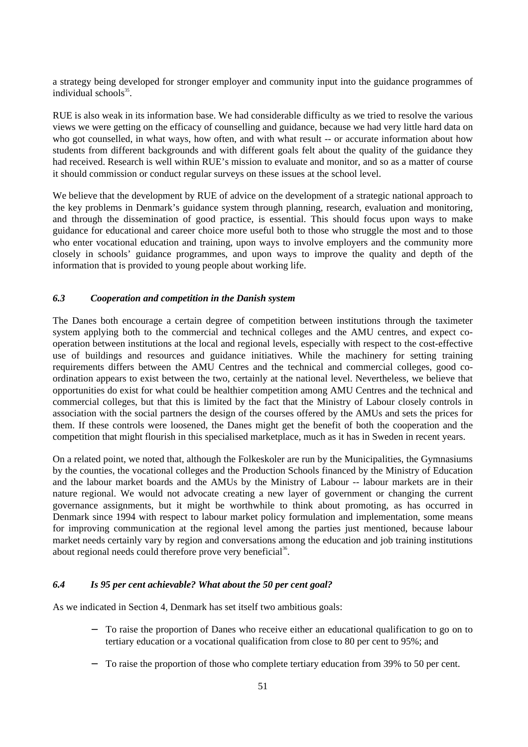a strategy being developed for stronger employer and community input into the guidance programmes of individual schools<sup>35</sup>.

RUE is also weak in its information base. We had considerable difficulty as we tried to resolve the various views we were getting on the efficacy of counselling and guidance, because we had very little hard data on who got counselled, in what ways, how often, and with what result -- or accurate information about how students from different backgrounds and with different goals felt about the quality of the guidance they had received. Research is well within RUE's mission to evaluate and monitor, and so as a matter of course it should commission or conduct regular surveys on these issues at the school level.

We believe that the development by RUE of advice on the development of a strategic national approach to the key problems in Denmark's guidance system through planning, research, evaluation and monitoring, and through the dissemination of good practice, is essential. This should focus upon ways to make guidance for educational and career choice more useful both to those who struggle the most and to those who enter vocational education and training, upon ways to involve employers and the community more closely in schools' guidance programmes, and upon ways to improve the quality and depth of the information that is provided to young people about working life.

## *6.3 Cooperation and competition in the Danish system*

The Danes both encourage a certain degree of competition between institutions through the taximeter system applying both to the commercial and technical colleges and the AMU centres, and expect cooperation between institutions at the local and regional levels, especially with respect to the cost-effective use of buildings and resources and guidance initiatives. While the machinery for setting training requirements differs between the AMU Centres and the technical and commercial colleges, good coordination appears to exist between the two, certainly at the national level. Nevertheless, we believe that opportunities do exist for what could be healthier competition among AMU Centres and the technical and commercial colleges, but that this is limited by the fact that the Ministry of Labour closely controls in association with the social partners the design of the courses offered by the AMUs and sets the prices for them. If these controls were loosened, the Danes might get the benefit of both the cooperation and the competition that might flourish in this specialised marketplace, much as it has in Sweden in recent years.

On a related point, we noted that, although the Folkeskoler are run by the Municipalities, the Gymnasiums by the counties, the vocational colleges and the Production Schools financed by the Ministry of Education and the labour market boards and the AMUs by the Ministry of Labour -- labour markets are in their nature regional. We would not advocate creating a new layer of government or changing the current governance assignments, but it might be worthwhile to think about promoting, as has occurred in Denmark since 1994 with respect to labour market policy formulation and implementation, some means for improving communication at the regional level among the parties just mentioned, because labour market needs certainly vary by region and conversations among the education and job training institutions about regional needs could therefore prove very beneficial<sup>36</sup>.

#### *6.4 Is 95 per cent achievable? What about the 50 per cent goal?*

As we indicated in Section 4, Denmark has set itself two ambitious goals:

- − To raise the proportion of Danes who receive either an educational qualification to go on to tertiary education or a vocational qualification from close to 80 per cent to 95%; and
- − To raise the proportion of those who complete tertiary education from 39% to 50 per cent.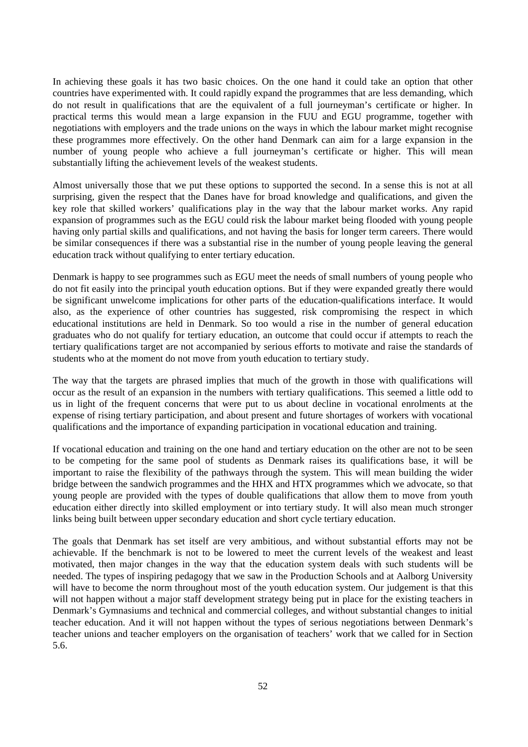In achieving these goals it has two basic choices. On the one hand it could take an option that other countries have experimented with. It could rapidly expand the programmes that are less demanding, which do not result in qualifications that are the equivalent of a full journeyman's certificate or higher. In practical terms this would mean a large expansion in the FUU and EGU programme, together with negotiations with employers and the trade unions on the ways in which the labour market might recognise these programmes more effectively. On the other hand Denmark can aim for a large expansion in the number of young people who achieve a full journeyman's certificate or higher. This will mean substantially lifting the achievement levels of the weakest students.

Almost universally those that we put these options to supported the second. In a sense this is not at all surprising, given the respect that the Danes have for broad knowledge and qualifications, and given the key role that skilled workers' qualifications play in the way that the labour market works. Any rapid expansion of programmes such as the EGU could risk the labour market being flooded with young people having only partial skills and qualifications, and not having the basis for longer term careers. There would be similar consequences if there was a substantial rise in the number of young people leaving the general education track without qualifying to enter tertiary education.

Denmark is happy to see programmes such as EGU meet the needs of small numbers of young people who do not fit easily into the principal youth education options. But if they were expanded greatly there would be significant unwelcome implications for other parts of the education-qualifications interface. It would also, as the experience of other countries has suggested, risk compromising the respect in which educational institutions are held in Denmark. So too would a rise in the number of general education graduates who do not qualify for tertiary education, an outcome that could occur if attempts to reach the tertiary qualifications target are not accompanied by serious efforts to motivate and raise the standards of students who at the moment do not move from youth education to tertiary study.

The way that the targets are phrased implies that much of the growth in those with qualifications will occur as the result of an expansion in the numbers with tertiary qualifications. This seemed a little odd to us in light of the frequent concerns that were put to us about decline in vocational enrolments at the expense of rising tertiary participation, and about present and future shortages of workers with vocational qualifications and the importance of expanding participation in vocational education and training.

If vocational education and training on the one hand and tertiary education on the other are not to be seen to be competing for the same pool of students as Denmark raises its qualifications base, it will be important to raise the flexibility of the pathways through the system. This will mean building the wider bridge between the sandwich programmes and the HHX and HTX programmes which we advocate, so that young people are provided with the types of double qualifications that allow them to move from youth education either directly into skilled employment or into tertiary study. It will also mean much stronger links being built between upper secondary education and short cycle tertiary education.

The goals that Denmark has set itself are very ambitious, and without substantial efforts may not be achievable. If the benchmark is not to be lowered to meet the current levels of the weakest and least motivated, then major changes in the way that the education system deals with such students will be needed. The types of inspiring pedagogy that we saw in the Production Schools and at Aalborg University will have to become the norm throughout most of the youth education system. Our judgement is that this will not happen without a major staff development strategy being put in place for the existing teachers in Denmark's Gymnasiums and technical and commercial colleges, and without substantial changes to initial teacher education. And it will not happen without the types of serious negotiations between Denmark's teacher unions and teacher employers on the organisation of teachers' work that we called for in Section 5.6.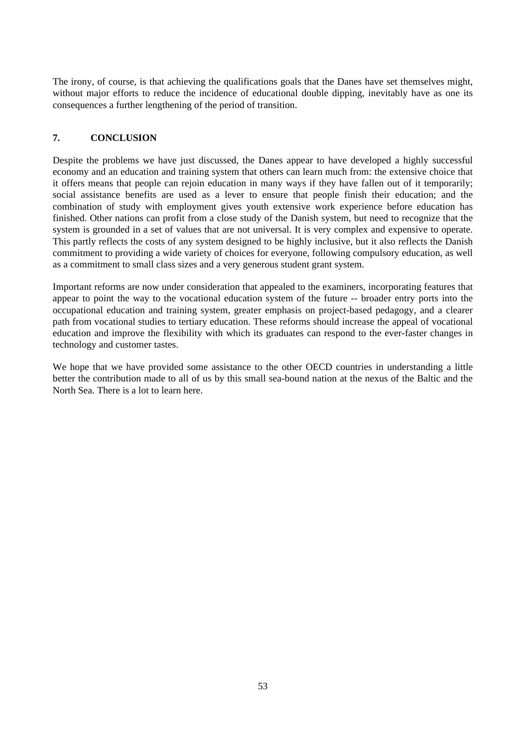The irony, of course, is that achieving the qualifications goals that the Danes have set themselves might, without major efforts to reduce the incidence of educational double dipping, inevitably have as one its consequences a further lengthening of the period of transition.

## **7. CONCLUSION**

Despite the problems we have just discussed, the Danes appear to have developed a highly successful economy and an education and training system that others can learn much from: the extensive choice that it offers means that people can rejoin education in many ways if they have fallen out of it temporarily; social assistance benefits are used as a lever to ensure that people finish their education; and the combination of study with employment gives youth extensive work experience before education has finished. Other nations can profit from a close study of the Danish system, but need to recognize that the system is grounded in a set of values that are not universal. It is very complex and expensive to operate. This partly reflects the costs of any system designed to be highly inclusive, but it also reflects the Danish commitment to providing a wide variety of choices for everyone, following compulsory education, as well as a commitment to small class sizes and a very generous student grant system.

Important reforms are now under consideration that appealed to the examiners, incorporating features that appear to point the way to the vocational education system of the future -- broader entry ports into the occupational education and training system, greater emphasis on project-based pedagogy, and a clearer path from vocational studies to tertiary education. These reforms should increase the appeal of vocational education and improve the flexibility with which its graduates can respond to the ever-faster changes in technology and customer tastes.

We hope that we have provided some assistance to the other OECD countries in understanding a little better the contribution made to all of us by this small sea-bound nation at the nexus of the Baltic and the North Sea. There is a lot to learn here.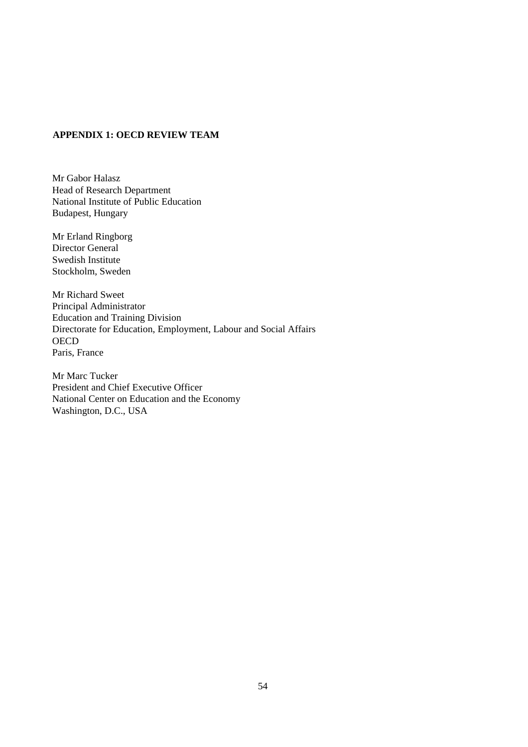## **APPENDIX 1: OECD REVIEW TEAM**

Mr Gabor Halasz Head of Research Department National Institute of Public Education Budapest, Hungary

Mr Erland Ringborg Director General Swedish Institute Stockholm, Sweden

Mr Richard Sweet Principal Administrator Education and Training Division Directorate for Education, Employment, Labour and Social Affairs **OECD** Paris, France

Mr Marc Tucker President and Chief Executive Officer National Center on Education and the Economy Washington, D.C., USA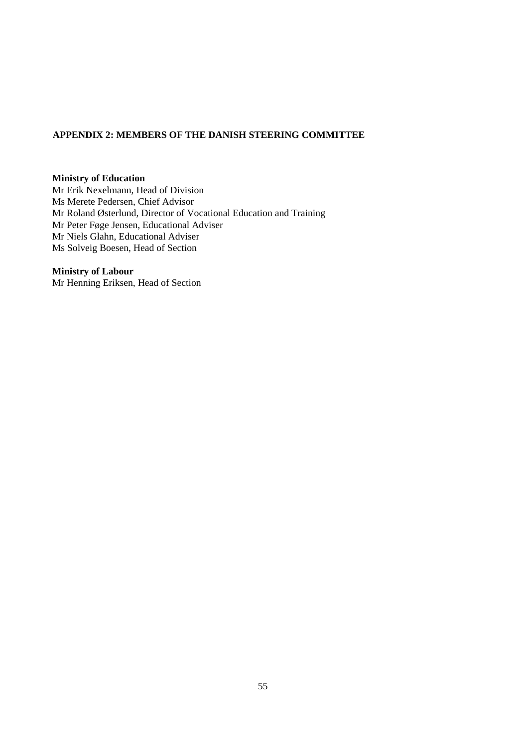## **APPENDIX 2: MEMBERS OF THE DANISH STEERING COMMITTEE**

#### **Ministry of Education**

Mr Erik Nexelmann, Head of Division Ms Merete Pedersen, Chief Advisor Mr Roland Østerlund, Director of Vocational Education and Training Mr Peter Føge Jensen, Educational Adviser Mr Niels Glahn, Educational Adviser Ms Solveig Boesen, Head of Section

#### **Ministry of Labour**

Mr Henning Eriksen, Head of Section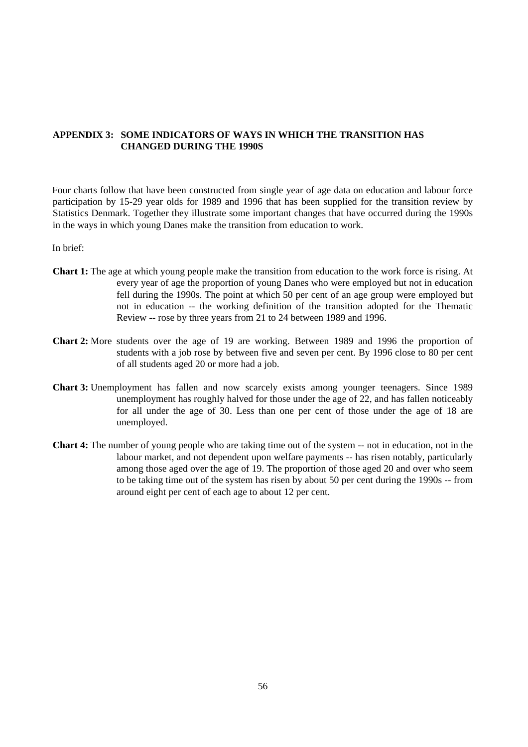## **APPENDIX 3: SOME INDICATORS OF WAYS IN WHICH THE TRANSITION HAS CHANGED DURING THE 1990S**

Four charts follow that have been constructed from single year of age data on education and labour force participation by 15-29 year olds for 1989 and 1996 that has been supplied for the transition review by Statistics Denmark. Together they illustrate some important changes that have occurred during the 1990s in the ways in which young Danes make the transition from education to work.

In brief:

- **Chart 1:** The age at which young people make the transition from education to the work force is rising. At every year of age the proportion of young Danes who were employed but not in education fell during the 1990s. The point at which 50 per cent of an age group were employed but not in education -- the working definition of the transition adopted for the Thematic Review -- rose by three years from 21 to 24 between 1989 and 1996.
- **Chart 2:** More students over the age of 19 are working. Between 1989 and 1996 the proportion of students with a job rose by between five and seven per cent. By 1996 close to 80 per cent of all students aged 20 or more had a job.
- **Chart 3:** Unemployment has fallen and now scarcely exists among younger teenagers. Since 1989 unemployment has roughly halved for those under the age of 22, and has fallen noticeably for all under the age of 30. Less than one per cent of those under the age of 18 are unemployed.
- **Chart 4:** The number of young people who are taking time out of the system -- not in education, not in the labour market, and not dependent upon welfare payments -- has risen notably, particularly among those aged over the age of 19. The proportion of those aged 20 and over who seem to be taking time out of the system has risen by about 50 per cent during the 1990s -- from around eight per cent of each age to about 12 per cent.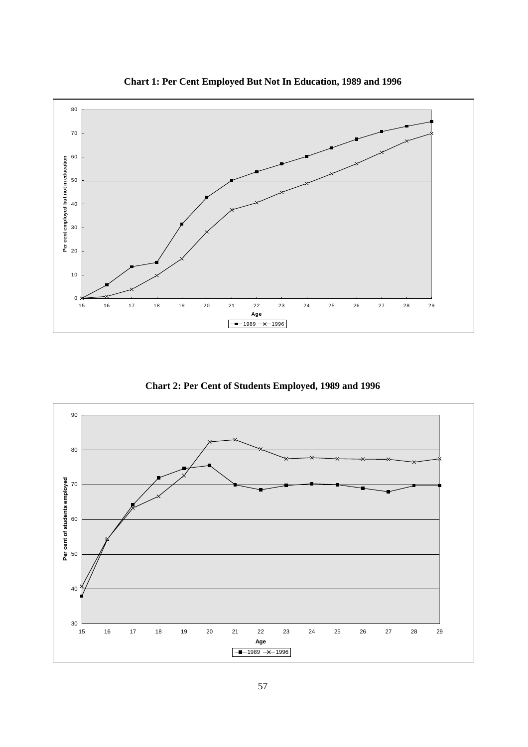

**Chart 1: Per Cent Employed But Not In Education, 1989 and 1996**

**Chart 2: Per Cent of Students Employed, 1989 and 1996**

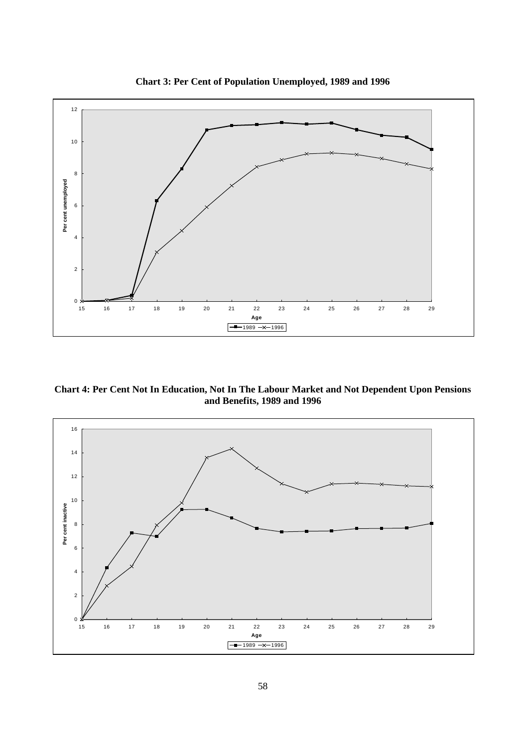

**Chart 3: Per Cent of Population Unemployed, 1989 and 1996**

**Chart 4: Per Cent Not In Education, Not In The Labour Market and Not Dependent Upon Pensions and Benefits, 1989 and 1996**

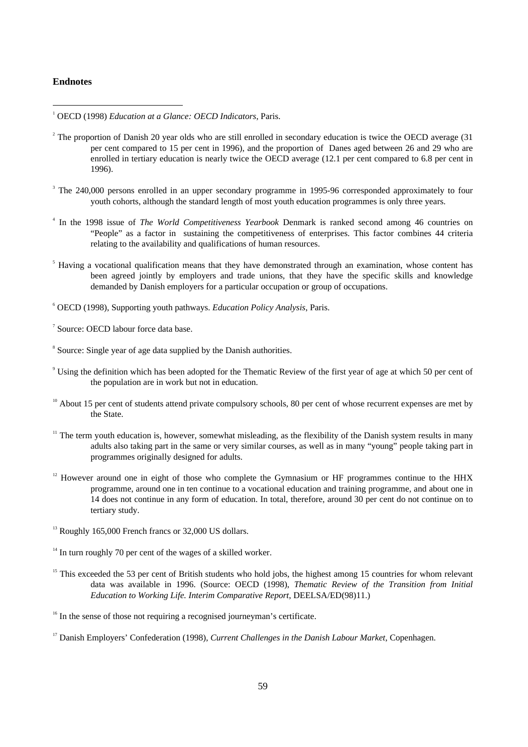#### **Endnotes**

<sup>1</sup> OECD (1998) *Education at a Glance: OECD Indicators*, Paris.

- $2^2$  The proportion of Danish 20 year olds who are still enrolled in secondary education is twice the OECD average (31) per cent compared to 15 per cent in 1996), and the proportion of Danes aged between 26 and 29 who are enrolled in tertiary education is nearly twice the OECD average (12.1 per cent compared to 6.8 per cent in 1996).
- <sup>3</sup> The 240,000 persons enrolled in an upper secondary programme in 1995-96 corresponded approximately to four youth cohorts, although the standard length of most youth education programmes is only three years.
- <sup>4</sup> In the 1998 issue of *The World Competitiveness Yearbook* Denmark is ranked second among 46 countries on "People" as a factor in sustaining the competitiveness of enterprises. This factor combines 44 criteria relating to the availability and qualifications of human resources.
- <sup>5</sup> Having a vocational qualification means that they have demonstrated through an examination, whose content has been agreed jointly by employers and trade unions, that they have the specific skills and knowledge demanded by Danish employers for a particular occupation or group of occupations.

<sup>6</sup> OECD (1998), Supporting youth pathways. *Education Policy Analysis*, Paris.

7 Source: OECD labour force data base.

- $10$  About 15 per cent of students attend private compulsory schools, 80 per cent of whose recurrent expenses are met by the State.
- $11$  The term youth education is, however, somewhat misleading, as the flexibility of the Danish system results in many adults also taking part in the same or very similar courses, as well as in many "young" people taking part in programmes originally designed for adults.
- $12$  However around one in eight of those who complete the Gymnasium or HF programmes continue to the HHX programme, around one in ten continue to a vocational education and training programme, and about one in 14 does not continue in any form of education. In total, therefore, around 30 per cent do not continue on to tertiary study.
- $13$  Roughly 165,000 French francs or 32,000 US dollars.

<sup>15</sup> This exceeded the 53 per cent of British students who hold jobs, the highest among 15 countries for whom relevant data was available in 1996. (Source: OECD (1998), *Thematic Review of the Transition from Initial Education to Working Life. Interim Comparative Report*, DEELSA/ED(98)11.)

<sup>&</sup>lt;sup>8</sup> Source: Single year of age data supplied by the Danish authorities.

<sup>&</sup>lt;sup>9</sup> Using the definition which has been adopted for the Thematic Review of the first year of age at which 50 per cent of the population are in work but not in education.

 $14$  In turn roughly 70 per cent of the wages of a skilled worker.

<sup>&</sup>lt;sup>16</sup> In the sense of those not requiring a recognised journeyman's certificate.

<sup>17</sup> Danish Employers' Confederation (1998), *Current Challenges in the Danish Labour Market*, Copenhagen.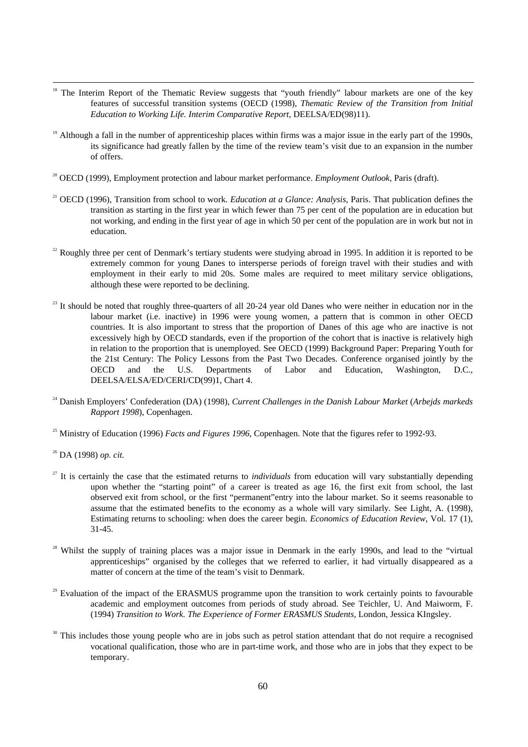- <sup>18</sup> The Interim Report of the Thematic Review suggests that "youth friendly" labour markets are one of the key features of successful transition systems (OECD (1998), *Thematic Review of the Transition from Initial Education to Working Life. Interim Comparative Report*, DEELSA/ED(98)11).
- <sup>19</sup> Although a fall in the number of apprenticeship places within firms was a major issue in the early part of the 1990s, its significance had greatly fallen by the time of the review team's visit due to an expansion in the number of offers.
- <sup>20</sup> OECD (1999), Employment protection and labour market performance. *Employment Outlook*, Paris (draft).
- <sup>21</sup> OECD (1996), Transition from school to work. *Education at a Glance: Analysis*, Paris. That publication defines the transition as starting in the first year in which fewer than 75 per cent of the population are in education but not working, and ending in the first year of age in which 50 per cent of the population are in work but not in education.
- <sup>22</sup> Roughly three per cent of Denmark's tertiary students were studying abroad in 1995. In addition it is reported to be extremely common for young Danes to intersperse periods of foreign travel with their studies and with employment in their early to mid 20s. Some males are required to meet military service obligations, although these were reported to be declining.
- $23$  It should be noted that roughly three-quarters of all 20-24 year old Danes who were neither in education nor in the labour market (i.e. inactive) in 1996 were young women, a pattern that is common in other OECD countries. It is also important to stress that the proportion of Danes of this age who are inactive is not excessively high by OECD standards, even if the proportion of the cohort that is inactive is relatively high in relation to the proportion that is unemployed. See OECD (1999) Background Paper: Preparing Youth for the 21st Century: The Policy Lessons from the Past Two Decades. Conference organised jointly by the OECD and the U.S. Departments of Labor and Education, Washington, D.C., DEELSA/ELSA/ED/CERI/CD(99)1, Chart 4.
- <sup>24</sup> Danish Employers' Confederation (DA) (1998), *Current Challenges in the Danish Labour Market* (*Arbejds markeds Rapport 1998*), Copenhagen.
- <sup>25</sup> Ministry of Education (1996) *Facts and Figures 1996*, Copenhagen. Note that the figures refer to 1992-93.
- <sup>26</sup> DA (1998) *op. cit.*
- <sup>27</sup> It is certainly the case that the estimated returns to *individuals* from education will vary substantially depending upon whether the "starting point" of a career is treated as age 16, the first exit from school, the last observed exit from school, or the first "permanent"entry into the labour market. So it seems reasonable to assume that the estimated benefits to the economy as a whole will vary similarly. See Light, A. (1998), Estimating returns to schooling: when does the career begin. *Economics of Education Review*, Vol. 17 (1), 31-45.
- <sup>28</sup> Whilst the supply of training places was a major issue in Denmark in the early 1990s, and lead to the "virtual" apprenticeships" organised by the colleges that we referred to earlier, it had virtually disappeared as a matter of concern at the time of the team's visit to Denmark.
- $29$  Evaluation of the impact of the ERASMUS programme upon the transition to work certainly points to favourable academic and employment outcomes from periods of study abroad. See Teichler, U. And Maiworm, F. (1994) *Transition to Work. The Experience of Former ERASMUS Students*, London, Jessica KIngsley.
- This includes those young people who are in jobs such as petrol station attendant that do not require a recognised vocational qualification, those who are in part-time work, and those who are in jobs that they expect to be temporary.